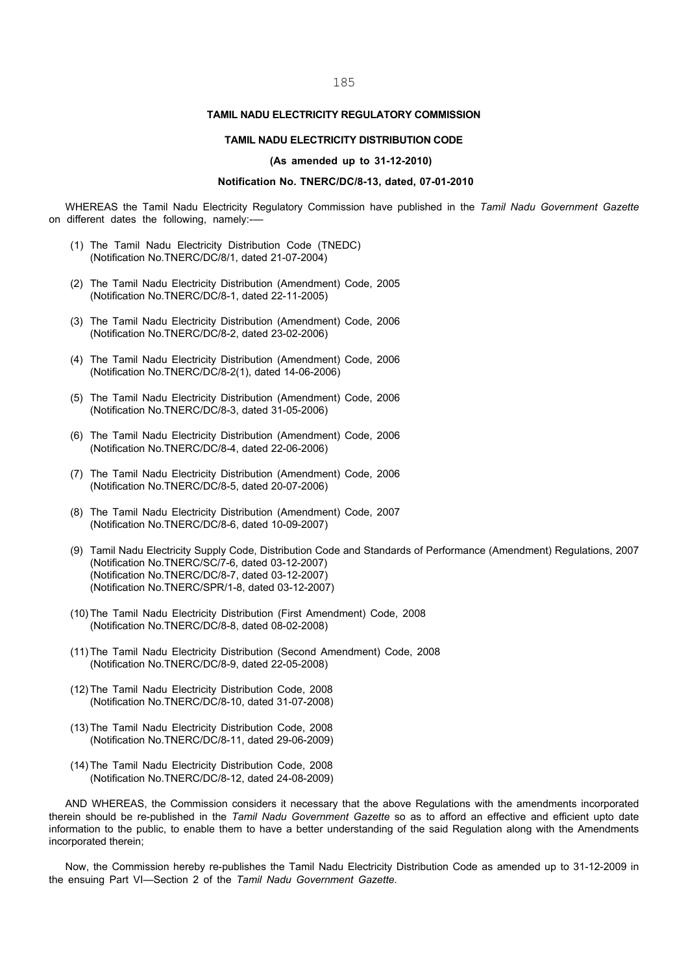#### TAMIL NADU ELECTRICITY REGULATORY COMMISSION

#### TAMIL NADU ELECTRICITY DISTRIBUTION CODE

#### (As amended up to 31-12-2010)

#### Notification No. TNERC/DC/8-13, dated, 07-01-2010

WHEREAS the Tamil Nadu Electricity Regulatory Commission have published in the Tamil Nadu Government Gazette on different dates the following, namely:-—

- (1) The Tamil Nadu Electricity Distribution Code (TNEDC) (Notification No.TNERC/DC/8/1, dated 21-07-2004)
- (2) The Tamil Nadu Electricity Distribution (Amendment) Code, 2005 (Notification No.TNERC/DC/8-1, dated 22-11-2005)
- (3) The Tamil Nadu Electricity Distribution (Amendment) Code, 2006 (Notification No.TNERC/DC/8-2, dated 23-02-2006)
- (4) The Tamil Nadu Electricity Distribution (Amendment) Code, 2006 (Notification No.TNERC/DC/8-2(1), dated 14-06-2006)
- (5) The Tamil Nadu Electricity Distribution (Amendment) Code, 2006 (Notification No.TNERC/DC/8-3, dated 31-05-2006)
- (6) The Tamil Nadu Electricity Distribution (Amendment) Code, 2006 (Notification No.TNERC/DC/8-4, dated 22-06-2006)
- (7) The Tamil Nadu Electricity Distribution (Amendment) Code, 2006 (Notification No.TNERC/DC/8-5, dated 20-07-2006)
- (8) The Tamil Nadu Electricity Distribution (Amendment) Code, 2007 (Notification No.TNERC/DC/8-6, dated 10-09-2007)
- (9) Tamil Nadu Electricity Supply Code, Distribution Code and Standards of Performance (Amendment) Regulations, 2007 (Notification No.TNERC/SC/7-6, dated 03-12-2007) (Notification No.TNERC/DC/8-7, dated 03-12-2007) (Notification No.TNERC/SPR/1-8, dated 03-12-2007)
- (10) The Tamil Nadu Electricity Distribution (First Amendment) Code, 2008 (Notification No.TNERC/DC/8-8, dated 08-02-2008)
- (11) The Tamil Nadu Electricity Distribution (Second Amendment) Code, 2008 (Notification No.TNERC/DC/8-9, dated 22-05-2008)
- (12) The Tamil Nadu Electricity Distribution Code, 2008 (Notification No.TNERC/DC/8-10, dated 31-07-2008)
- (13) The Tamil Nadu Electricity Distribution Code, 2008 (Notification No.TNERC/DC/8-11, dated 29-06-2009)
- (14) The Tamil Nadu Electricity Distribution Code, 2008 (Notification No.TNERC/DC/8-12, dated 24-08-2009)

AND WHEREAS, the Commission considers it necessary that the above Regulations with the amendments incorporated therein should be re-published in the Tamil Nadu Government Gazette so as to afford an effective and efficient upto date information to the public, to enable them to have a better understanding of the said Regulation along with the Amendments incorporated therein;

Now, the Commission hereby re-publishes the Tamil Nadu Electricity Distribution Code as amended up to 31-12-2009 in the ensuing Part VI—Section 2 of the Tamil Nadu Government Gazette.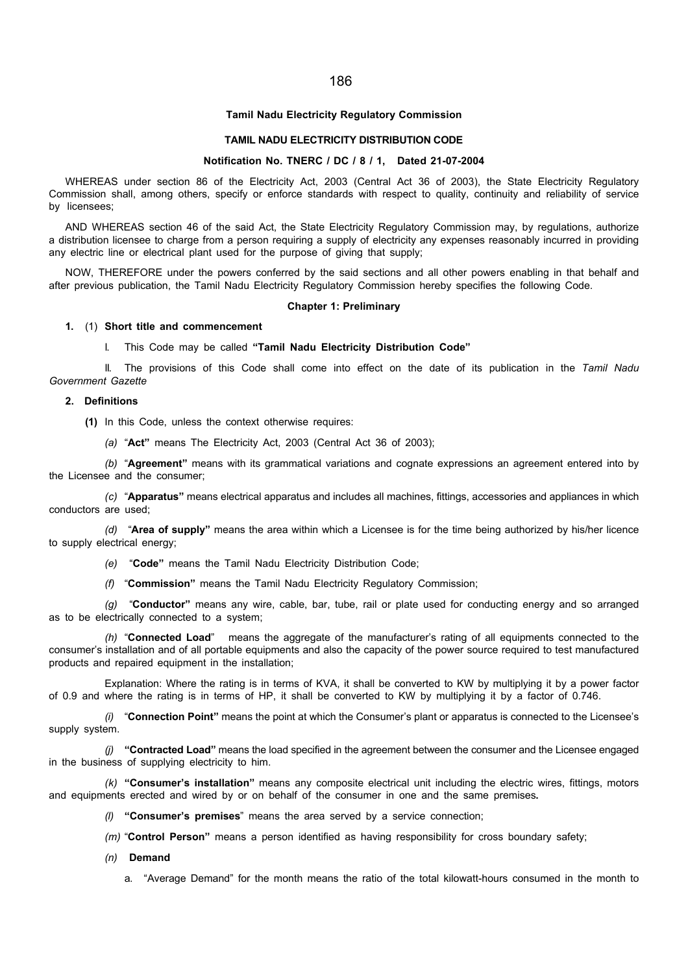#### Tamil Nadu Electricity Regulatory Commission

#### TAMIL NADU ELECTRICITY DISTRIBUTION CODE

### Notification No. TNERC / DC / 8 / 1, Dated 21-07-2004

WHEREAS under section 86 of the Electricity Act, 2003 (Central Act 36 of 2003), the State Electricity Regulatory Commission shall, among others, specify or enforce standards with respect to quality, continuity and reliability of service by licensees;

AND WHEREAS section 46 of the said Act, the State Electricity Regulatory Commission may, by regulations, authorize a distribution licensee to charge from a person requiring a supply of electricity any expenses reasonably incurred in providing any electric line or electrical plant used for the purpose of giving that supply;

NOW, THEREFORE under the powers conferred by the said sections and all other powers enabling in that behalf and after previous publication, the Tamil Nadu Electricity Regulatory Commission hereby specifies the following Code.

#### Chapter 1: Preliminary

#### 1. (1) Short title and commencement

#### I. This Code may be called "Tamil Nadu Electricity Distribution Code"

II. The provisions of this Code shall come into effect on the date of its publication in the Tamil Nadu Government Gazette

### 2. Definitions

(1) In this Code, unless the context otherwise requires:

(a) "Act" means The Electricity Act, 2003 (Central Act 36 of 2003);

(b) "Agreement" means with its grammatical variations and cognate expressions an agreement entered into by the Licensee and the consumer;

(c) "Apparatus" means electrical apparatus and includes all machines, fittings, accessories and appliances in which conductors are used;

(d) "Area of supply" means the area within which a Licensee is for the time being authorized by his/her licence to supply electrical energy;

- (e) "Code" means the Tamil Nadu Electricity Distribution Code;
- (f) "Commission" means the Tamil Nadu Electricity Regulatory Commission;

(a) "Conductor" means any wire, cable, bar, tube, rail or plate used for conducting energy and so arranged as to be electrically connected to a system;

(h) "Connected Load" means the aggregate of the manufacturer's rating of all equipments connected to the consumer's installation and of all portable equipments and also the capacity of the power source required to test manufactured products and repaired equipment in the installation;

Explanation: Where the rating is in terms of KVA, it shall be converted to KW by multiplying it by a power factor of 0.9 and where the rating is in terms of HP, it shall be converted to KW by multiplying it by a factor of 0.746.

 $(i)$  "Connection Point" means the point at which the Consumer's plant or apparatus is connected to the Licensee's supply system.

(i) "Contracted Load" means the load specified in the agreement between the consumer and the Licensee engaged in the business of supplying electricity to him.

 $(k)$  "Consumer's installation" means any composite electrical unit including the electric wires, fittings, motors and equipments erected and wired by or on behalf of the consumer in one and the same premises.

(l) "Consumer's premises" means the area served by a service connection;

- $(m)$  "Control Person" means a person identified as having responsibility for cross boundary safety;
- (n) Demand
	- a. "Average Demand" for the month means the ratio of the total kilowatt-hours consumed in the month to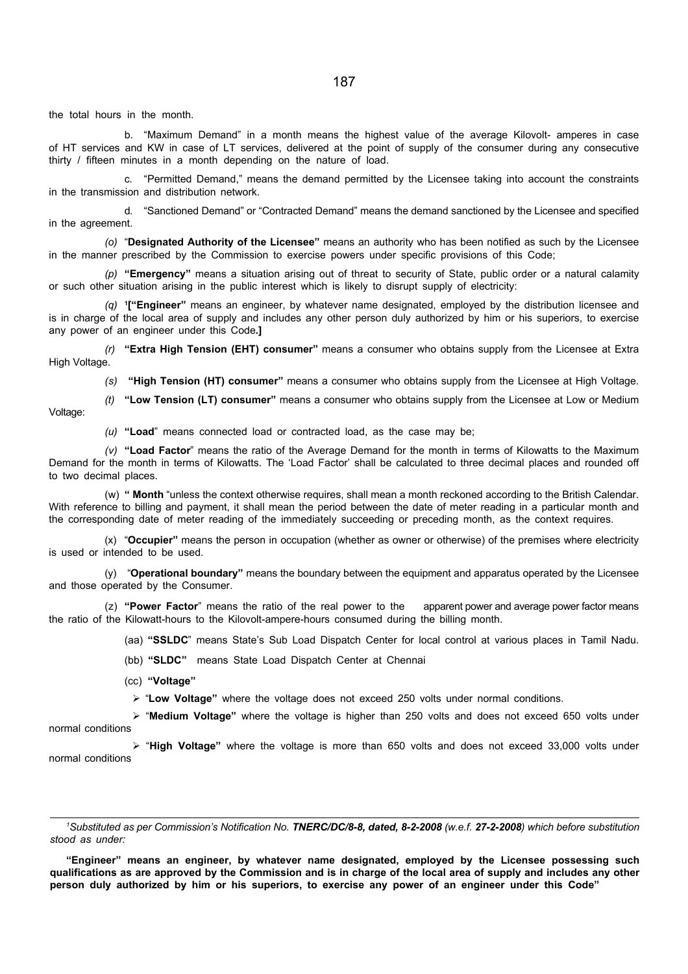the total hours in the month.

b. "Maximum Demand" in a month means the highest value of the average Kilovolt- amperes in case of HT services and KW in case of LT services, delivered at the point of supply of the consumer during any consecutive thirty / fifteen minutes in a month depending on the nature of load.

c. "Permitted Demand," means the demand permitted by the Licensee taking into account the constraints in the transmission and distribution network.

d. "Sanctioned Demand" or "Contracted Demand" means the demand sanctioned by the Licensee and specified in the agreement.

(o) "Designated Authority of the Licensee" means an authority who has been notified as such by the Licensee in the manner prescribed by the Commission to exercise powers under specific provisions of this Code;

(p) "Emergency" means a situation arising out of threat to security of State, public order or a natural calamity or such other situation arising in the public interest which is likely to disrupt supply of electricity:

 $(q)$  <sup>1</sup>["Engineer" means an engineer, by whatever name designated, employed by the distribution licensee and is in charge of the local area of supply and includes any other person duly authorized by him or his superiors, to exercise any power of an engineer under this Code.]

 $(r)$  "Extra High Tension (EHT) consumer" means a consumer who obtains supply from the Licensee at Extra High Voltage.

(s) "High Tension (HT) consumer" means a consumer who obtains supply from the Licensee at High Voltage.

(t) "Low Tension (LT) consumer" means a consumer who obtains supply from the Licensee at Low or Medium Voltage:

 $(u)$  "Load" means connected load or contracted load, as the case may be;

(v) "Load Factor" means the ratio of the Average Demand for the month in terms of Kilowatts to the Maximum Demand for the month in terms of Kilowatts. The 'Load Factor' shall be calculated to three decimal places and rounded off to two decimal places.

(w) " Month "unless the context otherwise requires, shall mean a month reckoned according to the British Calendar. With reference to billing and payment, it shall mean the period between the date of meter reading in a particular month and the corresponding date of meter reading of the immediately succeeding or preceding month, as the context requires.

(x) "Occupier" means the person in occupation (whether as owner or otherwise) of the premises where electricity is used or intended to be used.

 $(y)$  "Operational boundary" means the boundary between the equipment and apparatus operated by the Licensee and those operated by the Consumer.

(z) "Power Factor" means the ratio of the real power to the apparent power and average power factor means the ratio of the Kilowatt-hours to the Kilovolt-ampere-hours consumed during the billing month.

(aa) "SSLDC" means State's Sub Load Dispatch Center for local control at various places in Tamil Nadu.

(bb) "SLDC" means State Load Dispatch Center at Chennai

(cc) "Voltage"

 $\triangleright$  "Low Voltage" where the voltage does not exceed 250 volts under normal conditions.

 $\triangleright$  "Medium Voltage" where the voltage is higher than 250 volts and does not exceed 650 volts under normal conditions

 $\triangleright$  "High Voltage" where the voltage is more than 650 volts and does not exceed 33,000 volts under normal conditions

"Engineer" means an engineer, by whatever name designated, employed by the Licensee possessing such qualifications as are approved by the Commission and is in charge of the local area of supply and includes any other person duly authorized by him or his superiors, to exercise any power of an engineer under this Code"

<sup>&</sup>lt;sup>1</sup>Substituted as per Commission's Notification No. TNERC/DC/8-8, dated, 8-2-2008 (w.e.f. 27-2-2008) which before substitution stood as under: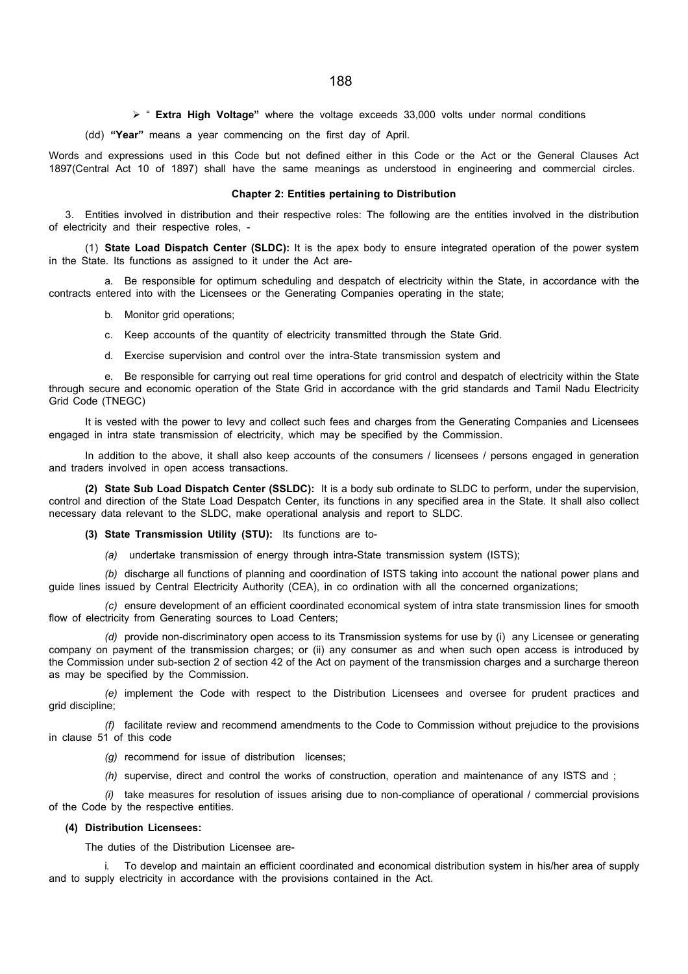$\triangleright$  " Extra High Voltage" where the voltage exceeds 33,000 volts under normal conditions

(dd) "Year" means a year commencing on the first day of April.

Words and expressions used in this Code but not defined either in this Code or the Act or the General Clauses Act 1897(Central Act 10 of 1897) shall have the same meanings as understood in engineering and commercial circles.

#### Chapter 2: Entities pertaining to Distribution

3. Entities involved in distribution and their respective roles: The following are the entities involved in the distribution of electricity and their respective roles, -

(1) State Load Dispatch Center (SLDC): It is the apex body to ensure integrated operation of the power system in the State. Its functions as assigned to it under the Act are-

a. Be responsible for optimum scheduling and despatch of electricity within the State, in accordance with the contracts entered into with the Licensees or the Generating Companies operating in the state;

- b. Monitor grid operations;
- c. Keep accounts of the quantity of electricity transmitted through the State Grid.
- d. Exercise supervision and control over the intra-State transmission system and

e. Be responsible for carrying out real time operations for grid control and despatch of electricity within the State through secure and economic operation of the State Grid in accordance with the grid standards and Tamil Nadu Electricity Grid Code (TNEGC)

It is vested with the power to levy and collect such fees and charges from the Generating Companies and Licensees engaged in intra state transmission of electricity, which may be specified by the Commission.

In addition to the above, it shall also keep accounts of the consumers / licensees / persons engaged in generation and traders involved in open access transactions.

(2) State Sub Load Dispatch Center (SSLDC): It is a body sub ordinate to SLDC to perform, under the supervision, control and direction of the State Load Despatch Center, its functions in any specified area in the State. It shall also collect necessary data relevant to the SLDC, make operational analysis and report to SLDC.

(3) State Transmission Utility (STU): Its functions are to-

(a) undertake transmission of energy through intra-State transmission system (ISTS);

(b) discharge all functions of planning and coordination of ISTS taking into account the national power plans and guide lines issued by Central Electricity Authority (CEA), in co ordination with all the concerned organizations;

(c) ensure development of an efficient coordinated economical system of intra state transmission lines for smooth flow of electricity from Generating sources to Load Centers;

(d) provide non-discriminatory open access to its Transmission systems for use by (i) any Licensee or generating company on payment of the transmission charges; or (ii) any consumer as and when such open access is introduced by the Commission under sub-section 2 of section 42 of the Act on payment of the transmission charges and a surcharge thereon as may be specified by the Commission.

(e) implement the Code with respect to the Distribution Licensees and oversee for prudent practices and grid discipline;

(f) facilitate review and recommend amendments to the Code to Commission without prejudice to the provisions in clause 51 of this code

- (g) recommend for issue of distribution licenses;
- (h) supervise, direct and control the works of construction, operation and maintenance of any ISTS and ;

(i) take measures for resolution of issues arising due to non-compliance of operational / commercial provisions of the Code by the respective entities.

### (4) Distribution Licensees:

The duties of the Distribution Licensee are-

To develop and maintain an efficient coordinated and economical distribution system in his/her area of supply and to supply electricity in accordance with the provisions contained in the Act.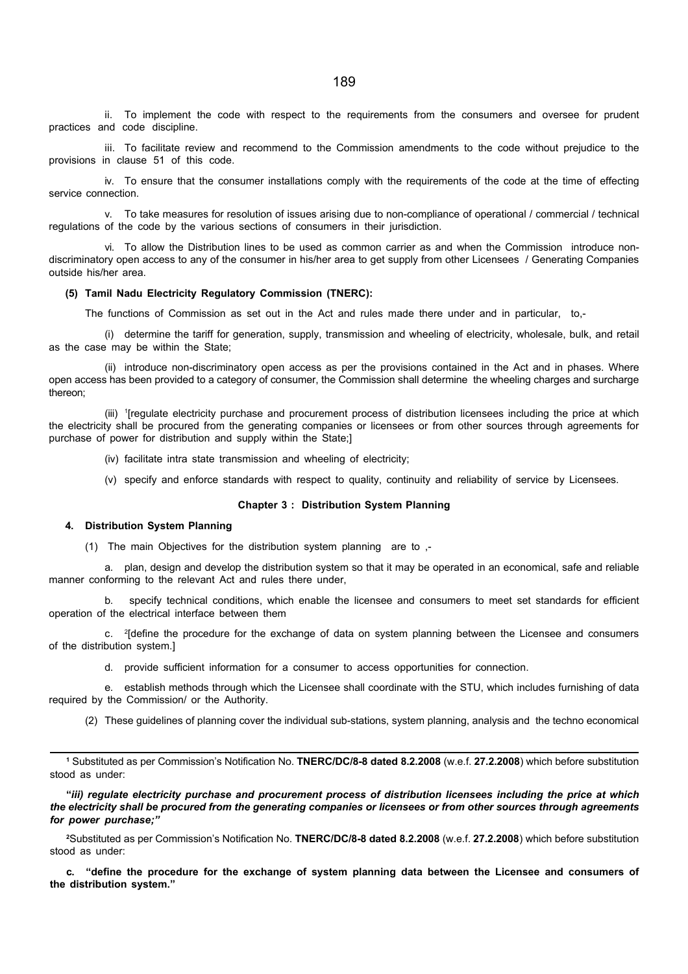ii. To implement the code with respect to the requirements from the consumers and oversee for prudent practices and code discipline.

iii. To facilitate review and recommend to the Commission amendments to the code without prejudice to the provisions in clause 51 of this code.

iv. To ensure that the consumer installations comply with the requirements of the code at the time of effecting service connection.

v. To take measures for resolution of issues arising due to non-compliance of operational / commercial / technical regulations of the code by the various sections of consumers in their jurisdiction.

vi. To allow the Distribution lines to be used as common carrier as and when the Commission introduce nondiscriminatory open access to any of the consumer in his/her area to get supply from other Licensees / Generating Companies outside his/her area.

#### (5) Tamil Nadu Electricity Regulatory Commission (TNERC):

The functions of Commission as set out in the Act and rules made there under and in particular, to,-

(i) determine the tariff for generation, supply, transmission and wheeling of electricity, wholesale, bulk, and retail as the case may be within the State;

(ii) introduce non-discriminatory open access as per the provisions contained in the Act and in phases. Where open access has been provided to a category of consumer, the Commission shall determine the wheeling charges and surcharge thereon;

(iii) <sup>1</sup> [regulate electricity purchase and procurement process of distribution licensees including the price at which the electricity shall be procured from the generating companies or licensees or from other sources through agreements for purchase of power for distribution and supply within the State;]

- (iv) facilitate intra state transmission and wheeling of electricity;
- (v) specify and enforce standards with respect to quality, continuity and reliability of service by Licensees.

#### Chapter 3 : Distribution System Planning

### 4. Distribution System Planning

(1) The main Objectives for the distribution system planning are to ,-

a. plan, design and develop the distribution system so that it may be operated in an economical, safe and reliable manner conforming to the relevant Act and rules there under,

b. specify technical conditions, which enable the licensee and consumers to meet set standards for efficient operation of the electrical interface between them

c. <sup>2</sup>[define the procedure for the exchange of data on system planning between the Licensee and consumers of the distribution system.]

d. provide sufficient information for a consumer to access opportunities for connection.

e. establish methods through which the Licensee shall coordinate with the STU, which includes furnishing of data required by the Commission/ or the Authority.

(2) These guidelines of planning cover the individual sub-stations, system planning, analysis and the techno economical

1 Substituted as per Commission's Notification No. TNERC/DC/8-8 dated 8.2.2008 (w.e.f. 27.2.2008) which before substitution stood as under:

"iii) regulate electricity purchase and procurement process of distribution licensees including the price at which the electricity shall be procured from the generating companies or licensees or from other sources through agreements for power purchase;"

<sup>2</sup>Substituted as per Commission's Notification No. TNERC/DC/8-8 dated 8.2.2008 (w.e.f. 27.2.2008) which before substitution stood as under:

c. "define the procedure for the exchange of system planning data between the Licensee and consumers of the distribution system."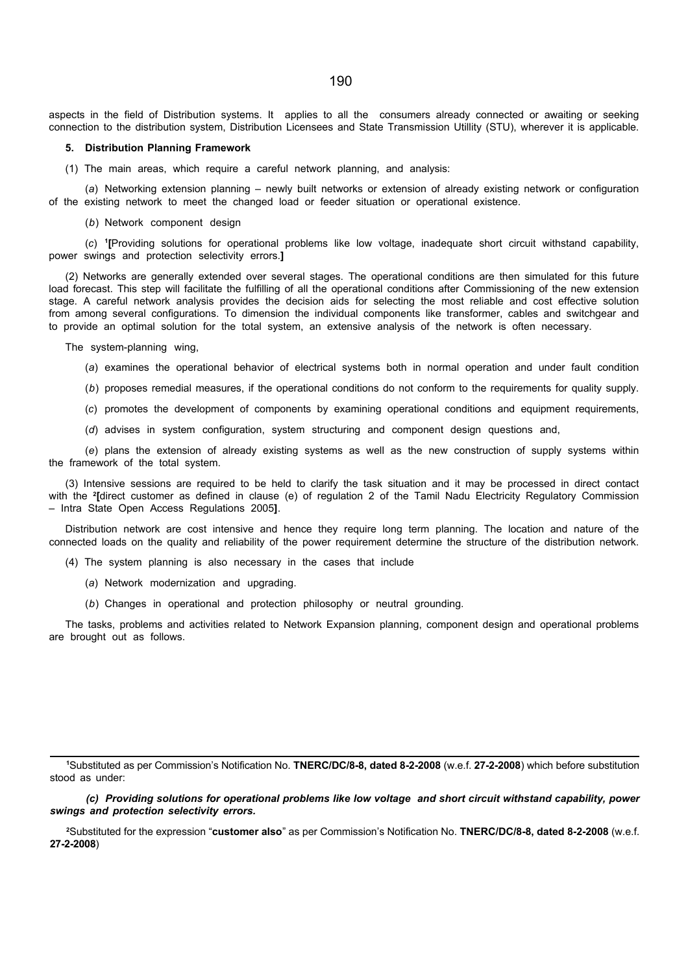aspects in the field of Distribution systems. It applies to all the consumers already connected or awaiting or seeking connection to the distribution system, Distribution Licensees and State Transmission Utillity (STU), wherever it is applicable.

#### 5. Distribution Planning Framework

(1) The main areas, which require a careful network planning, and analysis:

(a) Networking extension planning – newly built networks or extension of already existing network or configuration of the existing network to meet the changed load or feeder situation or operational existence.

(b) Network component design

(c) 1 [Providing solutions for operational problems like low voltage, inadequate short circuit withstand capability, power swings and protection selectivity errors.]

(2) Networks are generally extended over several stages. The operational conditions are then simulated for this future load forecast. This step will facilitate the fulfilling of all the operational conditions after Commissioning of the new extension stage. A careful network analysis provides the decision aids for selecting the most reliable and cost effective solution from among several configurations. To dimension the individual components like transformer, cables and switchgear and to provide an optimal solution for the total system, an extensive analysis of the network is often necessary.

The system-planning wing,

(a) examines the operational behavior of electrical systems both in normal operation and under fault condition

- (b) proposes remedial measures, if the operational conditions do not conform to the requirements for quality supply.
- (c) promotes the development of components by examining operational conditions and equipment requirements,
- (d) advises in system configuration, system structuring and component design questions and,

(e) plans the extension of already existing systems as well as the new construction of supply systems within the framework of the total system.

(3) Intensive sessions are required to be held to clarify the task situation and it may be processed in direct contact with the <sup>2</sup> [direct customer as defined in clause (e) of regulation 2 of the Tamil Nadu Electricity Regulatory Commission – Intra State Open Access Regulations 2005].

Distribution network are cost intensive and hence they require long term planning. The location and nature of the connected loads on the quality and reliability of the power requirement determine the structure of the distribution network.

(4) The system planning is also necessary in the cases that include

(a) Network modernization and upgrading.

(b) Changes in operational and protection philosophy or neutral grounding.

The tasks, problems and activities related to Network Expansion planning, component design and operational problems are brought out as follows.

<sup>1</sup>Substituted as per Commission's Notification No. TNERC/DC/8-8, dated 8-2-2008 (w.e.f. 27-2-2008) which before substitution stood as under:

(c) Providing solutions for operational problems like low voltage and short circuit withstand capability, power swings and protection selectivity errors.

<sup>2</sup>Substituted for the expression "customer also" as per Commission's Notification No. TNERC/DC/8-8, dated 8-2-2008 (w.e.f. 27-2-2008)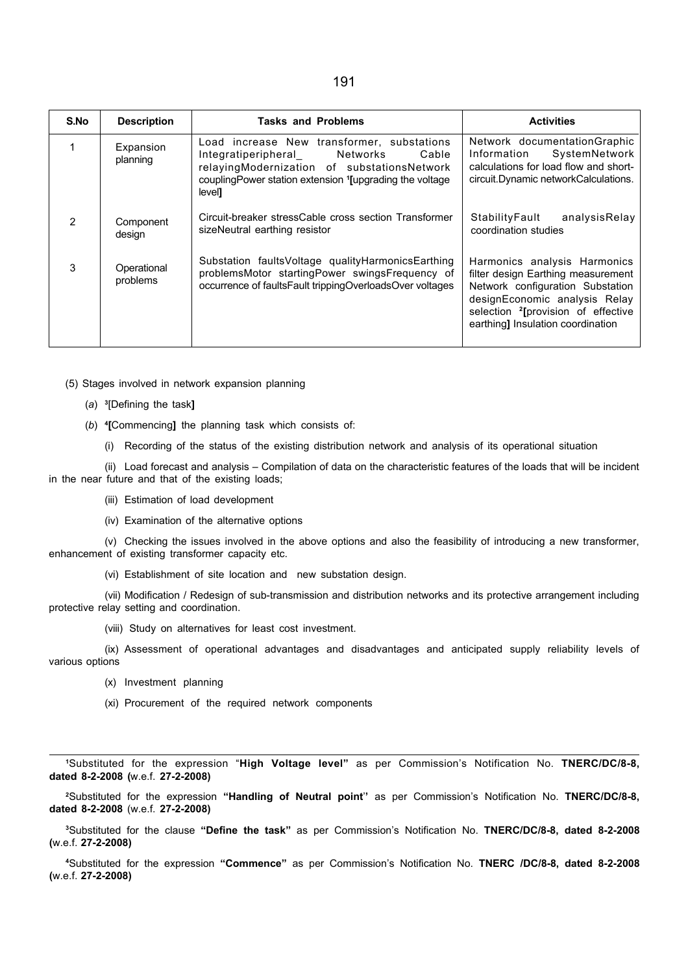| ۹ | I<br>۰. |  |
|---|---------|--|
|---|---------|--|

| S.No           | <b>Description</b>      | <b>Tasks and Problems</b>                                                                                                                                                                                                         | <b>Activities</b>                                                                                                                                                                                                              |
|----------------|-------------------------|-----------------------------------------------------------------------------------------------------------------------------------------------------------------------------------------------------------------------------------|--------------------------------------------------------------------------------------------------------------------------------------------------------------------------------------------------------------------------------|
|                | Expansion<br>planning   | Load increase New transformer, substations<br>Integratiperipheral Networks<br>Cable<br>relayingModernization of substationsNetwork<br>coupling Power station extension <sup>1</sup> [upgrading the voltage]<br>level <sub>1</sub> | Network documentation Graphic<br>SystemNetwork<br>Information<br>calculations for load flow and short-<br>circuit. Dynamic network Calculations.                                                                               |
| $\overline{2}$ | Component<br>design     | Circuit-breaker stressCable cross section Transformer<br>sizeNeutral earthing resistor                                                                                                                                            | StabilityFault<br>analysisRelay<br>coordination studies                                                                                                                                                                        |
| 3              | Operational<br>problems | Substation faultsVoltage qualityHarmonicsEarthing<br>problemsMotor startingPower swingsFrequency of<br>occurrence of faultsFault trippingOverloadsOver voltages                                                                   | Harmonics analysis Harmonics<br>filter design Earthing measurement<br>Network configuration Substation<br>designEconomic analysis Relay<br>selection <sup>2</sup> [provision of effective<br>earthing] Insulation coordination |

(5) Stages involved in network expansion planning

- (a) 3 [Defining the task]
- (b) 4 [Commencing] the planning task which consists of:
	- (i) Recording of the status of the existing distribution network and analysis of its operational situation

(ii) Load forecast and analysis – Compilation of data on the characteristic features of the loads that will be incident in the near future and that of the existing loads;

(iii) Estimation of load development

(iv) Examination of the alternative options

(v) Checking the issues involved in the above options and also the feasibility of introducing a new transformer, enhancement of existing transformer capacity etc.

(vi) Establishment of site location and new substation design.

(vii) Modification / Redesign of sub-transmission and distribution networks and its protective arrangement including protective relay setting and coordination.

(viii) Study on alternatives for least cost investment.

(ix) Assessment of operational advantages and disadvantages and anticipated supply reliability levels of various options

- (x) Investment planning
- (xi) Procurement of the required network components

<sup>1</sup>Substituted for the expression "High Voltage level" as per Commission's Notification No. TNERC/DC/8-8, dated 8-2-2008 (w.e.f. 27-2-2008)

<sup>2</sup>Substituted for the expression "Handling of Neutral point" as per Commission's Notification No. TNERC/DC/8-8, dated 8-2-2008 (w.e.f. 27-2-2008)

<sup>3</sup>Substituted for the clause "Define the task" as per Commission's Notification No. TNERC/DC/8-8, dated 8-2-2008 (w.e.f. 27-2-2008)

<sup>4</sup>Substituted for the expression "Commence" as per Commission's Notification No. TNERC /DC/8-8, dated 8-2-2008 (w.e.f. 27-2-2008)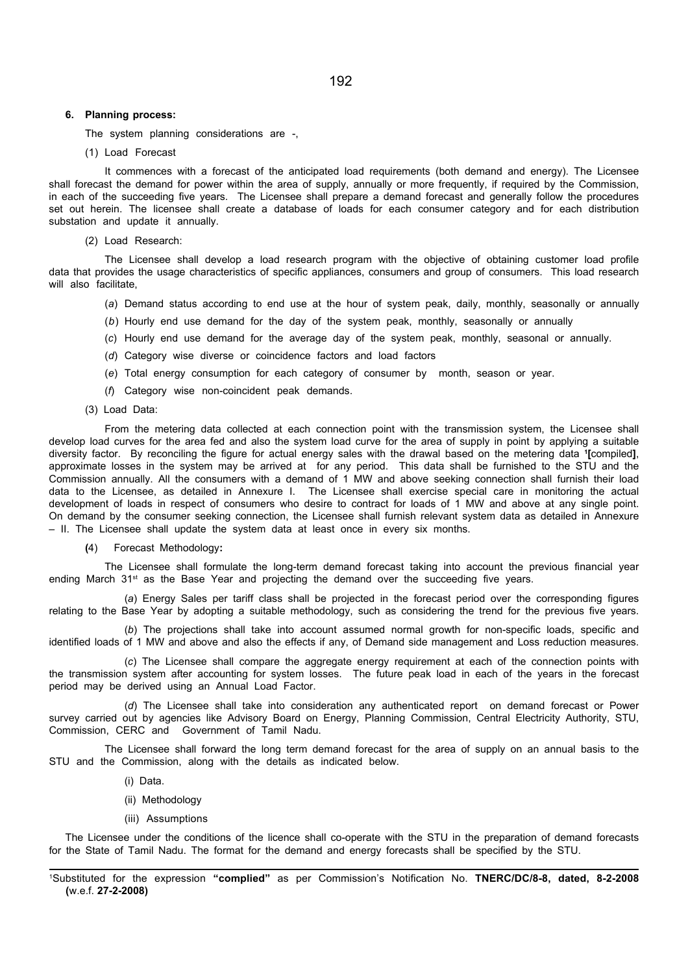#### 6. Planning process:

The system planning considerations are -,

#### (1) Load Forecast

It commences with a forecast of the anticipated load requirements (both demand and energy). The Licensee shall forecast the demand for power within the area of supply, annually or more frequently, if required by the Commission, in each of the succeeding five years. The Licensee shall prepare a demand forecast and generally follow the procedures set out herein. The licensee shall create a database of loads for each consumer category and for each distribution substation and update it annually.

(2) Load Research:

The Licensee shall develop a load research program with the objective of obtaining customer load profile data that provides the usage characteristics of specific appliances, consumers and group of consumers. This load research will also facilitate,

- (a) Demand status according to end use at the hour of system peak, daily, monthly, seasonally or annually
- (b) Hourly end use demand for the day of the system peak, monthly, seasonally or annually
- (c) Hourly end use demand for the average day of the system peak, monthly, seasonal or annually.
- (d) Category wise diverse or coincidence factors and load factors
- (e) Total energy consumption for each category of consumer by month, season or year.
- (f) Category wise non-coincident peak demands.
- (3) Load Data:

From the metering data collected at each connection point with the transmission system, the Licensee shall develop load curves for the area fed and also the system load curve for the area of supply in point by applying a suitable diversity factor. By reconciling the figure for actual energy sales with the drawal based on the metering data <sup>1</sup> [compiled], approximate losses in the system may be arrived at for any period. This data shall be furnished to the STU and the Commission annually. All the consumers with a demand of 1 MW and above seeking connection shall furnish their load data to the Licensee, as detailed in Annexure I. The Licensee shall exercise special care in monitoring the actual development of loads in respect of consumers who desire to contract for loads of 1 MW and above at any single point. On demand by the consumer seeking connection, the Licensee shall furnish relevant system data as detailed in Annexure – II. The Licensee shall update the system data at least once in every six months.

(4) Forecast Methodology:

The Licensee shall formulate the long-term demand forecast taking into account the previous financial year ending March  $31<sup>st</sup>$  as the Base Year and projecting the demand over the succeeding five years.

(a) Energy Sales per tariff class shall be projected in the forecast period over the corresponding figures relating to the Base Year by adopting a suitable methodology, such as considering the trend for the previous five years.

(b) The projections shall take into account assumed normal growth for non-specific loads, specific and identified loads of 1 MW and above and also the effects if any, of Demand side management and Loss reduction measures.

(c) The Licensee shall compare the aggregate energy requirement at each of the connection points with the transmission system after accounting for system losses. The future peak load in each of the years in the forecast period may be derived using an Annual Load Factor.

(d) The Licensee shall take into consideration any authenticated report on demand forecast or Power survey carried out by agencies like Advisory Board on Energy, Planning Commission, Central Electricity Authority, STU, Commission, CERC and Government of Tamil Nadu.

The Licensee shall forward the long term demand forecast for the area of supply on an annual basis to the STU and the Commission, along with the details as indicated below.

- (i) Data.
- (ii) Methodology
- (iii) Assumptions

The Licensee under the conditions of the licence shall co-operate with the STU in the preparation of demand forecasts for the State of Tamil Nadu. The format for the demand and energy forecasts shall be specified by the STU.

<sup>1</sup>Substituted for the expression "complied" as per Commission's Notification No. TNERC/DC/8-8, dated, 8-2-2008 (w.e.f. 27-2-2008)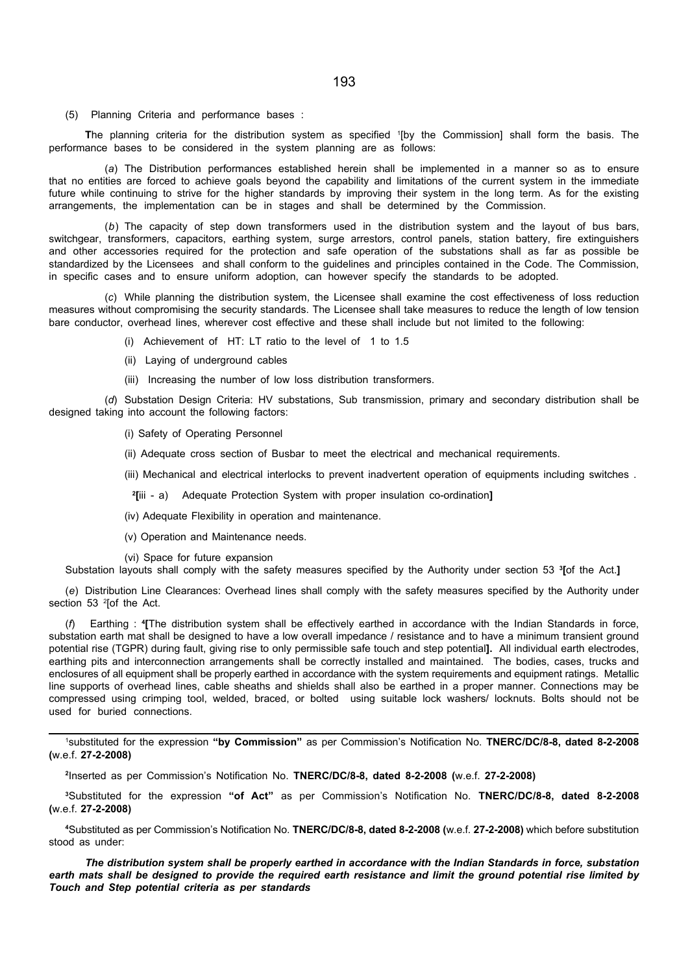(5) Planning Criteria and performance bases :

The planning criteria for the distribution system as specified <sup>1</sup> [by the Commission] shall form the basis. The performance bases to be considered in the system planning are as follows:

(a) The Distribution performances established herein shall be implemented in a manner so as to ensure that no entities are forced to achieve goals beyond the capability and limitations of the current system in the immediate future while continuing to strive for the higher standards by improving their system in the long term. As for the existing arrangements, the implementation can be in stages and shall be determined by the Commission.

(b) The capacity of step down transformers used in the distribution system and the layout of bus bars, switchgear, transformers, capacitors, earthing system, surge arrestors, control panels, station battery, fire extinguishers and other accessories required for the protection and safe operation of the substations shall as far as possible be standardized by the Licensees and shall conform to the guidelines and principles contained in the Code. The Commission, in specific cases and to ensure uniform adoption, can however specify the standards to be adopted.

(c) While planning the distribution system, the Licensee shall examine the cost effectiveness of loss reduction measures without compromising the security standards. The Licensee shall take measures to reduce the length of low tension bare conductor, overhead lines, wherever cost effective and these shall include but not limited to the following:

- (i) Achievement of HT: LT ratio to the level of 1 to 1.5
- (ii) Laying of underground cables
- (iii) Increasing the number of low loss distribution transformers.

(d) Substation Design Criteria: HV substations, Sub transmission, primary and secondary distribution shall be designed taking into account the following factors:

(i) Safety of Operating Personnel

- (ii) Adequate cross section of Busbar to meet the electrical and mechanical requirements.
- (iii) Mechanical and electrical interlocks to prevent inadvertent operation of equipments including switches .

<sup>2</sup>[iii - a) Adequate Protection System with proper insulation co-ordination]

(iv) Adequate Flexibility in operation and maintenance.

(v) Operation and Maintenance needs.

(vi) Space for future expansion

Substation layouts shall comply with the safety measures specified by the Authority under section 53 <sup>3</sup>[of the Act.]

(e) Distribution Line Clearances: Overhead lines shall comply with the safety measures specified by the Authority under section 53 <sup>2</sup>[of the Act.

(f) Earthing : <sup>4</sup> [The distribution system shall be effectively earthed in accordance with the Indian Standards in force, substation earth mat shall be designed to have a low overall impedance / resistance and to have a minimum transient ground potential rise (TGPR) during fault, giving rise to only permissible safe touch and step potential]. All individual earth electrodes, earthing pits and interconnection arrangements shall be correctly installed and maintained. The bodies, cases, trucks and enclosures of all equipment shall be properly earthed in accordance with the system requirements and equipment ratings. Metallic line supports of overhead lines, cable sheaths and shields shall also be earthed in a proper manner. Connections may be compressed using crimping tool, welded, braced, or bolted using suitable lock washers/ locknuts. Bolts should not be used for buried connections.

<sup>1</sup>substituted for the expression "by Commission" as per Commission's Notification No. TNERC/DC/8-8, dated 8-2-2008 (w.e.f. 27-2-2008)

2 Inserted as per Commission's Notification No. TNERC/DC/8-8, dated 8-2-2008 (w.e.f. 27-2-2008)

<sup>3</sup>Substituted for the expression "of Act" as per Commission's Notification No. TNERC/DC/8-8, dated 8-2-2008 (w.e.f. 27-2-2008)

<sup>4</sup>Substituted as per Commission's Notification No. TNERC/DC/8-8, dated 8-2-2008 (w.e.f. 27-2-2008) which before substitution stood as under:

The distribution system shall be properly earthed in accordance with the Indian Standards in force, substation earth mats shall be designed to provide the required earth resistance and limit the ground potential rise limited by Touch and Step potential criteria as per standards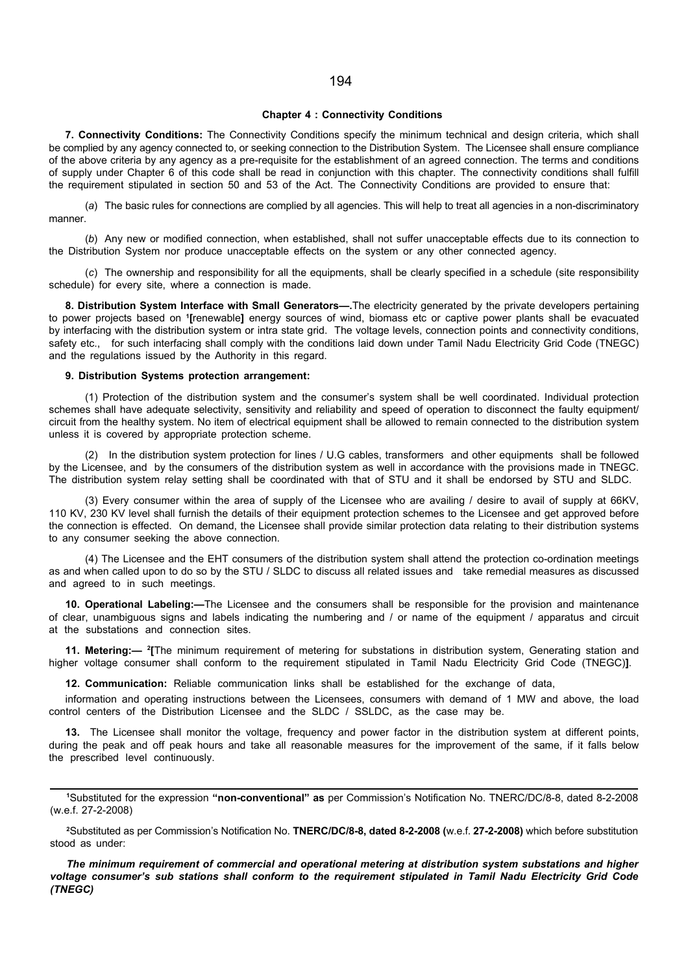#### Chapter 4 : Connectivity Conditions

7. Connectivity Conditions: The Connectivity Conditions specify the minimum technical and design criteria, which shall be complied by any agency connected to, or seeking connection to the Distribution System. The Licensee shall ensure compliance of the above criteria by any agency as a pre-requisite for the establishment of an agreed connection. The terms and conditions of supply under Chapter 6 of this code shall be read in conjunction with this chapter. The connectivity conditions shall fulfill the requirement stipulated in section 50 and 53 of the Act. The Connectivity Conditions are provided to ensure that:

(a) The basic rules for connections are complied by all agencies. This will help to treat all agencies in a non-discriminatory manner.

(b) Any new or modified connection, when established, shall not suffer unacceptable effects due to its connection to the Distribution System nor produce unacceptable effects on the system or any other connected agency.

(c) The ownership and responsibility for all the equipments, shall be clearly specified in a schedule (site responsibility schedule) for every site, where a connection is made.

8. Distribution System Interface with Small Generators-. The electricity generated by the private developers pertaining to power projects based on '[renewable] energy sources of wind, biomass etc or captive power plants shall be evacuated by interfacing with the distribution system or intra state grid. The voltage levels, connection points and connectivity conditions, safety etc., for such interfacing shall comply with the conditions laid down under Tamil Nadu Electricity Grid Code (TNEGC) and the regulations issued by the Authority in this regard.

#### 9. Distribution Systems protection arrangement:

(1) Protection of the distribution system and the consumer's system shall be well coordinated. Individual protection schemes shall have adequate selectivity, sensitivity and reliability and speed of operation to disconnect the faulty equipment/ circuit from the healthy system. No item of electrical equipment shall be allowed to remain connected to the distribution system unless it is covered by appropriate protection scheme.

(2) In the distribution system protection for lines / U.G cables, transformers and other equipments shall be followed by the Licensee, and by the consumers of the distribution system as well in accordance with the provisions made in TNEGC. The distribution system relay setting shall be coordinated with that of STU and it shall be endorsed by STU and SLDC.

(3) Every consumer within the area of supply of the Licensee who are availing / desire to avail of supply at 66KV, 110 KV, 230 KV level shall furnish the details of their equipment protection schemes to the Licensee and get approved before the connection is effected. On demand, the Licensee shall provide similar protection data relating to their distribution systems to any consumer seeking the above connection.

(4) The Licensee and the EHT consumers of the distribution system shall attend the protection co-ordination meetings as and when called upon to do so by the STU / SLDC to discuss all related issues and take remedial measures as discussed and agreed to in such meetings.

10. Operational Labeling:-The Licensee and the consumers shall be responsible for the provision and maintenance of clear, unambiguous signs and labels indicating the numbering and / or name of the equipment / apparatus and circuit at the substations and connection sites.

11. Metering:— <sup>2</sup>[The minimum requirement of metering for substations in distribution system, Generating station and higher voltage consumer shall conform to the requirement stipulated in Tamil Nadu Electricity Grid Code (TNEGC)].

12. Communication: Reliable communication links shall be established for the exchange of data,

information and operating instructions between the Licensees, consumers with demand of 1 MW and above, the load control centers of the Distribution Licensee and the SLDC / SSLDC, as the case may be.

13. The Licensee shall monitor the voltage, frequency and power factor in the distribution system at different points, during the peak and off peak hours and take all reasonable measures for the improvement of the same, if it falls below the prescribed level continuously.

<sup>1</sup>Substituted for the expression "non-conventional" as per Commission's Notification No. TNERC/DC/8-8, dated 8-2-2008 (w.e.f. 27-2-2008)

<sup>2</sup>Substituted as per Commission's Notification No. TNERC/DC/8-8, dated 8-2-2008 (w.e.f. 27-2-2008) which before substitution stood as under:

The minimum requirement of commercial and operational metering at distribution system substations and higher voltage consumer's sub stations shall conform to the requirement stipulated in Tamil Nadu Electricity Grid Code (TNEGC)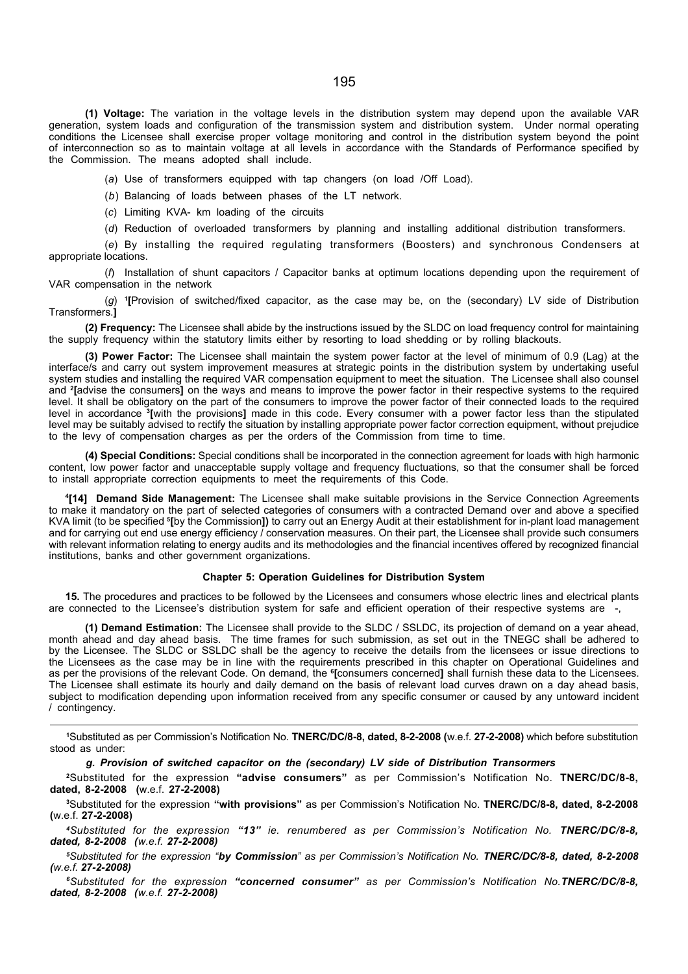(1) Voltage: The variation in the voltage levels in the distribution system may depend upon the available VAR generation, system loads and configuration of the transmission system and distribution system. Under normal operating conditions the Licensee shall exercise proper voltage monitoring and control in the distribution system beyond the point of interconnection so as to maintain voltage at all levels in accordance with the Standards of Performance specified by the Commission. The means adopted shall include.

(a) Use of transformers equipped with tap changers (on load /Off Load).

(b) Balancing of loads between phases of the LT network.

(c) Limiting KVA- km loading of the circuits

(d) Reduction of overloaded transformers by planning and installing additional distribution transformers.

(e) By installing the required regulating transformers (Boosters) and synchronous Condensers at appropriate locations.

(f) Installation of shunt capacitors / Capacitor banks at optimum locations depending upon the requirement of VAR compensation in the network

(g) 1 [Provision of switched/fixed capacitor, as the case may be, on the (secondary) LV side of Distribution Transformers.]

(2) Frequency: The Licensee shall abide by the instructions issued by the SLDC on load frequency control for maintaining the supply frequency within the statutory limits either by resorting to load shedding or by rolling blackouts.

(3) Power Factor: The Licensee shall maintain the system power factor at the level of minimum of 0.9 (Lag) at the interface/s and carry out system improvement measures at strategic points in the distribution system by undertaking useful system studies and installing the required VAR compensation equipment to meet the situation. The Licensee shall also counsel and <sup>2</sup> [advise the consumers] on the ways and means to improve the power factor in their respective systems to the required level. It shall be obligatory on the part of the consumers to improve the power factor of their connected loads to the required level in accordance <sup>3</sup>[with the provisions] made in this code. Every consumer with a power factor less than the stipulated level may be suitably advised to rectify the situation by installing appropriate power factor correction equipment, without prejudice to the levy of compensation charges as per the orders of the Commission from time to time.

(4) Special Conditions: Special conditions shall be incorporated in the connection agreement for loads with high harmonic content, low power factor and unacceptable supply voltage and frequency fluctuations, so that the consumer shall be forced to install appropriate correction equipments to meet the requirements of this Code.

4 [14] Demand Side Management: The Licensee shall make suitable provisions in the Service Connection Agreements to make it mandatory on the part of selected categories of consumers with a contracted Demand over and above a specified KVA limit (to be specified <sup>s</sup>[by the Commission]) to carry out an Energy Audit at their establishment for in-plant load management and for carrying out end use energy efficiency / conservation measures. On their part, the Licensee shall provide such consumers with relevant information relating to energy audits and its methodologies and the financial incentives offered by recognized financial institutions, banks and other government organizations.

#### Chapter 5: Operation Guidelines for Distribution System

15. The procedures and practices to be followed by the Licensees and consumers whose electric lines and electrical plants are connected to the Licensee's distribution system for safe and efficient operation of their respective systems are

(1) Demand Estimation: The Licensee shall provide to the SLDC / SSLDC, its projection of demand on a year ahead, month ahead and day ahead basis. The time frames for such submission, as set out in the TNEGC shall be adhered to by the Licensee. The SLDC or SSLDC shall be the agency to receive the details from the licensees or issue directions to the Licensees as the case may be in line with the requirements prescribed in this chapter on Operational Guidelines and as per the provisions of the relevant Code. On demand, the <sup>e</sup>[consumers concerned] shall furnish these data to the Licensees. The Licensee shall estimate its hourly and daily demand on the basis of relevant load curves drawn on a day ahead basis, subject to modification depending upon information received from any specific consumer or caused by any untoward incident / contingency.

<sup>1</sup>Substituted as per Commission's Notification No. TNERC/DC/8-8, dated, 8-2-2008 (w.e.f. 27-2-2008) which before substitution stood as under:

g. Provision of switched capacitor on the (secondary) LV side of Distribution Transormers

<sup>2</sup>Substituted for the expression "advise consumers" as per Commission's Notification No. TNERC/DC/8-8, dated, 8-2-2008 (w.e.f. 27-2-2008)

<sup>3</sup>Substituted for the expression "with provisions" as per Commission's Notification No. TNERC/DC/8-8, dated, 8-2-2008 (w.e.f. 27-2-2008)

<sup>4</sup>Substituted for the expression "13" ie. renumbered as per Commission's Notification No. TNERC/DC/8-8, dated, 8-2-2008 (w.e.f. 27-2-2008)

<sup>5</sup>Substituted for the expression "by Commission" as per Commission's Notification No. TNERC/DC/8-8, dated, 8-2-2008 (w.e.f. 27-2-2008)

<sup>6</sup>Substituted for the expression "concerned consumer" as per Commission's Notification No. TNERC/DC/8-8, dated, 8-2-2008 (w.e.f. 27-2-2008)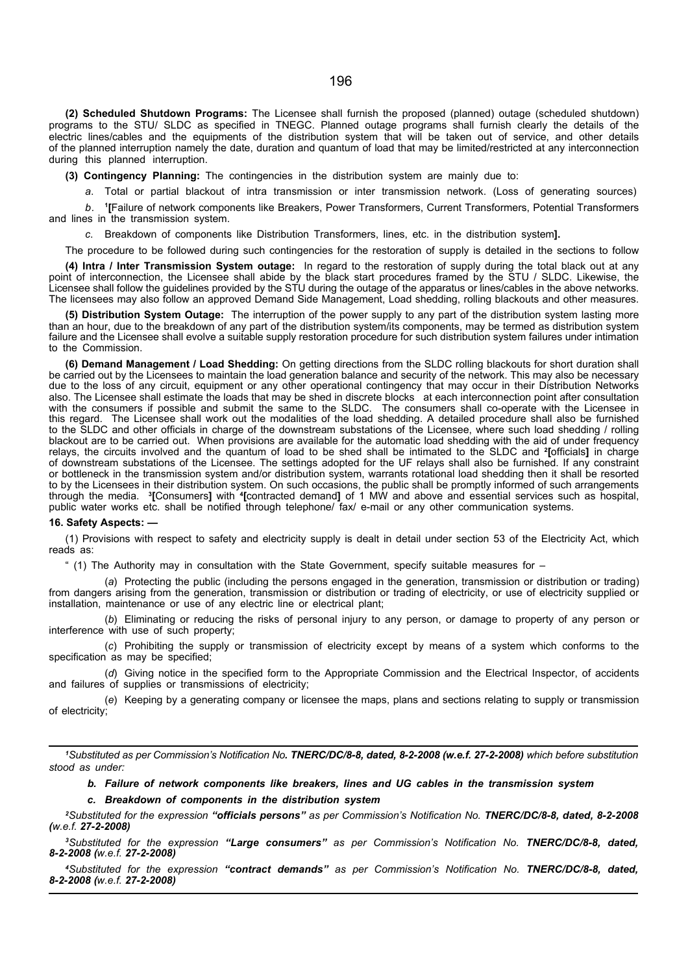(2) Scheduled Shutdown Programs: The Licensee shall furnish the proposed (planned) outage (scheduled shutdown) programs to the STU/ SLDC as specified in TNEGC. Planned outage programs shall furnish clearly the details of the electric lines/cables and the equipments of the distribution system that will be taken out of service, and other details of the planned interruption namely the date, duration and quantum of load that may be limited/restricted at any interconnection during this planned interruption.

(3) Contingency Planning: The contingencies in the distribution system are mainly due to:

a. Total or partial blackout of intra transmission or inter transmission network. (Loss of generating sources)

 $b<sub>1</sub>$ [Failure of network components like Breakers, Power Transformers, Current Transformers, Potential Transformers and lines in the transmission system.

c. Breakdown of components like Distribution Transformers, lines, etc. in the distribution system].

The procedure to be followed during such contingencies for the restoration of supply is detailed in the sections to follow

(4) Intra / Inter Transmission System outage: In regard to the restoration of supply during the total black out at any point of interconnection, the Licensee shall abide by the black start procedures framed by the STU / SLDC. Likewise, the Licensee shall follow the guidelines provided by the STU during the outage of the apparatus or lines/cables in the above networks. The licensees may also follow an approved Demand Side Management, Load shedding, rolling blackouts and other measures.

(5) Distribution System Outage: The interruption of the power supply to any part of the distribution system lasting more than an hour, due to the breakdown of any part of the distribution system/its components, may be termed as distribution system failure and the Licensee shall evolve a suitable supply restoration procedure for such distribution system failures under intimation to the Commission.

(6) Demand Management / Load Shedding: On getting directions from the SLDC rolling blackouts for short duration shall be carried out by the Licensees to maintain the load generation balance and security of the network. This may also be necessary due to the loss of any circuit, equipment or any other operational contingency that may occur in their Distribution Networks also. The Licensee shall estimate the loads that may be shed in discrete blocks at each interconnection point after consultation with the consumers if possible and submit the same to the SLDC. The consumers shall co-operate with the Licensee in this regard. The Licensee shall work out the modalities of the load shedding. A detailed procedure shall also be furnished to the SLDC and other officials in charge of the downstream substations of the Licensee, where such load shedding / rolling blackout are to be carried out. When provisions are available for the automatic load shedding with the aid of under frequency relays, the circuits involved and the quantum of load to be shed shall be intimated to the SLDC and <sup>2</sup>[officials] in charge of downstream substations of the Licensee. The settings adopted for the UF relays shall also be furnished. If any constraint or bottleneck in the transmission system and/or distribution system, warrants rotational load shedding then it shall be resorted to by the Licensees in their distribution system. On such occasions, the public shall be promptly informed of such arrangements through the media. <sup>3</sup>[Consumers] with <sup>4</sup>[contracted demand] of 1 MW and above and essential services such as hospital, public water works etc. shall be notified through telephone/ fax/ e-mail or any other communication systems.

#### 16. Safety Aspects: —

(1) Provisions with respect to safety and electricity supply is dealt in detail under section 53 of the Electricity Act, which reads as:

" (1) The Authority may in consultation with the State Government, specify suitable measures for –

(a) Protecting the public (including the persons engaged in the generation, transmission or distribution or trading) from dangers arising from the generation, transmission or distribution or trading of electricity, or use of electricity supplied or installation, maintenance or use of any electric line or electrical plant;

(b) Eliminating or reducing the risks of personal injury to any person, or damage to property of any person or interference with use of such property;

(c) Prohibiting the supply or transmission of electricity except by means of a system which conforms to the specification as may be specified;

(d) Giving notice in the specified form to the Appropriate Commission and the Electrical Inspector, of accidents and failures of supplies or transmissions of electricity;

(e) Keeping by a generating company or licensee the maps, plans and sections relating to supply or transmission of electricity;

<sup>1</sup>Substituted as per Commission's Notification No. TNERC/DC/8-8, dated, 8-2-2008 (w.e.f. 27-2-2008) which before substitution stood as under:

b. Failure of network components like breakers, lines and UG cables in the transmission system

c. Breakdown of components in the distribution system

<sup>2</sup>Substituted for the expression "officials persons" as per Commission's Notification No. TNERC/DC/8-8, dated, 8-2-2008 (w.e.f. 27-2-2008)

<sup>3</sup>Substituted for the expression "Large consumers" as per Commission's Notification No. TNERC/DC/8-8, dated, 8-2-2008 (w.e.f. 27-2-2008)

<sup>4</sup>Substituted for the expression "contract demands" as per Commission's Notification No. TNERC/DC/8-8, dated, 8-2-2008 (w.e.f. 27-2-2008)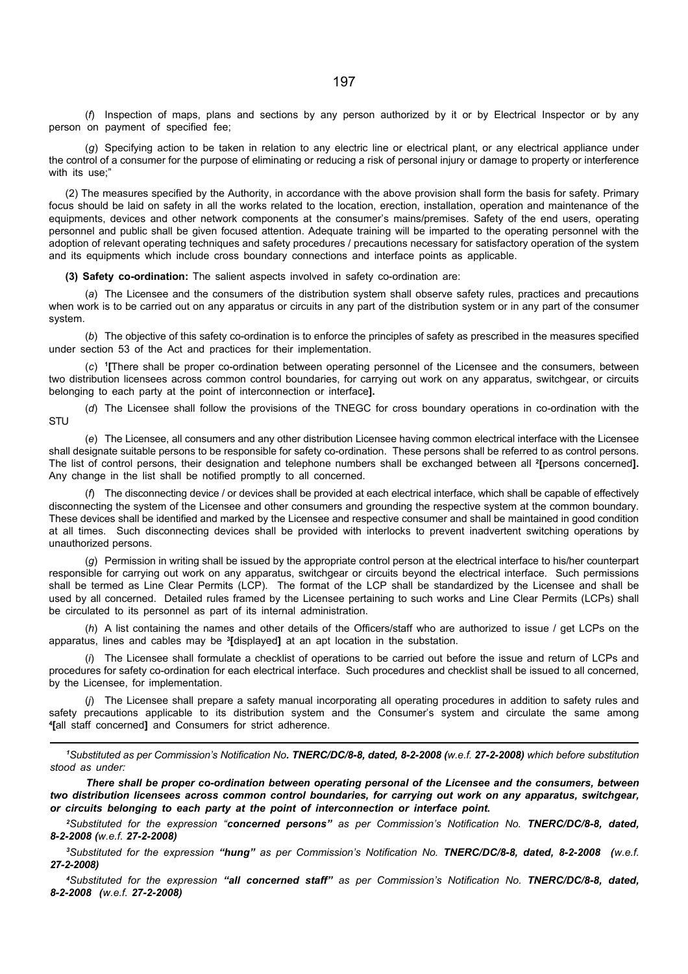(f) Inspection of maps, plans and sections by any person authorized by it or by Electrical Inspector or by any person on payment of specified fee;

(g) Specifying action to be taken in relation to any electric line or electrical plant, or any electrical appliance under the control of a consumer for the purpose of eliminating or reducing a risk of personal injury or damage to property or interference with its use:"

(2) The measures specified by the Authority, in accordance with the above provision shall form the basis for safety. Primary focus should be laid on safety in all the works related to the location, erection, installation, operation and maintenance of the equipments, devices and other network components at the consumer's mains/premises. Safety of the end users, operating personnel and public shall be given focused attention. Adequate training will be imparted to the operating personnel with the adoption of relevant operating techniques and safety procedures / precautions necessary for satisfactory operation of the system and its equipments which include cross boundary connections and interface points as applicable.

(3) Safety co-ordination: The salient aspects involved in safety co-ordination are:

(a) The Licensee and the consumers of the distribution system shall observe safety rules, practices and precautions when work is to be carried out on any apparatus or circuits in any part of the distribution system or in any part of the consumer system.

(b) The objective of this safety co-ordination is to enforce the principles of safety as prescribed in the measures specified under section 53 of the Act and practices for their implementation.

(c) 1 [There shall be proper co-ordination between operating personnel of the Licensee and the consumers, between two distribution licensees across common control boundaries, for carrying out work on any apparatus, switchgear, or circuits belonging to each party at the point of interconnection or interface].

(d) The Licensee shall follow the provisions of the TNEGC for cross boundary operations in co-ordination with the **STU** 

(e) The Licensee, all consumers and any other distribution Licensee having common electrical interface with the Licensee shall designate suitable persons to be responsible for safety co-ordination. These persons shall be referred to as control persons. The list of control persons, their designation and telephone numbers shall be exchanged between all <sup>2</sup>[persons concerned]. Any change in the list shall be notified promptly to all concerned.

(f) The disconnecting device / or devices shall be provided at each electrical interface, which shall be capable of effectively disconnecting the system of the Licensee and other consumers and grounding the respective system at the common boundary. These devices shall be identified and marked by the Licensee and respective consumer and shall be maintained in good condition at all times. Such disconnecting devices shall be provided with interlocks to prevent inadvertent switching operations by unauthorized persons.

(g) Permission in writing shall be issued by the appropriate control person at the electrical interface to his/her counterpart responsible for carrying out work on any apparatus, switchgear or circuits beyond the electrical interface. Such permissions shall be termed as Line Clear Permits (LCP). The format of the LCP shall be standardized by the Licensee and shall be used by all concerned. Detailed rules framed by the Licensee pertaining to such works and Line Clear Permits (LCPs) shall be circulated to its personnel as part of its internal administration.

(h) A list containing the names and other details of the Officers/staff who are authorized to issue / get LCPs on the apparatus, lines and cables may be <sup>3</sup>[displayed] at an apt location in the substation.

(i) The Licensee shall formulate a checklist of operations to be carried out before the issue and return of LCPs and procedures for safety co-ordination for each electrical interface. Such procedures and checklist shall be issued to all concerned, by the Licensee, for implementation.

(j) The Licensee shall prepare a safety manual incorporating all operating procedures in addition to safety rules and safety precautions applicable to its distribution system and the Consumer's system and circulate the same among 4 [all staff concerned] and Consumers for strict adherence.

1Substituted as per Commission's Notification No. TNERC/DC/8-8, dated, 8-2-2008 (w.e.f. 27-2-2008) which before substitution stood as under:

There shall be proper co-ordination between operating personal of the Licensee and the consumers, between two distribution licensees across common control boundaries, for carrying out work on any apparatus, switchgear, or circuits belonging to each party at the point of interconnection or interface point.

<sup>2</sup>Substituted for the expression "concerned persons" as per Commission's Notification No. TNERC/DC/8-8, dated, 8-2-2008 (w.e.f. 27-2-2008)

<sup>3</sup>Substituted for the expression "hung" as per Commission's Notification No. TNERC/DC/8-8, dated, 8-2-2008 (w.e.f. 27-2-2008)

4Substituted for the expression "all concerned staff" as per Commission's Notification No. TNERC/DC/8-8, dated, 8-2-2008 (w.e.f. 27-2-2008)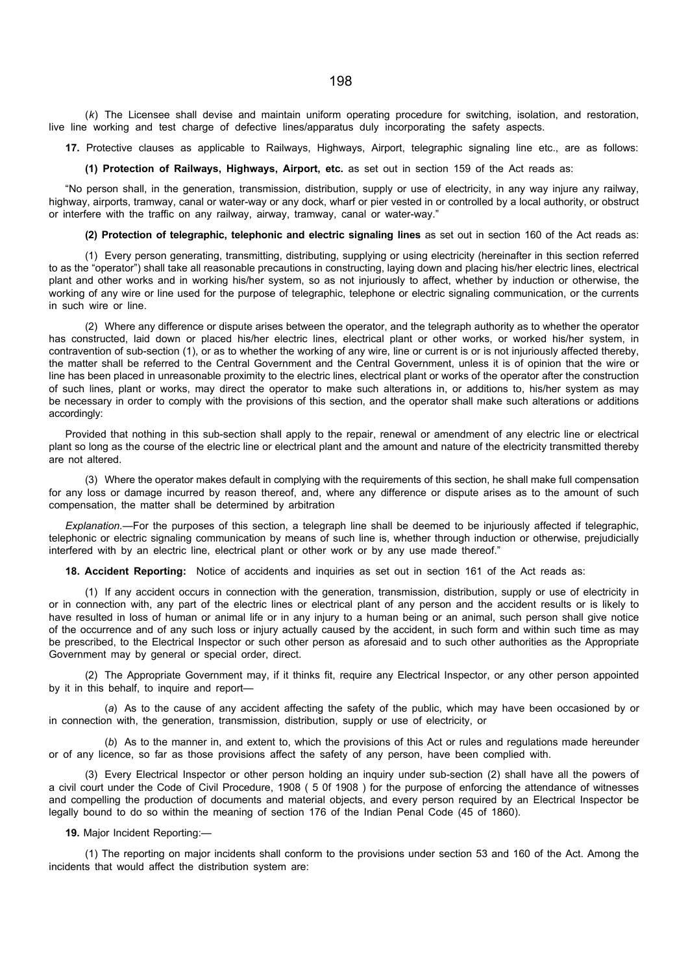(k) The Licensee shall devise and maintain uniform operating procedure for switching, isolation, and restoration, live line working and test charge of defective lines/apparatus duly incorporating the safety aspects.

17. Protective clauses as applicable to Railways, Highways, Airport, telegraphic signaling line etc., are as follows:

(1) Protection of Railways, Highways, Airport, etc. as set out in section 159 of the Act reads as:

"No person shall, in the generation, transmission, distribution, supply or use of electricity, in any way injure any railway, highway, airports, tramway, canal or water-way or any dock, wharf or pier vested in or controlled by a local authority, or obstruct or interfere with the traffic on any railway, airway, tramway, canal or water-way."

### (2) Protection of telegraphic, telephonic and electric signaling lines as set out in section 160 of the Act reads as:

(1) Every person generating, transmitting, distributing, supplying or using electricity (hereinafter in this section referred to as the "operator") shall take all reasonable precautions in constructing, laying down and placing his/her electric lines, electrical plant and other works and in working his/her system, so as not injuriously to affect, whether by induction or otherwise, the working of any wire or line used for the purpose of telegraphic, telephone or electric signaling communication, or the currents in such wire or line.

(2) Where any difference or dispute arises between the operator, and the telegraph authority as to whether the operator has constructed, laid down or placed his/her electric lines, electrical plant or other works, or worked his/her system, in contravention of sub-section (1), or as to whether the working of any wire, line or current is or is not injuriously affected thereby, the matter shall be referred to the Central Government and the Central Government, unless it is of opinion that the wire or line has been placed in unreasonable proximity to the electric lines, electrical plant or works of the operator after the construction of such lines, plant or works, may direct the operator to make such alterations in, or additions to, his/her system as may be necessary in order to comply with the provisions of this section, and the operator shall make such alterations or additions accordingly:

Provided that nothing in this sub-section shall apply to the repair, renewal or amendment of any electric line or electrical plant so long as the course of the electric line or electrical plant and the amount and nature of the electricity transmitted thereby are not altered.

(3) Where the operator makes default in complying with the requirements of this section, he shall make full compensation for any loss or damage incurred by reason thereof, and, where any difference or dispute arises as to the amount of such compensation, the matter shall be determined by arbitration

Explanation.—For the purposes of this section, a telegraph line shall be deemed to be injuriously affected if telegraphic, telephonic or electric signaling communication by means of such line is, whether through induction or otherwise, prejudicially interfered with by an electric line, electrical plant or other work or by any use made thereof."

18. Accident Reporting: Notice of accidents and inquiries as set out in section 161 of the Act reads as:

(1) If any accident occurs in connection with the generation, transmission, distribution, supply or use of electricity in or in connection with, any part of the electric lines or electrical plant of any person and the accident results or is likely to have resulted in loss of human or animal life or in any injury to a human being or an animal, such person shall give notice of the occurrence and of any such loss or injury actually caused by the accident, in such form and within such time as may be prescribed, to the Electrical Inspector or such other person as aforesaid and to such other authorities as the Appropriate Government may by general or special order, direct.

(2) The Appropriate Government may, if it thinks fit, require any Electrical Inspector, or any other person appointed by it in this behalf, to inquire and report—

(a) As to the cause of any accident affecting the safety of the public, which may have been occasioned by or in connection with, the generation, transmission, distribution, supply or use of electricity, or

(b) As to the manner in, and extent to, which the provisions of this Act or rules and regulations made hereunder or of any licence, so far as those provisions affect the safety of any person, have been complied with.

(3) Every Electrical Inspector or other person holding an inquiry under sub-section (2) shall have all the powers of a civil court under the Code of Civil Procedure, 1908 ( 5 0f 1908 ) for the purpose of enforcing the attendance of witnesses and compelling the production of documents and material objects, and every person required by an Electrical Inspector be legally bound to do so within the meaning of section 176 of the Indian Penal Code (45 of 1860).

19. Major Incident Reporting:—

(1) The reporting on major incidents shall conform to the provisions under section 53 and 160 of the Act. Among the incidents that would affect the distribution system are: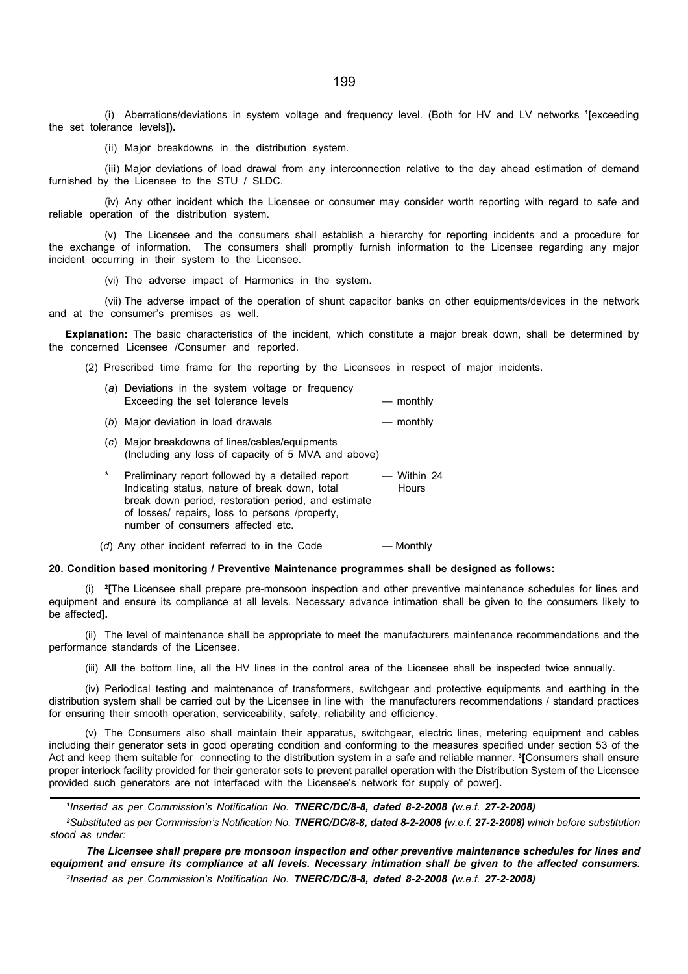(i) Aberrations/deviations in system voltage and frequency level. (Both for HV and LV networks <sup>1</sup> [exceeding the set tolerance levels]).

(ii) Major breakdowns in the distribution system.

(iii) Major deviations of load drawal from any interconnection relative to the day ahead estimation of demand furnished by the Licensee to the STU / SLDC.

(iv) Any other incident which the Licensee or consumer may consider worth reporting with regard to safe and reliable operation of the distribution system.

(v) The Licensee and the consumers shall establish a hierarchy for reporting incidents and a procedure for the exchange of information. The consumers shall promptly furnish information to the Licensee regarding any major incident occurring in their system to the Licensee.

(vi) The adverse impact of Harmonics in the system.

(vii) The adverse impact of the operation of shunt capacitor banks on other equipments/devices in the network and at the consumer's premises as well.

Explanation: The basic characteristics of the incident, which constitute a major break down, shall be determined by the concerned Licensee /Consumer and reported.

(2) Prescribed time frame for the reporting by the Licensees in respect of major incidents.

| (a) Deviations in the system voltage or frequency |             |
|---------------------------------------------------|-------------|
| Exceeding the set tolerance levels                | $-$ monthly |
| (b) Major deviation in load drawals               | $-$ monthly |

- (c) Major breakdowns of lines/cables/equipments (Including any loss of capacity of 5 MVA and above)
- Preliminary report followed by a detailed report Within 24<br>Indicating status, nature of break down, total Hours Indicating status, nature of break down, total break down period, restoration period, and estimate of losses/ repairs, loss to persons /property, number of consumers affected etc.

 $(d)$  Any other incident referred to in the Code  $-$  Monthly

#### 20. Condition based monitoring / Preventive Maintenance programmes shall be designed as follows:

(i) <sup>2</sup> [The Licensee shall prepare pre-monsoon inspection and other preventive maintenance schedules for lines and equipment and ensure its compliance at all levels. Necessary advance intimation shall be given to the consumers likely to be affected].

(ii) The level of maintenance shall be appropriate to meet the manufacturers maintenance recommendations and the performance standards of the Licensee.

(iii) All the bottom line, all the HV lines in the control area of the Licensee shall be inspected twice annually.

(iv) Periodical testing and maintenance of transformers, switchgear and protective equipments and earthing in the distribution system shall be carried out by the Licensee in line with the manufacturers recommendations / standard practices for ensuring their smooth operation, serviceability, safety, reliability and efficiency.

(v) The Consumers also shall maintain their apparatus, switchgear, electric lines, metering equipment and cables including their generator sets in good operating condition and conforming to the measures specified under section 53 of the Act and keep them suitable for connecting to the distribution system in a safe and reliable manner. <sup>3</sup>[Consumers shall ensure proper interlock facility provided for their generator sets to prevent parallel operation with the Distribution System of the Licensee provided such generators are not interfaced with the Licensee's network for supply of power].

1 Inserted as per Commission's Notification No. TNERC/DC/8-8, dated 8-2-2008 (w.e.f. 27-2-2008)

<sup>2</sup>Substituted as per Commission's Notification No. TNERC/DC/8-8, dated 8-2-2008 (w.e.f. 27-2-2008) which before substitution stood as under:

The Licensee shall prepare pre monsoon inspection and other preventive maintenance schedules for lines and equipment and ensure its compliance at all levels. Necessary intimation shall be given to the affected consumers. 3 Inserted as per Commission's Notification No. TNERC/DC/8-8, dated 8-2-2008 (w.e.f. 27-2-2008)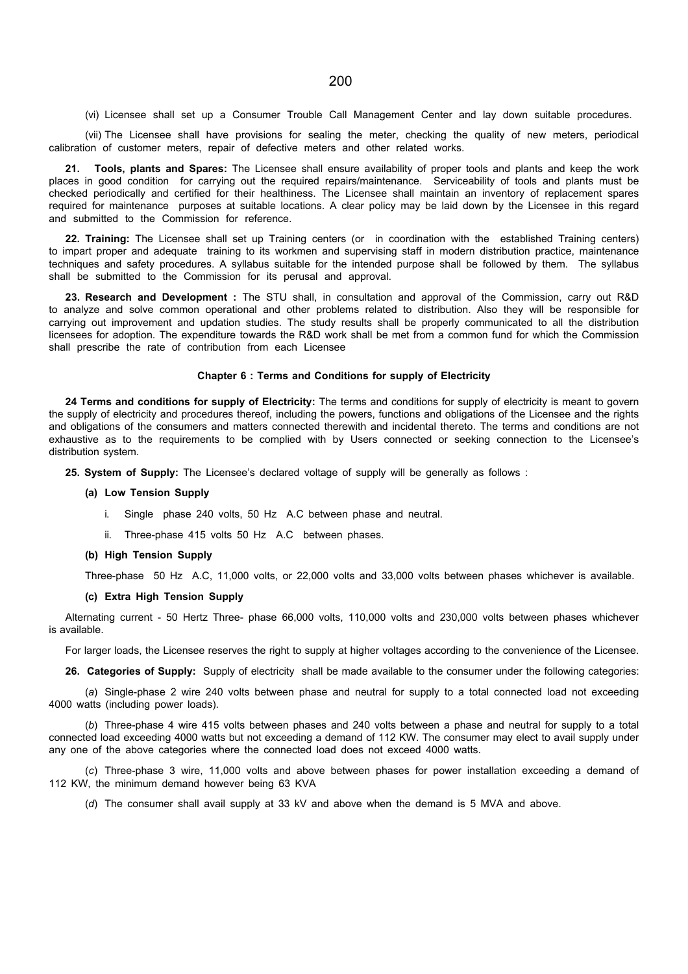(vi) Licensee shall set up a Consumer Trouble Call Management Center and lay down suitable procedures.

(vii) The Licensee shall have provisions for sealing the meter, checking the quality of new meters, periodical calibration of customer meters, repair of defective meters and other related works.

Tools, plants and Spares: The Licensee shall ensure availability of proper tools and plants and keep the work places in good condition for carrying out the required repairs/maintenance. Serviceability of tools and plants must be checked periodically and certified for their healthiness. The Licensee shall maintain an inventory of replacement spares required for maintenance purposes at suitable locations. A clear policy may be laid down by the Licensee in this regard and submitted to the Commission for reference.

22. Training: The Licensee shall set up Training centers (or in coordination with the established Training centers) to impart proper and adequate training to its workmen and supervising staff in modern distribution practice, maintenance techniques and safety procedures. A syllabus suitable for the intended purpose shall be followed by them. The syllabus shall be submitted to the Commission for its perusal and approval.

23. Research and Development : The STU shall, in consultation and approval of the Commission, carry out R&D to analyze and solve common operational and other problems related to distribution. Also they will be responsible for carrying out improvement and updation studies. The study results shall be properly communicated to all the distribution licensees for adoption. The expenditure towards the R&D work shall be met from a common fund for which the Commission shall prescribe the rate of contribution from each Licensee

#### Chapter 6 : Terms and Conditions for supply of Electricity

24 Terms and conditions for supply of Electricity: The terms and conditions for supply of electricity is meant to govern the supply of electricity and procedures thereof, including the powers, functions and obligations of the Licensee and the rights and obligations of the consumers and matters connected therewith and incidental thereto. The terms and conditions are not exhaustive as to the requirements to be complied with by Users connected or seeking connection to the Licensee's distribution system.

25. System of Supply: The Licensee's declared voltage of supply will be generally as follows :

#### (a) Low Tension Supply

- i. Single phase 240 volts, 50 Hz A.C between phase and neutral.
- ii. Three-phase 415 volts 50 Hz A.C between phases.

#### (b) High Tension Supply

Three-phase 50 Hz A.C, 11,000 volts, or 22,000 volts and 33,000 volts between phases whichever is available.

#### (c) Extra High Tension Supply

Alternating current - 50 Hertz Three- phase 66,000 volts, 110,000 volts and 230,000 volts between phases whichever is available.

For larger loads, the Licensee reserves the right to supply at higher voltages according to the convenience of the Licensee.

26. Categories of Supply: Supply of electricity shall be made available to the consumer under the following categories:

(a) Single-phase 2 wire 240 volts between phase and neutral for supply to a total connected load not exceeding 4000 watts (including power loads).

(b) Three-phase 4 wire 415 volts between phases and 240 volts between a phase and neutral for supply to a total connected load exceeding 4000 watts but not exceeding a demand of 112 KW. The consumer may elect to avail supply under any one of the above categories where the connected load does not exceed 4000 watts.

(c) Three-phase 3 wire, 11,000 volts and above between phases for power installation exceeding a demand of 112 KW, the minimum demand however being 63 KVA

(d) The consumer shall avail supply at 33 kV and above when the demand is 5 MVA and above.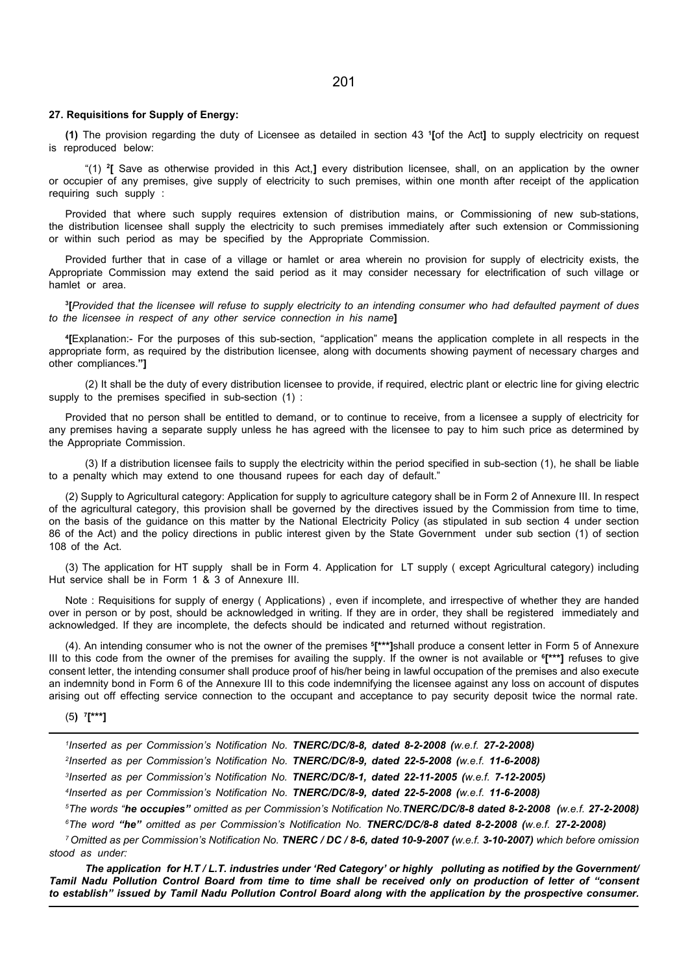#### 27. Requisitions for Supply of Energy:

(1) The provision regarding the duty of Licensee as detailed in section 43 <sup>1</sup> [of the Act] to supply electricity on request is reproduced below:

"(1) <sup>2</sup> [ Save as otherwise provided in this Act,] every distribution licensee, shall, on an application by the owner or occupier of any premises, give supply of electricity to such premises, within one month after receipt of the application requiring such supply :

Provided that where such supply requires extension of distribution mains, or Commissioning of new sub-stations, the distribution licensee shall supply the electricity to such premises immediately after such extension or Commissioning or within such period as may be specified by the Appropriate Commission.

Provided further that in case of a village or hamlet or area wherein no provision for supply of electricity exists, the Appropriate Commission may extend the said period as it may consider necessary for electrification of such village or hamlet or area.

3 [Provided that the licensee will refuse to supply electricity to an intending consumer who had defaulted payment of dues to the licensee in respect of any other service connection in his name]

4 [Explanation:- For the purposes of this sub-section, "application" means the application complete in all respects in the appropriate form, as required by the distribution licensee, along with documents showing payment of necessary charges and other compliances."]

(2) It shall be the duty of every distribution licensee to provide, if required, electric plant or electric line for giving electric supply to the premises specified in sub-section (1) :

Provided that no person shall be entitled to demand, or to continue to receive, from a licensee a supply of electricity for any premises having a separate supply unless he has agreed with the licensee to pay to him such price as determined by the Appropriate Commission.

(3) If a distribution licensee fails to supply the electricity within the period specified in sub-section (1), he shall be liable to a penalty which may extend to one thousand rupees for each day of default."

(2) Supply to Agricultural category: Application for supply to agriculture category shall be in Form 2 of Annexure III. In respect of the agricultural category, this provision shall be governed by the directives issued by the Commission from time to time, on the basis of the guidance on this matter by the National Electricity Policy (as stipulated in sub section 4 under section 86 of the Act) and the policy directions in public interest given by the State Government under sub section (1) of section 108 of the Act.

(3) The application for HT supply shall be in Form 4. Application for LT supply ( except Agricultural category) including Hut service shall be in Form 1 & 3 of Annexure III.

Note : Requisitions for supply of energy ( Applications) , even if incomplete, and irrespective of whether they are handed over in person or by post, should be acknowledged in writing. If they are in order, they shall be registered immediately and acknowledged. If they are incomplete, the defects should be indicated and returned without registration.

(4). An intending consumer who is not the owner of the premises <sup>5</sup> [\*\*\*]shall produce a consent letter in Form 5 of Annexure III to this code from the owner of the premises for availing the supply. If the owner is not available or  $6$ <sup>\*\*\*</sup>] refuses to give consent letter, the intending consumer shall produce proof of his/her being in lawful occupation of the premises and also execute an indemnity bond in Form 6 of the Annexure III to this code indemnifying the licensee against any loss on account of disputes arising out off effecting service connection to the occupant and acceptance to pay security deposit twice the normal rate.

#### (5) <sup>7</sup> [\*\*\*]

 Inserted as per Commission's Notification No. TNERC/DC/8-8, dated 8-2-2008 (w.e.f. 27-2-2008) Inserted as per Commission's Notification No. TNERC/DC/8-9, dated 22-5-2008 (w.e.f. 11-6-2008) Inserted as per Commission's Notification No. TNERC/DC/8-1, dated 22-11-2005 (w.e.f. 7-12-2005) Inserted as per Commission's Notification No. TNERC/DC/8-9, dated 22-5-2008 (w.e.f. 11-6-2008)

<sup>5</sup>The words "he occupies" omitted as per Commission's Notification No.TNERC/DC/8-8 dated 8-2-2008 (w.e.f. 27-2-2008) <sup>6</sup>The word "he" omitted as per Commission's Notification No. TNERC/DC/8-8 dated 8-2-2008 (w.e.f. 27-2-2008)

<sup>7</sup> Omitted as per Commission's Notification No. TNERC / DC / 8-6, dated 10-9-2007 (w.e.f. 3-10-2007) which before omission stood as under:

The application for H.T / L.T. industries under 'Red Category' or highly polluting as notified by the Government/ Tamil Nadu Pollution Control Board from time to time shall be received only on production of letter of "consent to establish" issued by Tamil Nadu Pollution Control Board along with the application by the prospective consumer.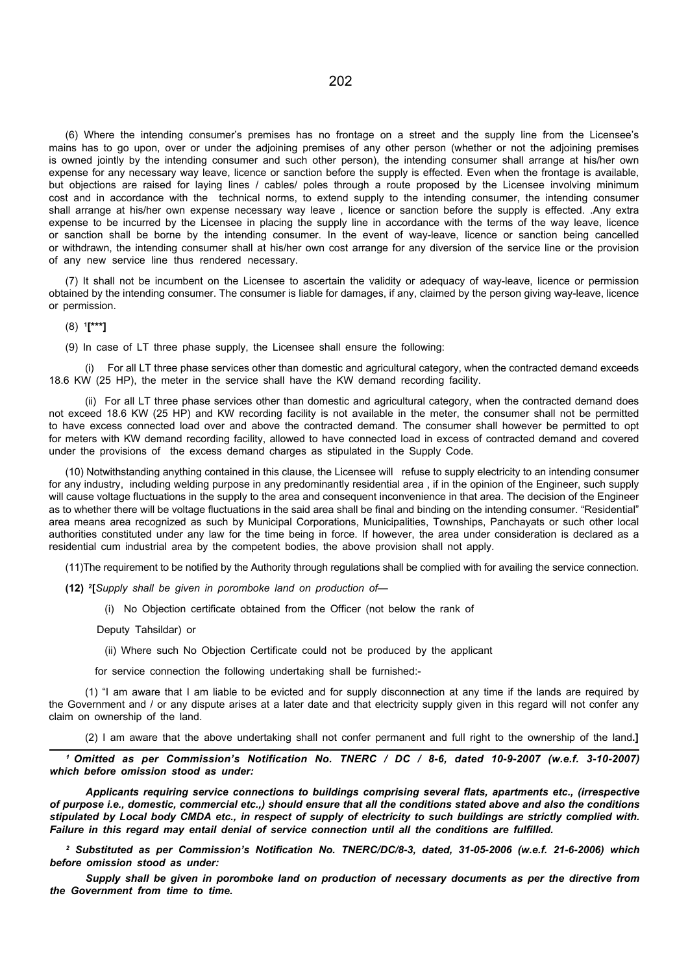(6) Where the intending consumer's premises has no frontage on a street and the supply line from the Licensee's mains has to go upon, over or under the adjoining premises of any other person (whether or not the adjoining premises is owned jointly by the intending consumer and such other person), the intending consumer shall arrange at his/her own expense for any necessary way leave, licence or sanction before the supply is effected. Even when the frontage is available, but objections are raised for laying lines / cables/ poles through a route proposed by the Licensee involving minimum cost and in accordance with the technical norms, to extend supply to the intending consumer, the intending consumer shall arrange at his/her own expense necessary way leave , licence or sanction before the supply is effected. .Any extra expense to be incurred by the Licensee in placing the supply line in accordance with the terms of the way leave, licence or sanction shall be borne by the intending consumer. In the event of way-leave, licence or sanction being cancelled or withdrawn, the intending consumer shall at his/her own cost arrange for any diversion of the service line or the provision of any new service line thus rendered necessary.

(7) It shall not be incumbent on the Licensee to ascertain the validity or adequacy of way-leave, licence or permission obtained by the intending consumer. The consumer is liable for damages, if any, claimed by the person giving way-leave, licence or permission.

(8) <sup>1</sup> [\*\*\*]

(9) In case of LT three phase supply, the Licensee shall ensure the following:

(i) For all LT three phase services other than domestic and agricultural category, when the contracted demand exceeds 18.6 KW (25 HP), the meter in the service shall have the KW demand recording facility.

(ii) For all LT three phase services other than domestic and agricultural category, when the contracted demand does not exceed 18.6 KW (25 HP) and KW recording facility is not available in the meter, the consumer shall not be permitted to have excess connected load over and above the contracted demand. The consumer shall however be permitted to opt for meters with KW demand recording facility, allowed to have connected load in excess of contracted demand and covered under the provisions of the excess demand charges as stipulated in the Supply Code.

(10) Notwithstanding anything contained in this clause, the Licensee will refuse to supply electricity to an intending consumer for any industry, including welding purpose in any predominantly residential area , if in the opinion of the Engineer, such supply will cause voltage fluctuations in the supply to the area and consequent inconvenience in that area. The decision of the Engineer as to whether there will be voltage fluctuations in the said area shall be final and binding on the intending consumer. "Residential" area means area recognized as such by Municipal Corporations, Municipalities, Townships, Panchayats or such other local authorities constituted under any law for the time being in force. If however, the area under consideration is declared as a residential cum industrial area by the competent bodies, the above provision shall not apply.

(11)The requirement to be notified by the Authority through regulations shall be complied with for availing the service connection.

(12) <sup>2</sup>[Supply shall be given in poromboke land on production of-

(i) No Objection certificate obtained from the Officer (not below the rank of

Deputy Tahsildar) or

(ii) Where such No Objection Certificate could not be produced by the applicant

for service connection the following undertaking shall be furnished:-

(1) "I am aware that I am liable to be evicted and for supply disconnection at any time if the lands are required by the Government and / or any dispute arises at a later date and that electricity supply given in this regard will not confer any claim on ownership of the land.

(2) I am aware that the above undertaking shall not confer permanent and full right to the ownership of the land.]

<sup>1</sup>Omitted as per Commission's Notification No. TNERC / DC / 8-6, dated 10-9-2007 (w.e.f. 3-10-2007) which before omission stood as under:

Applicants requiring service connections to buildings comprising several flats, apartments etc., (irrespective of purpose i.e., domestic, commercial etc.,) should ensure that all the conditions stated above and also the conditions stipulated by Local body CMDA etc., in respect of supply of electricity to such buildings are strictly complied with. Failure in this regard may entail denial of service connection until all the conditions are fulfilled.

2 Substituted as per Commission's Notification No. TNERC/DC/8-3, dated, 31-05-2006 (w.e.f. 21-6-2006) which before omission stood as under:

Supply shall be given in poromboke land on production of necessary documents as per the directive from the Government from time to time.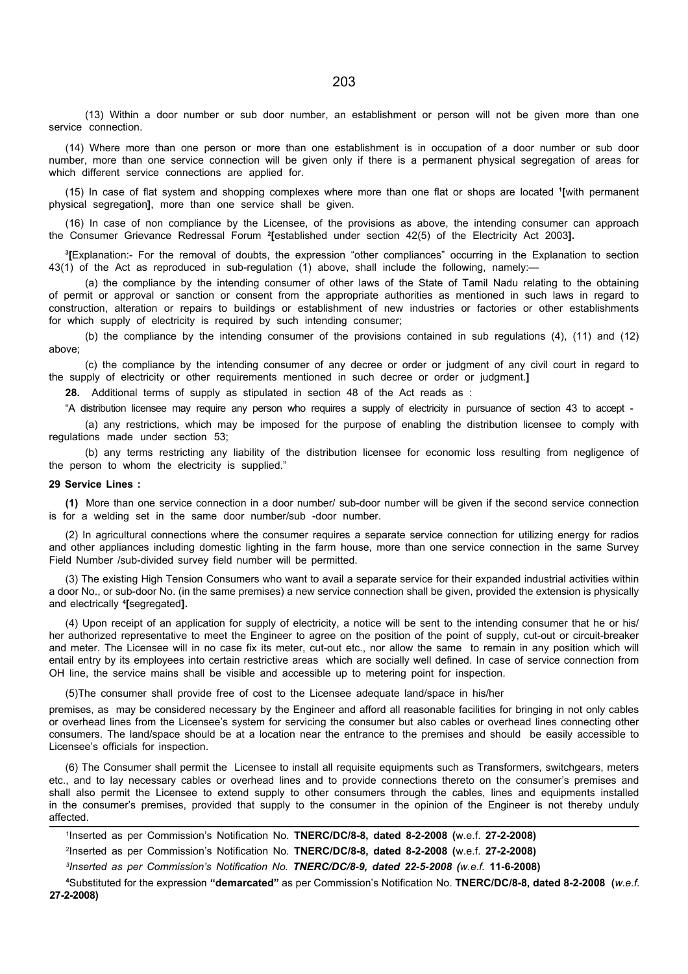(13) Within a door number or sub door number, an establishment or person will not be given more than one service connection.

(14) Where more than one person or more than one establishment is in occupation of a door number or sub door number, more than one service connection will be given only if there is a permanent physical segregation of areas for which different service connections are applied for.

(15) In case of flat system and shopping complexes where more than one flat or shops are located <sup>1</sup> [with permanent physical segregation], more than one service shall be given.

(16) In case of non compliance by the Licensee, of the provisions as above, the intending consumer can approach the Consumer Grievance Redressal Forum <sup>2</sup>[established under section 42(5) of the Electricity Act 2003].

3 [Explanation:- For the removal of doubts, the expression "other compliances" occurring in the Explanation to section 43(1) of the Act as reproduced in sub-regulation (1) above, shall include the following, namely:—

(a) the compliance by the intending consumer of other laws of the State of Tamil Nadu relating to the obtaining of permit or approval or sanction or consent from the appropriate authorities as mentioned in such laws in regard to construction, alteration or repairs to buildings or establishment of new industries or factories or other establishments for which supply of electricity is required by such intending consumer;

(b) the compliance by the intending consumer of the provisions contained in sub regulations (4), (11) and (12) above;

(c) the compliance by the intending consumer of any decree or order or judgment of any civil court in regard to the supply of electricity or other requirements mentioned in such decree or order or judgment.]

28. Additional terms of supply as stipulated in section 48 of the Act reads as :

"A distribution licensee may require any person who requires a supply of electricity in pursuance of section 43 to accept -

(a) any restrictions, which may be imposed for the purpose of enabling the distribution licensee to comply with regulations made under section 53;

(b) any terms restricting any liability of the distribution licensee for economic loss resulting from negligence of the person to whom the electricity is supplied."

#### 29 Service Lines :

(1) More than one service connection in a door number/ sub-door number will be given if the second service connection is for a welding set in the same door number/sub -door number.

(2) In agricultural connections where the consumer requires a separate service connection for utilizing energy for radios and other appliances including domestic lighting in the farm house, more than one service connection in the same Survey Field Number /sub-divided survey field number will be permitted.

(3) The existing High Tension Consumers who want to avail a separate service for their expanded industrial activities within a door No., or sub-door No. (in the same premises) a new service connection shall be given, provided the extension is physically and electrically <sup>4</sup> [segregated].

(4) Upon receipt of an application for supply of electricity, a notice will be sent to the intending consumer that he or his/ her authorized representative to meet the Engineer to agree on the position of the point of supply, cut-out or circuit-breaker and meter. The Licensee will in no case fix its meter, cut-out etc., nor allow the same to remain in any position which will entail entry by its employees into certain restrictive areas which are socially well defined. In case of service connection from OH line, the service mains shall be visible and accessible up to metering point for inspection.

(5)The consumer shall provide free of cost to the Licensee adequate land/space in his/her

premises, as may be considered necessary by the Engineer and afford all reasonable facilities for bringing in not only cables or overhead lines from the Licensee's system for servicing the consumer but also cables or overhead lines connecting other consumers. The land/space should be at a location near the entrance to the premises and should be easily accessible to Licensee's officials for inspection.

(6) The Consumer shall permit the Licensee to install all requisite equipments such as Transformers, switchgears, meters etc., and to lay necessary cables or overhead lines and to provide connections thereto on the consumer's premises and shall also permit the Licensee to extend supply to other consumers through the cables, lines and equipments installed in the consumer's premises, provided that supply to the consumer in the opinion of the Engineer is not thereby unduly affected.

| <sup>1</sup> Inserted as per Commission's Notification No. <b>TNERC/DC/8-8, dated 8-2-2008 (</b> w.e.f. 27-2-2008)     |  |  |  |
|------------------------------------------------------------------------------------------------------------------------|--|--|--|
| <sup>2</sup> Inserted as per Commission's Notification No. <b>TNERC/DC/8-8, dated 8-2-2008 (w.e.f. 27-2-2008)</b>      |  |  |  |
| <sup>3</sup> Inserted as per Commission's Notification No. TNERC/DC/8-9, dated 22-5-2008 (w.e.f. 11-6-2008)            |  |  |  |
| 4Substituted for the expression "demarcated" as per Commission's Notification No. TNERC/DC/8-8, dated 8-2-2008 (w.e.f. |  |  |  |

27-2-2008)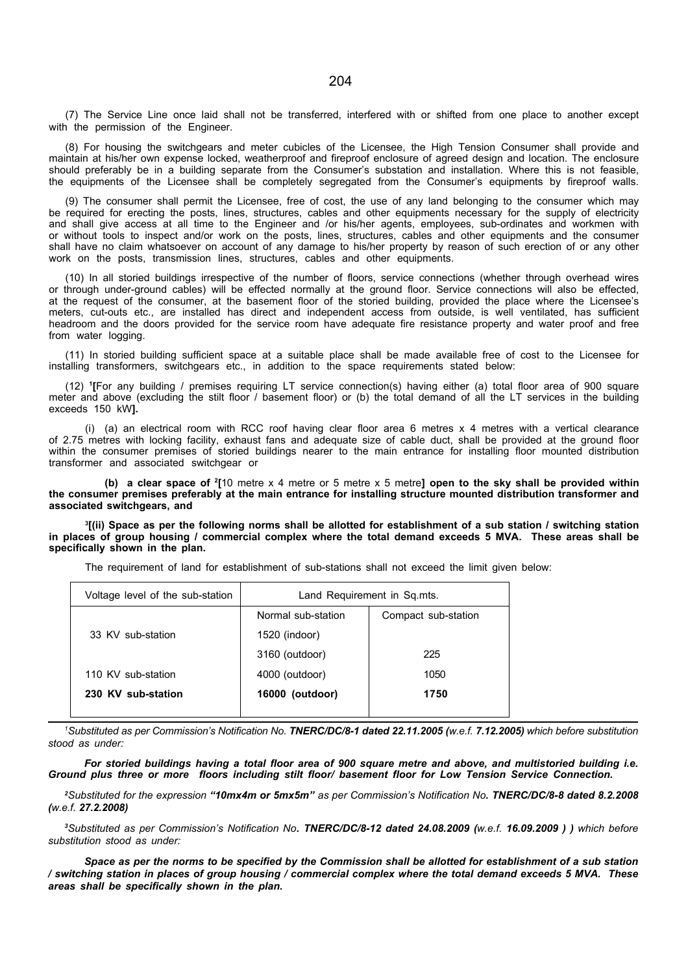(7) The Service Line once laid shall not be transferred, interfered with or shifted from one place to another except with the permission of the Engineer.

(8) For housing the switchgears and meter cubicles of the Licensee, the High Tension Consumer shall provide and maintain at his/her own expense locked, weatherproof and fireproof enclosure of agreed design and location. The enclosure should preferably be in a building separate from the Consumer's substation and installation. Where this is not feasible, the equipments of the Licensee shall be completely segregated from the Consumer's equipments by fireproof walls.

(9) The consumer shall permit the Licensee, free of cost, the use of any land belonging to the consumer which may be required for erecting the posts, lines, structures, cables and other equipments necessary for the supply of electricity and shall give access at all time to the Engineer and /or his/her agents, employees, sub-ordinates and workmen with or without tools to inspect and/or work on the posts, lines, structures, cables and other equipments and the consumer shall have no claim whatsoever on account of any damage to his/her property by reason of such erection of or any other work on the posts, transmission lines, structures, cables and other equipments.

(10) In all storied buildings irrespective of the number of floors, service connections (whether through overhead wires or through under-ground cables) will be effected normally at the ground floor. Service connections will also be effected, at the request of the consumer, at the basement floor of the storied building, provided the place where the Licensee's meters, cut-outs etc., are installed has direct and independent access from outside, is well ventilated, has sufficient headroom and the doors provided for the service room have adequate fire resistance property and water proof and free from water logging.

(11) In storied building sufficient space at a suitable place shall be made available free of cost to the Licensee for installing transformers, switchgears etc., in addition to the space requirements stated below:

(12) <sup>1</sup> [For any building / premises requiring LT service connection(s) having either (a) total floor area of 900 square meter and above (excluding the stilt floor / basement floor) or (b) the total demand of all the LT services in the building exceeds 150 kW].

(i) (a) an electrical room with RCC roof having clear floor area 6 metres x 4 metres with a vertical clearance of 2.75 metres with locking facility, exhaust fans and adequate size of cable duct, shall be provided at the ground floor within the consumer premises of storied buildings nearer to the main entrance for installing floor mounted distribution transformer and associated switchgear or

(b) a clear space of  $2[10 \text{ metre } x \cdot 4 \text{ metre or } 5 \text{ metre } x \cdot 5 \text{ metre}]$  open to the sky shall be provided within the consumer premises preferably at the main entrance for installing structure mounted distribution transformer and associated switchgears, and

3 [(ii) Space as per the following norms shall be allotted for establishment of a sub station / switching station in places of group housing / commercial complex where the total demand exceeds 5 MVA. These areas shall be specifically shown in the plan.

The requirement of land for establishment of sub-stations shall not exceed the limit given below:

| Voltage level of the sub-station | Land Requirement in Sq.mts. |                     |  |  |
|----------------------------------|-----------------------------|---------------------|--|--|
|                                  | Normal sub-station          | Compact sub-station |  |  |
| 33 KV sub-station                | 1520 (indoor)               |                     |  |  |
|                                  | 3160 (outdoor)              | 225                 |  |  |
| 110 KV sub-station               | 4000 (outdoor)              | 1050                |  |  |
| 230 KV sub-station               | 16000 (outdoor)             | 1750                |  |  |
|                                  |                             |                     |  |  |

<sup>1</sup>Substituted as per Commission's Notification No. TNERC/DC/8-1 dated 22.11.2005 (w.e.f. 7.12.2005) which before substitution stood as under:

For storied buildings having a total floor area of 900 square metre and above, and multistoried building i.e. Ground plus three or more floors including stilt floor/ basement floor for Low Tension Service Connection.

<sup>2</sup>Substituted for the expression "10mx4m or 5mx5m" as per Commission's Notification No. TNERC/DC/8-8 dated 8.2.2008 (w.e.f. 27.2.2008)

<sup>3</sup>Substituted as per Commission's Notification No. TNERC/DC/8-12 dated 24.08.2009 (w.e.f. 16.09.2009) ) which before substitution stood as under:

Space as per the norms to be specified by the Commission shall be allotted for establishment of a sub station / switching station in places of group housing / commercial complex where the total demand exceeds 5 MVA. These areas shall be specifically shown in the plan.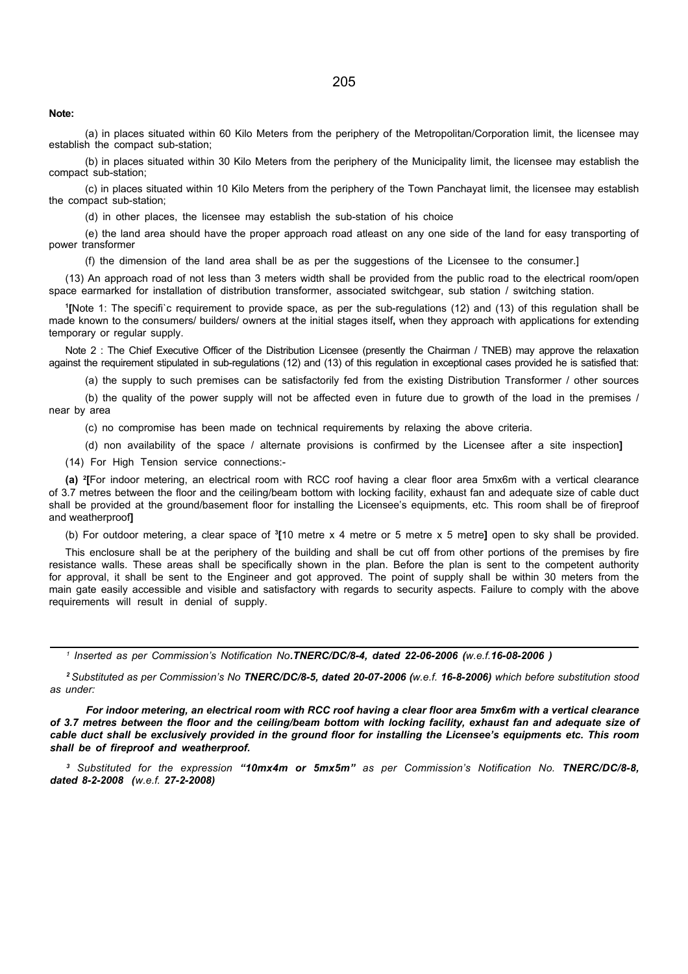Note:

(a) in places situated within 60 Kilo Meters from the periphery of the Metropolitan/Corporation limit, the licensee may establish the compact sub-station;

(b) in places situated within 30 Kilo Meters from the periphery of the Municipality limit, the licensee may establish the compact sub-station;

(c) in places situated within 10 Kilo Meters from the periphery of the Town Panchayat limit, the licensee may establish the compact sub-station;

(d) in other places, the licensee may establish the sub-station of his choice

(e) the land area should have the proper approach road atleast on any one side of the land for easy transporting of power transformer

(f) the dimension of the land area shall be as per the suggestions of the Licensee to the consumer.]

(13) An approach road of not less than 3 meters width shall be provided from the public road to the electrical room/open space earmarked for installation of distribution transformer, associated switchgear, sub station / switching station.

1 [Note 1: The specifi`c requirement to provide space, as per the sub-regulations (12) and (13) of this regulation shall be made known to the consumers/ builders/ owners at the initial stages itself, when they approach with applications for extending temporary or regular supply.

Note 2 : The Chief Executive Officer of the Distribution Licensee (presently the Chairman / TNEB) may approve the relaxation against the requirement stipulated in sub-regulations (12) and (13) of this regulation in exceptional cases provided he is satisfied that:

(a) the supply to such premises can be satisfactorily fed from the existing Distribution Transformer / other sources

(b) the quality of the power supply will not be affected even in future due to growth of the load in the premises / near by area

(c) no compromise has been made on technical requirements by relaxing the above criteria.

(d) non availability of the space / alternate provisions is confirmed by the Licensee after a site inspection]

(14) For High Tension service connections:-

(a) <sup>2</sup> [For indoor metering, an electrical room with RCC roof having a clear floor area 5mx6m with a vertical clearance of 3.7 metres between the floor and the ceiling/beam bottom with locking facility, exhaust fan and adequate size of cable duct shall be provided at the ground/basement floor for installing the Licensee's equipments, etc. This room shall be of fireproof and weatherproof]

(b) For outdoor metering, a clear space of <sup>3</sup>[10 metre x 4 metre or 5 metre x 5 metre] open to sky shall be provided.

This enclosure shall be at the periphery of the building and shall be cut off from other portions of the premises by fire resistance walls. These areas shall be specifically shown in the plan. Before the plan is sent to the competent authority for approval, it shall be sent to the Engineer and got approved. The point of supply shall be within 30 meters from the main gate easily accessible and visible and satisfactory with regards to security aspects. Failure to comply with the above requirements will result in denial of supply.

<sup>1</sup> Inserted as per Commission's Notification No**.TNERC/DC/8-4, dated 22-06-2006 (**w.e.f.**16-08-2006 )** 

<sup>2</sup> Substituted as per Commission's No TNERC/DC/8-5, dated 20-07-2006 (w.e.f. 16-8-2006) which before substitution stood as under:

For indoor metering, an electrical room with RCC roof having a clear floor area 5mx6m with a vertical clearance of 3.7 metres between the floor and the ceiling/beam bottom with locking facility, exhaust fan and adequate size of cable duct shall be exclusively provided in the ground floor for installing the Licensee's equipments etc. This room shall be of fireproof and weatherproof.

<sup>3</sup> Substituted for the expression "10mx4m or 5mx5m" as per Commission's Notification No. TNERC/DC/8-8, dated 8-2-2008 (w.e.f. 27-2-2008)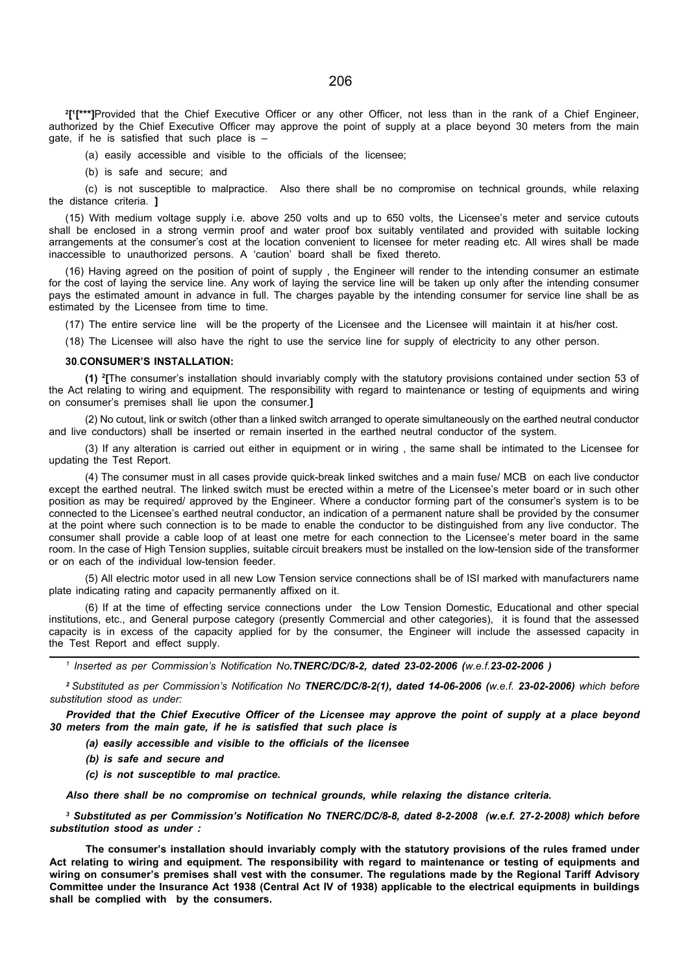2 [ 1 [\*\*\*]Provided that the Chief Executive Officer or any other Officer, not less than in the rank of a Chief Engineer, authorized by the Chief Executive Officer may approve the point of supply at a place beyond 30 meters from the main gate, if he is satisfied that such place is –

(a) easily accessible and visible to the officials of the licensee;

(b) is safe and secure; and

(c) is not susceptible to malpractice. Also there shall be no compromise on technical grounds, while relaxing the distance criteria. 1

(15) With medium voltage supply i.e. above 250 volts and up to 650 volts, the Licensee's meter and service cutouts shall be enclosed in a strong vermin proof and water proof box suitably ventilated and provided with suitable locking arrangements at the consumer's cost at the location convenient to licensee for meter reading etc. All wires shall be made inaccessible to unauthorized persons. A 'caution' board shall be fixed thereto.

(16) Having agreed on the position of point of supply , the Engineer will render to the intending consumer an estimate for the cost of laying the service line. Any work of laying the service line will be taken up only after the intending consumer pays the estimated amount in advance in full. The charges payable by the intending consumer for service line shall be as estimated by the Licensee from time to time.

(17) The entire service line will be the property of the Licensee and the Licensee will maintain it at his/her cost.

(18) The Licensee will also have the right to use the service line for supply of electricity to any other person.

#### 30.CONSUMER'S INSTALLATION:

(1) <sup>2</sup> [The consumer's installation should invariably comply with the statutory provisions contained under section 53 of the Act relating to wiring and equipment. The responsibility with regard to maintenance or testing of equipments and wiring on consumer's premises shall lie upon the consumer.]

(2) No cutout, link or switch (other than a linked switch arranged to operate simultaneously on the earthed neutral conductor and live conductors) shall be inserted or remain inserted in the earthed neutral conductor of the system.

(3) If any alteration is carried out either in equipment or in wiring , the same shall be intimated to the Licensee for updating the Test Report.

(4) The consumer must in all cases provide quick-break linked switches and a main fuse/ MCB on each live conductor except the earthed neutral. The linked switch must be erected within a metre of the Licensee's meter board or in such other position as may be required/ approved by the Engineer. Where a conductor forming part of the consumer's system is to be connected to the Licensee's earthed neutral conductor, an indication of a permanent nature shall be provided by the consumer at the point where such connection is to be made to enable the conductor to be distinguished from any live conductor. The consumer shall provide a cable loop of at least one metre for each connection to the Licensee's meter board in the same room. In the case of High Tension supplies, suitable circuit breakers must be installed on the low-tension side of the transformer or on each of the individual low-tension feeder.

(5) All electric motor used in all new Low Tension service connections shall be of ISI marked with manufacturers name plate indicating rating and capacity permanently affixed on it.

(6) If at the time of effecting service connections under the Low Tension Domestic, Educational and other special institutions, etc., and General purpose category (presently Commercial and other categories), it is found that the assessed capacity is in excess of the capacity applied for by the consumer, the Engineer will include the assessed capacity in the Test Report and effect supply.

<sup>1</sup> Inserted as per Commission's Notification No**.TNERC/DC/8-2, dated 23-02-2006 (**w.e.f.**23-02-2006 )** 

<sup>2</sup> Substituted as per Commission's Notification No TNERC/DC/8-2(1), dated 14-06-2006 (w.e.f. 23-02-2006) which before substitution stood as under:

Provided that the Chief Executive Officer of the Licensee may approve the point of supply at a place beyond 30 meters from the main gate, if he is satisfied that such place is

(a) easily accessible and visible to the officials of the licensee

- (b) is safe and secure and
- (c) is not susceptible to mal practice.

Also there shall be no compromise on technical grounds, while relaxing the distance criteria.

3 Substituted as per Commission's Notification No TNERC/DC/8-8, dated 8-2-2008 (w.e.f. 27-2-2008) which before substitution stood as under :

The consumer's installation should invariably comply with the statutory provisions of the rules framed under Act relating to wiring and equipment. The responsibility with regard to maintenance or testing of equipments and wiring on consumer's premises shall vest with the consumer. The regulations made by the Regional Tariff Advisory Committee under the Insurance Act 1938 (Central Act IV of 1938) applicable to the electrical equipments in buildings shall be complied with by the consumers.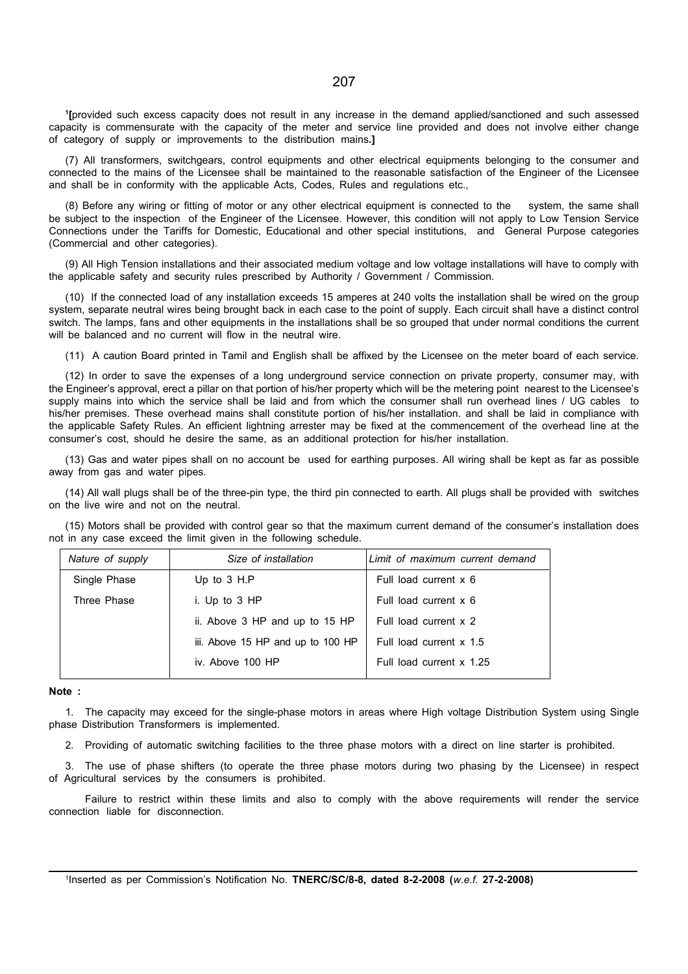1 [provided such excess capacity does not result in any increase in the demand applied/sanctioned and such assessed capacity is commensurate with the capacity of the meter and service line provided and does not involve either change of category of supply or improvements to the distribution mains.]

(7) All transformers, switchgears, control equipments and other electrical equipments belonging to the consumer and connected to the mains of the Licensee shall be maintained to the reasonable satisfaction of the Engineer of the Licensee and shall be in conformity with the applicable Acts, Codes, Rules and regulations etc.,

(8) Before any wiring or fitting of motor or any other electrical equipment is connected to the system, the same shall be subject to the inspection of the Engineer of the Licensee. However, this condition will not apply to Low Tension Service Connections under the Tariffs for Domestic, Educational and other special institutions, and General Purpose categories (Commercial and other categories).

(9) All High Tension installations and their associated medium voltage and low voltage installations will have to comply with the applicable safety and security rules prescribed by Authority / Government / Commission.

(10) If the connected load of any installation exceeds 15 amperes at 240 volts the installation shall be wired on the group system, separate neutral wires being brought back in each case to the point of supply. Each circuit shall have a distinct control switch. The lamps, fans and other equipments in the installations shall be so grouped that under normal conditions the current will be balanced and no current will flow in the neutral wire.

(11) A caution Board printed in Tamil and English shall be affixed by the Licensee on the meter board of each service.

(12) In order to save the expenses of a long underground service connection on private property, consumer may, with the Engineer's approval, erect a pillar on that portion of his/her property which will be the metering point nearest to the Licensee's supply mains into which the service shall be laid and from which the consumer shall run overhead lines / UG cables to his/her premises. These overhead mains shall constitute portion of his/her installation. and shall be laid in compliance with the applicable Safety Rules. An efficient lightning arrester may be fixed at the commencement of the overhead line at the consumer's cost, should he desire the same, as an additional protection for his/her installation.

(13) Gas and water pipes shall on no account be used for earthing purposes. All wiring shall be kept as far as possible away from gas and water pipes.

(14) All wall plugs shall be of the three-pin type, the third pin connected to earth. All plugs shall be provided with switches on the live wire and not on the neutral.

(15) Motors shall be provided with control gear so that the maximum current demand of the consumer's installation does not in any case exceed the limit given in the following schedule.

| Nature of supply | Size of installation              | Limit of maximum current demand |  |  |
|------------------|-----------------------------------|---------------------------------|--|--|
| Single Phase     | Up to $3$ H.P                     | Full load current x 6           |  |  |
| Three Phase      | i. Up to 3 HP                     | Full load current x 6           |  |  |
|                  | ii. Above 3 HP and up to 15 HP    | Full load current x 2           |  |  |
|                  | iii. Above 15 HP and up to 100 HP | Full load current x 1.5         |  |  |
|                  | iv. Above 100 HP                  | Full load current x 1.25        |  |  |
|                  |                                   |                                 |  |  |

#### Note :

1. The capacity may exceed for the single-phase motors in areas where High voltage Distribution System using Single phase Distribution Transformers is implemented.

2. Providing of automatic switching facilities to the three phase motors with a direct on line starter is prohibited.

3. The use of phase shifters (to operate the three phase motors during two phasing by the Licensee) in respect of Agricultural services by the consumers is prohibited.

Failure to restrict within these limits and also to comply with the above requirements will render the service connection liable for disconnection.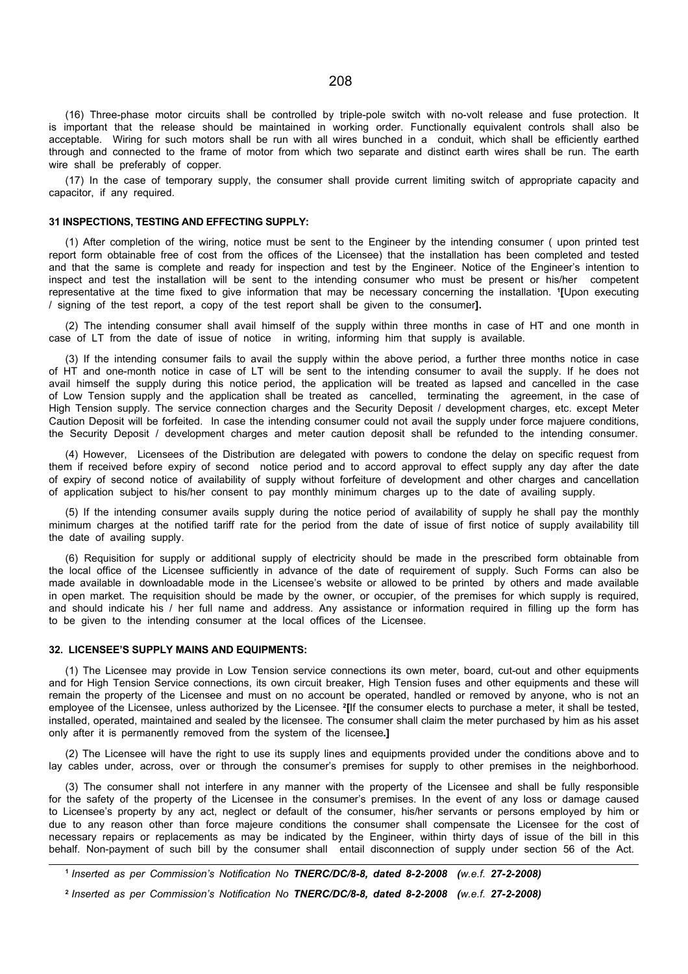(16) Three-phase motor circuits shall be controlled by triple-pole switch with no-volt release and fuse protection. It is important that the release should be maintained in working order. Functionally equivalent controls shall also be acceptable. Wiring for such motors shall be run with all wires bunched in a conduit, which shall be efficiently earthed through and connected to the frame of motor from which two separate and distinct earth wires shall be run. The earth wire shall be preferably of copper.

(17) In the case of temporary supply, the consumer shall provide current limiting switch of appropriate capacity and capacitor, if any required.

#### 31 INSPECTIONS, TESTING AND EFFECTING SUPPLY:

(1) After completion of the wiring, notice must be sent to the Engineer by the intending consumer ( upon printed test report form obtainable free of cost from the offices of the Licensee) that the installation has been completed and tested and that the same is complete and ready for inspection and test by the Engineer. Notice of the Engineer's intention to inspect and test the installation will be sent to the intending consumer who must be present or his/her competent representative at the time fixed to give information that may be necessary concerning the installation. <sup>1</sup> [Upon executing / signing of the test report, a copy of the test report shall be given to the consumer].

(2) The intending consumer shall avail himself of the supply within three months in case of HT and one month in case of LT from the date of issue of notice in writing, informing him that supply is available.

(3) If the intending consumer fails to avail the supply within the above period, a further three months notice in case of HT and one-month notice in case of LT will be sent to the intending consumer to avail the supply. If he does not avail himself the supply during this notice period, the application will be treated as lapsed and cancelled in the case of Low Tension supply and the application shall be treated as cancelled, terminating the agreement, in the case of High Tension supply. The service connection charges and the Security Deposit / development charges, etc. except Meter Caution Deposit will be forfeited. In case the intending consumer could not avail the supply under force majuere conditions, the Security Deposit / development charges and meter caution deposit shall be refunded to the intending consumer.

(4) However, Licensees of the Distribution are delegated with powers to condone the delay on specific request from them if received before expiry of second notice period and to accord approval to effect supply any day after the date of expiry of second notice of availability of supply without forfeiture of development and other charges and cancellation of application subject to his/her consent to pay monthly minimum charges up to the date of availing supply.

(5) If the intending consumer avails supply during the notice period of availability of supply he shall pay the monthly minimum charges at the notified tariff rate for the period from the date of issue of first notice of supply availability till the date of availing supply.

(6) Requisition for supply or additional supply of electricity should be made in the prescribed form obtainable from the local office of the Licensee sufficiently in advance of the date of requirement of supply. Such Forms can also be made available in downloadable mode in the Licensee's website or allowed to be printed by others and made available in open market. The requisition should be made by the owner, or occupier, of the premises for which supply is required, and should indicate his / her full name and address. Any assistance or information required in filling up the form has to be given to the intending consumer at the local offices of the Licensee.

#### 32. LICENSEE'S SUPPLY MAINS AND EQUIPMENTS:

(1) The Licensee may provide in Low Tension service connections its own meter, board, cut-out and other equipments and for High Tension Service connections, its own circuit breaker, High Tension fuses and other equipments and these will remain the property of the Licensee and must on no account be operated, handled or removed by anyone, who is not an employee of the Licensee, unless authorized by the Licensee. <sup>2</sup>[If the consumer elects to purchase a meter, it shall be tested, installed, operated, maintained and sealed by the licensee. The consumer shall claim the meter purchased by him as his asset only after it is permanently removed from the system of the licensee.]

(2) The Licensee will have the right to use its supply lines and equipments provided under the conditions above and to lay cables under, across, over or through the consumer's premises for supply to other premises in the neighborhood.

(3) The consumer shall not interfere in any manner with the property of the Licensee and shall be fully responsible for the safety of the property of the Licensee in the consumer's premises. In the event of any loss or damage caused to Licensee's property by any act, neglect or default of the consumer, his/her servants or persons employed by him or due to any reason other than force majeure conditions the consumer shall compensate the Licensee for the cost of necessary repairs or replacements as may be indicated by the Engineer, within thirty days of issue of the bill in this behalf. Non-payment of such bill by the consumer shall entail disconnection of supply under section 56 of the Act.

<sup>&</sup>lt;sup>1</sup> Inserted as per Commission's Notification No TNERC/DC/8-8, dated 8-2-2008 (w.e.f. 27-2-2008)

<sup>&</sup>lt;sup>2</sup> Inserted as per Commission's Notification No TNERC/DC/8-8, dated 8-2-2008 (w.e.f. 27-2-2008)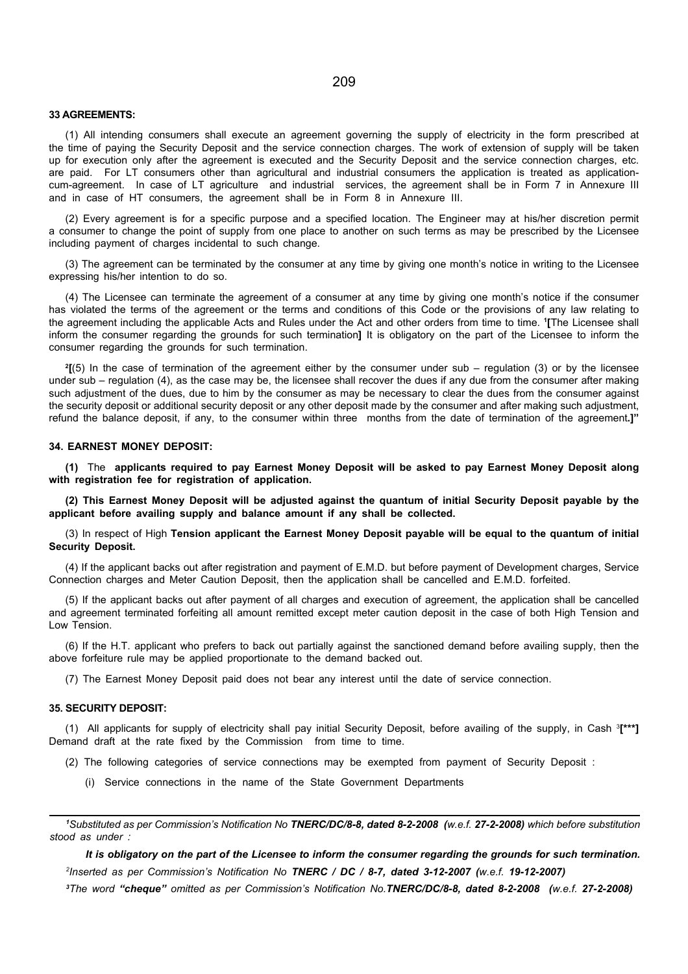#### 33 AGREEMENTS:

(1) All intending consumers shall execute an agreement governing the supply of electricity in the form prescribed at the time of paying the Security Deposit and the service connection charges. The work of extension of supply will be taken up for execution only after the agreement is executed and the Security Deposit and the service connection charges, etc. are paid. For LT consumers other than agricultural and industrial consumers the application is treated as applicationcum-agreement. In case of LT agriculture and industrial services, the agreement shall be in Form 7 in Annexure III and in case of HT consumers, the agreement shall be in Form 8 in Annexure III.

(2) Every agreement is for a specific purpose and a specified location. The Engineer may at his/her discretion permit a consumer to change the point of supply from one place to another on such terms as may be prescribed by the Licensee including payment of charges incidental to such change.

(3) The agreement can be terminated by the consumer at any time by giving one month's notice in writing to the Licensee expressing his/her intention to do so.

(4) The Licensee can terminate the agreement of a consumer at any time by giving one month's notice if the consumer has violated the terms of the agreement or the terms and conditions of this Code or the provisions of any law relating to the agreement including the applicable Acts and Rules under the Act and other orders from time to time. <sup>1</sup> [The Licensee shall inform the consumer regarding the grounds for such termination] It is obligatory on the part of the Licensee to inform the consumer regarding the grounds for such termination.

2 [(5) In the case of termination of the agreement either by the consumer under sub – regulation (3) or by the licensee under sub – regulation (4), as the case may be, the licensee shall recover the dues if any due from the consumer after making such adjustment of the dues, due to him by the consumer as may be necessary to clear the dues from the consumer against the security deposit or additional security deposit or any other deposit made by the consumer and after making such adjustment, refund the balance deposit, if any, to the consumer within three months from the date of termination of the agreement.]"

### 34. EARNEST MONEY DEPOSIT:

(1) The applicants required to pay Earnest Money Deposit will be asked to pay Earnest Money Deposit along with registration fee for registration of application.

(2) This Earnest Money Deposit will be adjusted against the quantum of initial Security Deposit payable by the applicant before availing supply and balance amount if any shall be collected.

(3) In respect of High Tension applicant the Earnest Money Deposit payable will be equal to the quantum of initial Security Deposit.

(4) If the applicant backs out after registration and payment of E.M.D. but before payment of Development charges, Service Connection charges and Meter Caution Deposit, then the application shall be cancelled and E.M.D. forfeited.

(5) If the applicant backs out after payment of all charges and execution of agreement, the application shall be cancelled and agreement terminated forfeiting all amount remitted except meter caution deposit in the case of both High Tension and Low Tension.

(6) If the H.T. applicant who prefers to back out partially against the sanctioned demand before availing supply, then the above forfeiture rule may be applied proportionate to the demand backed out.

(7) The Earnest Money Deposit paid does not bear any interest until the date of service connection.

#### 35. SECURITY DEPOSIT:

(1) All applicants for supply of electricity shall pay initial Security Deposit, before availing of the supply, in Cash <sup>3</sup> [\*\*\*] Demand draft at the rate fixed by the Commission from time to time.

- (2) The following categories of service connections may be exempted from payment of Security Deposit :
	- (i) Service connections in the name of the State Government Departments

<sup>1</sup>Substituted as per Commission's Notification No TNERC/DC/8-8, dated 8-2-2008 (w.e.f. 27-2-2008) which before substitution stood as under :

It is obligatory on the part of the Licensee to inform the consumer regarding the grounds for such termination. 2 Inserted as per Commission's Notification No TNERC / DC / 8-7, dated 3-12-2007 (w.e.f. 19-12-2007)

3The word "cheque" omitted as per Commission's Notification No.TNERC/DC/8-8, dated 8-2-2008 (w.e.f. 27-2-2008)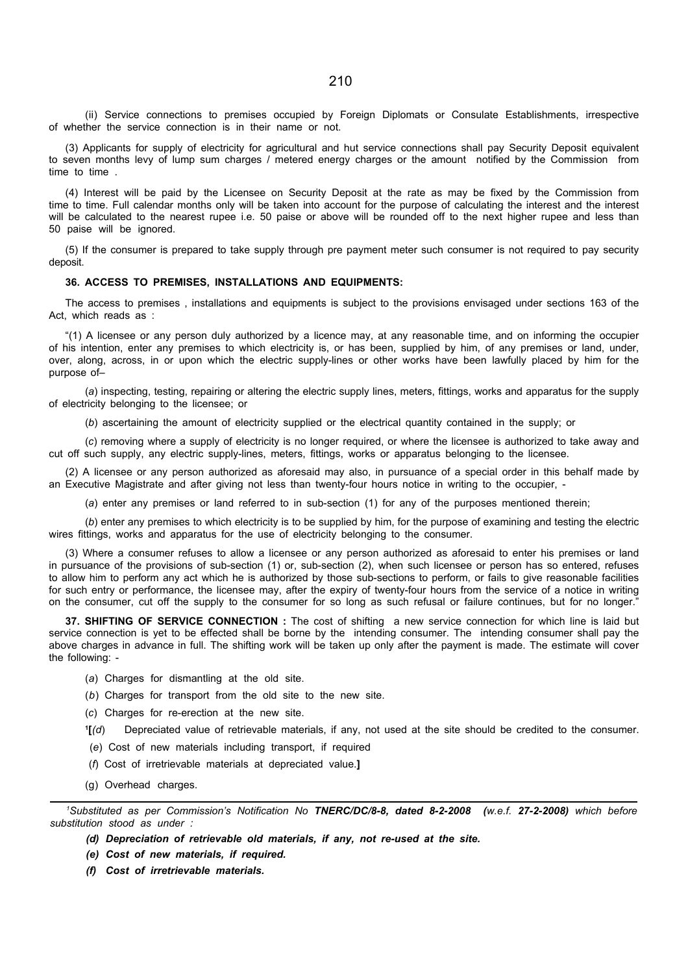(ii) Service connections to premises occupied by Foreign Diplomats or Consulate Establishments, irrespective of whether the service connection is in their name or not.

(3) Applicants for supply of electricity for agricultural and hut service connections shall pay Security Deposit equivalent to seven months levy of lump sum charges / metered energy charges or the amount notified by the Commission from time to time .

(4) Interest will be paid by the Licensee on Security Deposit at the rate as may be fixed by the Commission from time to time. Full calendar months only will be taken into account for the purpose of calculating the interest and the interest will be calculated to the nearest rupee i.e. 50 paise or above will be rounded off to the next higher rupee and less than 50 paise will be ignored.

(5) If the consumer is prepared to take supply through pre payment meter such consumer is not required to pay security deposit.

#### 36. ACCESS TO PREMISES, INSTALLATIONS AND EQUIPMENTS:

The access to premises , installations and equipments is subject to the provisions envisaged under sections 163 of the Act, which reads as :

"(1) A licensee or any person duly authorized by a licence may, at any reasonable time, and on informing the occupier of his intention, enter any premises to which electricity is, or has been, supplied by him, of any premises or land, under, over, along, across, in or upon which the electric supply-lines or other works have been lawfully placed by him for the purpose of–

(a) inspecting, testing, repairing or altering the electric supply lines, meters, fittings, works and apparatus for the supply of electricity belonging to the licensee; or

(b) ascertaining the amount of electricity supplied or the electrical quantity contained in the supply; or

(c) removing where a supply of electricity is no longer required, or where the licensee is authorized to take away and cut off such supply, any electric supply-lines, meters, fittings, works or apparatus belonging to the licensee.

(2) A licensee or any person authorized as aforesaid may also, in pursuance of a special order in this behalf made by an Executive Magistrate and after giving not less than twenty-four hours notice in writing to the occupier, -

(a) enter any premises or land referred to in sub-section (1) for any of the purposes mentioned therein;

(b) enter any premises to which electricity is to be supplied by him, for the purpose of examining and testing the electric wires fittings, works and apparatus for the use of electricity belonging to the consumer.

(3) Where a consumer refuses to allow a licensee or any person authorized as aforesaid to enter his premises or land in pursuance of the provisions of sub-section (1) or, sub-section (2), when such licensee or person has so entered, refuses to allow him to perform any act which he is authorized by those sub-sections to perform, or fails to give reasonable facilities for such entry or performance, the licensee may, after the expiry of twenty-four hours from the service of a notice in writing on the consumer, cut off the supply to the consumer for so long as such refusal or failure continues, but for no longer."

37. SHIFTING OF SERVICE CONNECTION : The cost of shifting a new service connection for which line is laid but service connection is yet to be effected shall be borne by the intending consumer. The intending consumer shall pay the above charges in advance in full. The shifting work will be taken up only after the payment is made. The estimate will cover the following: -

- (a) Charges for dismantling at the old site.
- (b) Charges for transport from the old site to the new site.
- (c) Charges for re-erection at the new site.
- $\mathbf{1}[(d)]$ Depreciated value of retrievable materials, if any, not used at the site should be credited to the consumer.
- (e) Cost of new materials including transport, if required
- (f) Cost of irretrievable materials at depreciated value.]
- (g) Overhead charges.

<sup>1</sup>Substituted as per Commission's Notification No TNERC/DC/8-8, dated 8-2-2008 (w.e.f. 27-2-2008) which before substitution stood as under :

- (d) Depreciation of retrievable old materials, if any, not re-used at the site.
- (e) Cost of new materials, if required.
- (f) Cost of irretrievable materials.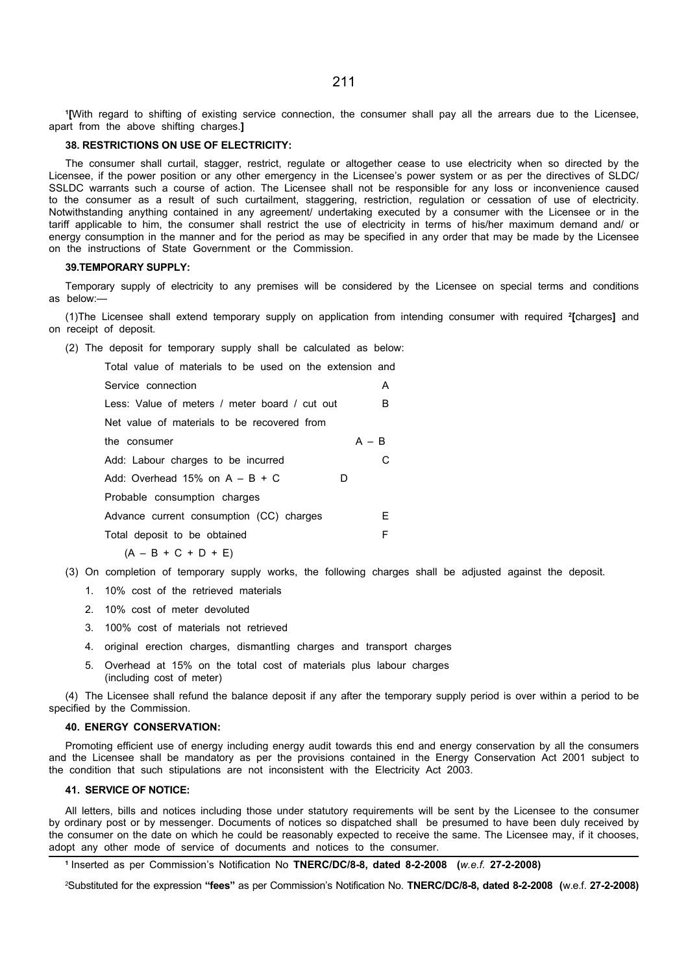1 [With regard to shifting of existing service connection, the consumer shall pay all the arrears due to the Licensee, apart from the above shifting charges.]

### 38. RESTRICTIONS ON USE OF ELECTRICITY:

The consumer shall curtail, stagger, restrict, regulate or altogether cease to use electricity when so directed by the Licensee, if the power position or any other emergency in the Licensee's power system or as per the directives of SLDC/ SSLDC warrants such a course of action. The Licensee shall not be responsible for any loss or inconvenience caused to the consumer as a result of such curtailment, staggering, restriction, regulation or cessation of use of electricity. Notwithstanding anything contained in any agreement/ undertaking executed by a consumer with the Licensee or in the tariff applicable to him, the consumer shall restrict the use of electricity in terms of his/her maximum demand and/ or energy consumption in the manner and for the period as may be specified in any order that may be made by the Licensee on the instructions of State Government or the Commission.

#### 39.TEMPORARY SUPPLY:

Temporary supply of electricity to any premises will be considered by the Licensee on special terms and conditions as below:—

(1)The Licensee shall extend temporary supply on application from intending consumer with required <sup>2</sup> [charges] and on receipt of deposit.

(2) The deposit for temporary supply shall be calculated as below:

| Total value of materials to be used on the extension and |         |
|----------------------------------------------------------|---------|
| Service connection                                       | A       |
| Less: Value of meters / meter board / cut out            | B       |
| Net value of materials to be recovered from              |         |
| the consumer                                             | $A - B$ |
| Add: Labour charges to be incurred                       |         |
| Add: Overhead 15% on $A - B + C$<br>D                    |         |
| Probable consumption charges                             |         |
| Advance current consumption (CC) charges                 | E.      |
| Total deposit to be obtained                             | F       |
| $(A - B + C + D + E)$                                    |         |

- (3) On completion of temporary supply works, the following charges shall be adjusted against the deposit.
	- 1. 10% cost of the retrieved materials
	- 2. 10% cost of meter devoluted
	- 3. 100% cost of materials not retrieved
	- 4. original erection charges, dismantling charges and transport charges
	- 5. Overhead at 15% on the total cost of materials plus labour charges (including cost of meter)

(4) The Licensee shall refund the balance deposit if any after the temporary supply period is over within a period to be specified by the Commission.

#### 40. ENERGY CONSERVATION:

Promoting efficient use of energy including energy audit towards this end and energy conservation by all the consumers and the Licensee shall be mandatory as per the provisions contained in the Energy Conservation Act 2001 subject to the condition that such stipulations are not inconsistent with the Electricity Act 2003.

#### 41. SERVICE OF NOTICE:

All letters, bills and notices including those under statutory requirements will be sent by the Licensee to the consumer by ordinary post or by messenger. Documents of notices so dispatched shall be presumed to have been duly received by the consumer on the date on which he could be reasonably expected to receive the same. The Licensee may, if it chooses, adopt any other mode of service of documents and notices to the consumer.

2Substituted for the expression "fees" as per Commission's Notification No. TNERC/DC/8-8, dated 8-2-2008 (w.e.f. 27-2-2008)

<sup>&</sup>lt;sup>1</sup> Inserted as per Commission's Notification No TNERC/DC/8-8, dated 8-2-2008 (w.e.f. 27-2-2008)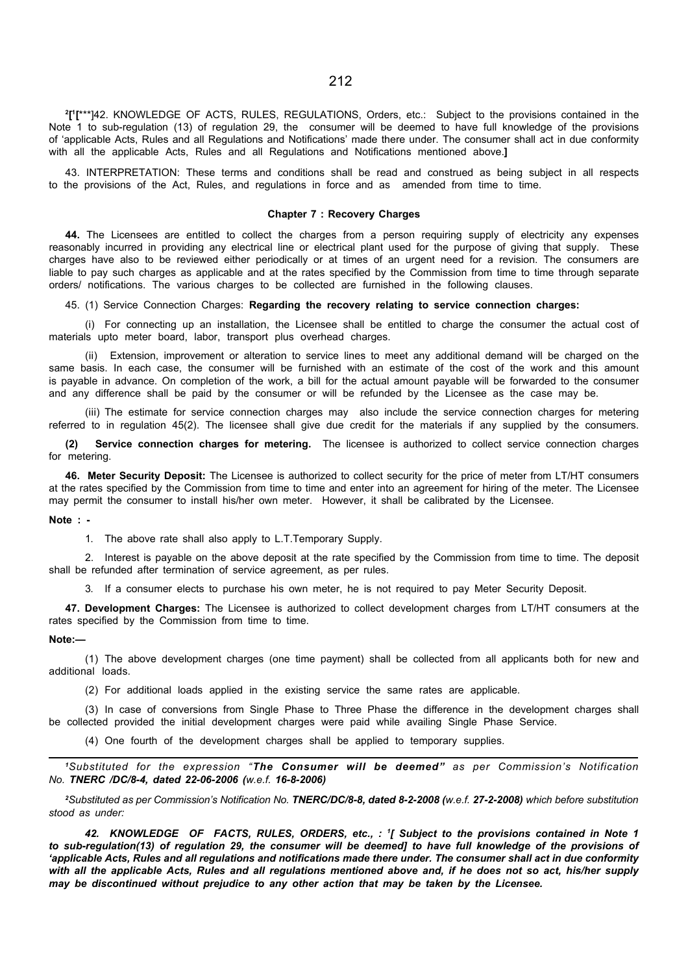2 [ 1 [\*\*\*]42. KNOWLEDGE OF ACTS, RULES, REGULATIONS, Orders, etc.: Subject to the provisions contained in the Note 1 to sub-regulation (13) of regulation 29, the consumer will be deemed to have full knowledge of the provisions of 'applicable Acts, Rules and all Regulations and Notifications' made there under. The consumer shall act in due conformity with all the applicable Acts, Rules and all Regulations and Notifications mentioned above.]

43. INTERPRETATION: These terms and conditions shall be read and construed as being subject in all respects to the provisions of the Act, Rules, and regulations in force and as amended from time to time.

#### Chapter 7 : Recovery Charges

44. The Licensees are entitled to collect the charges from a person requiring supply of electricity any expenses reasonably incurred in providing any electrical line or electrical plant used for the purpose of giving that supply. These charges have also to be reviewed either periodically or at times of an urgent need for a revision. The consumers are liable to pay such charges as applicable and at the rates specified by the Commission from time to time through separate orders/ notifications. The various charges to be collected are furnished in the following clauses.

45. (1) Service Connection Charges: Regarding the recovery relating to service connection charges:

(i) For connecting up an installation, the Licensee shall be entitled to charge the consumer the actual cost of materials upto meter board, labor, transport plus overhead charges.

(ii) Extension, improvement or alteration to service lines to meet any additional demand will be charged on the same basis. In each case, the consumer will be furnished with an estimate of the cost of the work and this amount is payable in advance. On completion of the work, a bill for the actual amount payable will be forwarded to the consumer and any difference shall be paid by the consumer or will be refunded by the Licensee as the case may be.

(iii) The estimate for service connection charges may also include the service connection charges for metering referred to in regulation 45(2). The licensee shall give due credit for the materials if any supplied by the consumers.

(2) Service connection charges for metering. The licensee is authorized to collect service connection charges for metering.

46. Meter Security Deposit: The Licensee is authorized to collect security for the price of meter from LT/HT consumers at the rates specified by the Commission from time to time and enter into an agreement for hiring of the meter. The Licensee may permit the consumer to install his/her own meter. However, it shall be calibrated by the Licensee.

#### Note : -

1. The above rate shall also apply to L.T.Temporary Supply.

2. Interest is payable on the above deposit at the rate specified by the Commission from time to time. The deposit shall be refunded after termination of service agreement, as per rules.

3. If a consumer elects to purchase his own meter, he is not required to pay Meter Security Deposit.

47. Development Charges: The Licensee is authorized to collect development charges from LT/HT consumers at the rates specified by the Commission from time to time.

#### Note:—

(1) The above development charges (one time payment) shall be collected from all applicants both for new and additional loads.

(2) For additional loads applied in the existing service the same rates are applicable.

(3) In case of conversions from Single Phase to Three Phase the difference in the development charges shall be collected provided the initial development charges were paid while availing Single Phase Service.

(4) One fourth of the development charges shall be applied to temporary supplies.

<sup>1</sup>Substituted for the expression "The Consumer will be deemed" as per Commission's Notification No. TNERC /DC/8-4, dated 22-06-2006 (w.e.f. 16-8-2006)

<sup>2</sup>Substituted as per Commission's Notification No. TNERC/DC/8-8, dated 8-2-2008 (w.e.f. 27-2-2008) which before substitution stood as under:

42. KNOWLEDGE OF FACTS, RULES, ORDERS, etc., : <sup>1</sup> [ Subject to the provisions contained in Note 1 to sub-regulation(13) of regulation 29, the consumer will be deemed] to have full knowledge of the provisions of 'applicable Acts, Rules and all regulations and notifications made there under. The consumer shall act in due conformity with all the applicable Acts. Rules and all regulations mentioned above and, if he does not so act, his/her supply may be discontinued without prejudice to any other action that may be taken by the Licensee.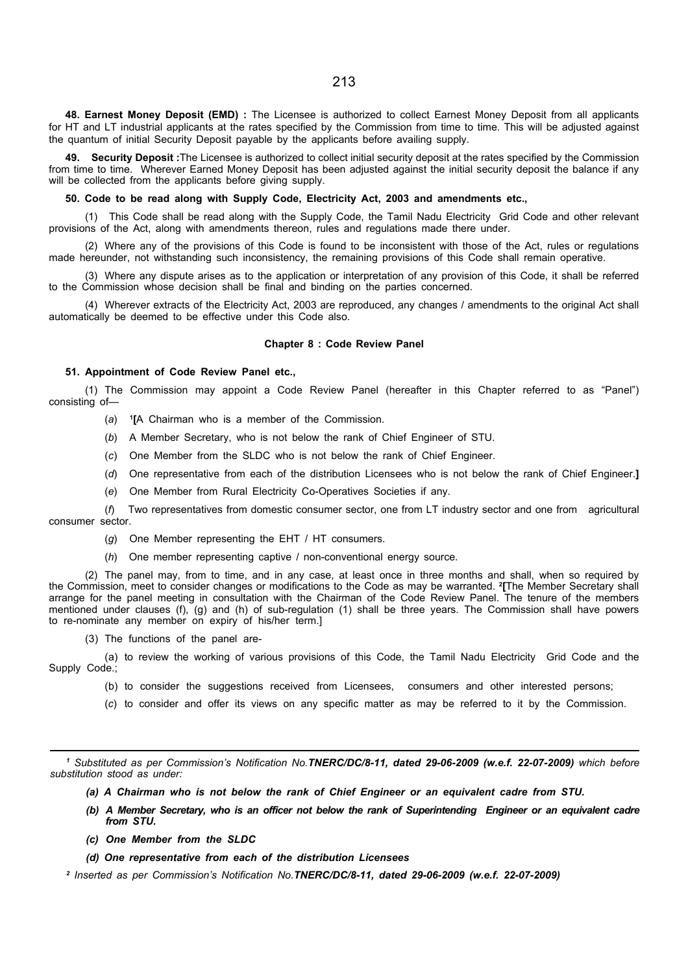48. Earnest Money Deposit (EMD) : The Licensee is authorized to collect Earnest Money Deposit from all applicants for HT and LT industrial applicants at the rates specified by the Commission from time to time. This will be adjusted against the quantum of initial Security Deposit payable by the applicants before availing supply.

49. Security Deposit : The Licensee is authorized to collect initial security deposit at the rates specified by the Commission from time to time. Wherever Earned Money Deposit has been adjusted against the initial security deposit the balance if any will be collected from the applicants before giving supply.

50. Code to be read along with Supply Code, Electricity Act, 2003 and amendments etc.,

(1) This Code shall be read along with the Supply Code, the Tamil Nadu Electricity Grid Code and other relevant provisions of the Act, along with amendments thereon, rules and regulations made there under.

(2) Where any of the provisions of this Code is found to be inconsistent with those of the Act, rules or regulations made hereunder, not withstanding such inconsistency, the remaining provisions of this Code shall remain operative.

(3) Where any dispute arises as to the application or interpretation of any provision of this Code, it shall be referred to the Commission whose decision shall be final and binding on the parties concerned.

(4) Wherever extracts of the Electricity Act, 2003 are reproduced, any changes / amendments to the original Act shall automatically be deemed to be effective under this Code also.

#### Chapter 8 : Code Review Panel

#### 51. Appointment of Code Review Panel etc.,

(1) The Commission may appoint a Code Review Panel (hereafter in this Chapter referred to as "Panel") consisting of—

- (a) 1 [A Chairman who is a member of the Commission.
- (b) A Member Secretary, who is not below the rank of Chief Engineer of STU.
- (c) One Member from the SLDC who is not below the rank of Chief Engineer.
- (d) One representative from each of the distribution Licensees who is not below the rank of Chief Engineer.]
- (e) One Member from Rural Electricity Co-Operatives Societies if any.

(f) Two representatives from domestic consumer sector, one from LT industry sector and one from agricultural consumer sector.

- $(g)$  One Member representing the EHT / HT consumers.
- (h) One member representing captive / non-conventional energy source.

(2) The panel may, from to time, and in any case, at least once in three months and shall, when so required by the Commission, meet to consider changes or modifications to the Code as may be warranted. <sup>2</sup>[The Member Secretary shall arrange for the panel meeting in consultation with the Chairman of the Code Review Panel. The tenure of the members mentioned under clauses (f), (g) and (h) of sub-regulation (1) shall be three years. The Commission shall have powers to re-nominate any member on expiry of his/her term.]

(3) The functions of the panel are-

(a) to review the working of various provisions of this Code, the Tamil Nadu Electricity Grid Code and the Supply Code.;

- (b) to consider the suggestions received from Licensees, consumers and other interested persons;
- (c) to consider and offer its views on any specific matter as may be referred to it by the Commission.

1 Substituted as per Commission's Notification No.TNERC/DC/8-11, dated 29-06-2009 (w.e.f. 22-07-2009) which before substitution stood as under:

- (a) A Chairman who is not below the rank of Chief Engineer or an equivalent cadre from STU.
- (b) A Member Secretary, who is an officer not below the rank of Superintending Engineer or an equivalent cadre from STU.
- (c) One Member from the SLDC
- (d) One representative from each of the distribution Licensees

2 Inserted as per Commission's Notification No.TNERC/DC/8-11, dated 29-06-2009 (w.e.f. 22-07-2009)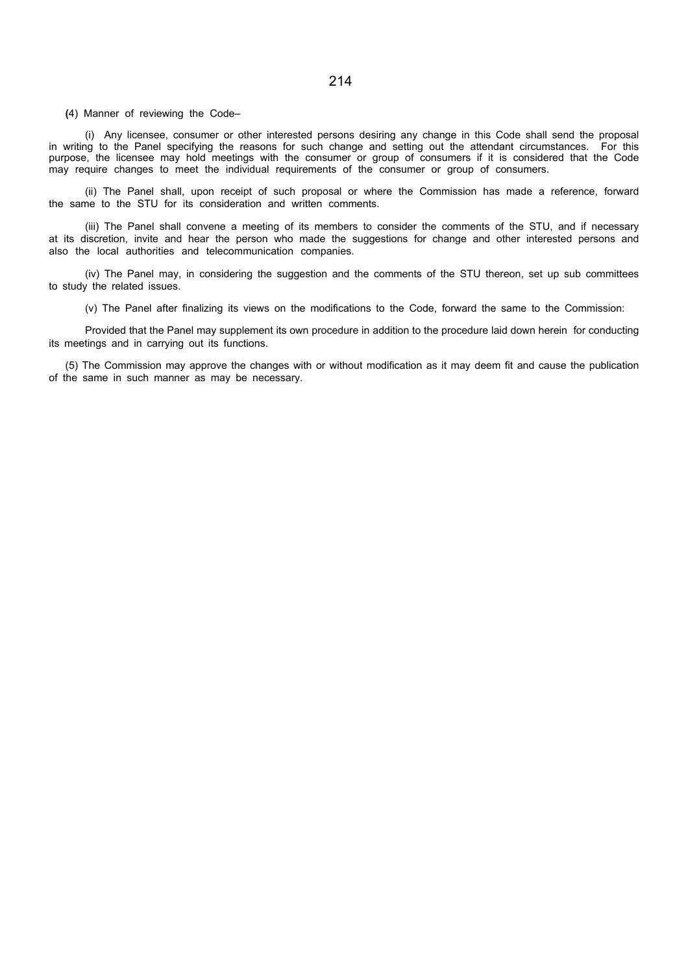(4) Manner of reviewing the Code–

(i) Any licensee, consumer or other interested persons desiring any change in this Code shall send the proposal in writing to the Panel specifying the reasons for such change and setting out the attendant circumstances. For this purpose, the licensee may hold meetings with the consumer or group of consumers if it is considered that the Code may require changes to meet the individual requirements of the consumer or group of consumers.

(ii) The Panel shall, upon receipt of such proposal or where the Commission has made a reference, forward the same to the STU for its consideration and written comments.

(iii) The Panel shall convene a meeting of its members to consider the comments of the STU, and if necessary at its discretion, invite and hear the person who made the suggestions for change and other interested persons and also the local authorities and telecommunication companies.

(iv) The Panel may, in considering the suggestion and the comments of the STU thereon, set up sub committees to study the related issues.

(v) The Panel after finalizing its views on the modifications to the Code, forward the same to the Commission:

Provided that the Panel may supplement its own procedure in addition to the procedure laid down herein for conducting its meetings and in carrying out its functions.

(5) The Commission may approve the changes with or without modification as it may deem fit and cause the publication of the same in such manner as may be necessary.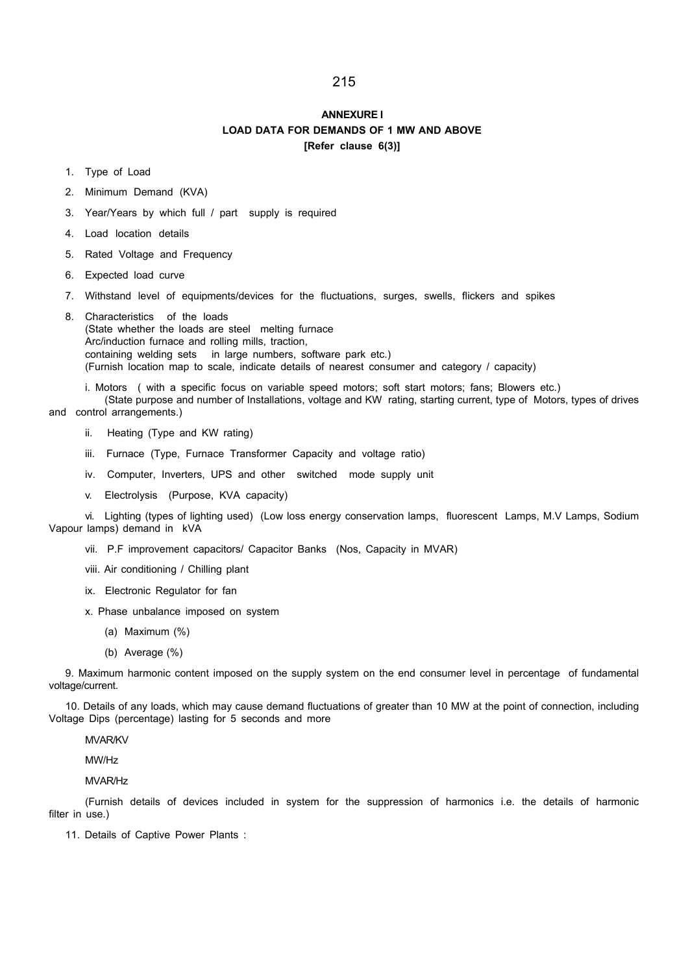## ANNEXURE I LOAD DATA FOR DEMANDS OF 1 MW AND ABOVE [Refer clause 6(3)]

- 1. Type of Load
- 2. Minimum Demand (KVA)
- 3. Year/Years by which full / part supply is required
- 4. Load location details
- 5. Rated Voltage and Frequency
- 6. Expected load curve
- 7. Withstand level of equipments/devices for the fluctuations, surges, swells, flickers and spikes
- 8. Characteristics of the loads (State whether the loads are steel melting furnace Arc/induction furnace and rolling mills, traction, containing welding sets in large numbers, software park etc.) (Furnish location map to scale, indicate details of nearest consumer and category / capacity)

i. Motors ( with a specific focus on variable speed motors; soft start motors; fans; Blowers etc.) (State purpose and number of Installations, voltage and KW rating, starting current, type of Motors, types of drives

and control arrangements.)

- ii. Heating (Type and KW rating)
- iii. Furnace (Type, Furnace Transformer Capacity and voltage ratio)
- iv. Computer, Inverters, UPS and other switched mode supply unit
- v. Electrolysis (Purpose, KVA capacity)

vi. Lighting (types of lighting used) (Low loss energy conservation lamps, fluorescent Lamps, M.V Lamps, Sodium Vapour lamps) demand in kVA

vii. P.F improvement capacitors/ Capacitor Banks (Nos, Capacity in MVAR)

viii. Air conditioning / Chilling plant

- ix. Electronic Regulator for fan
- x. Phase unbalance imposed on system
	- (a) Maximum (%)
	- (b) Average (%)

9. Maximum harmonic content imposed on the supply system on the end consumer level in percentage of fundamental voltage/current.

10. Details of any loads, which may cause demand fluctuations of greater than 10 MW at the point of connection, including Voltage Dips (percentage) lasting for 5 seconds and more

MVAR/KV

MW/Hz

MVAR/Hz

(Furnish details of devices included in system for the suppression of harmonics i.e. the details of harmonic filter in use.)

11. Details of Captive Power Plants :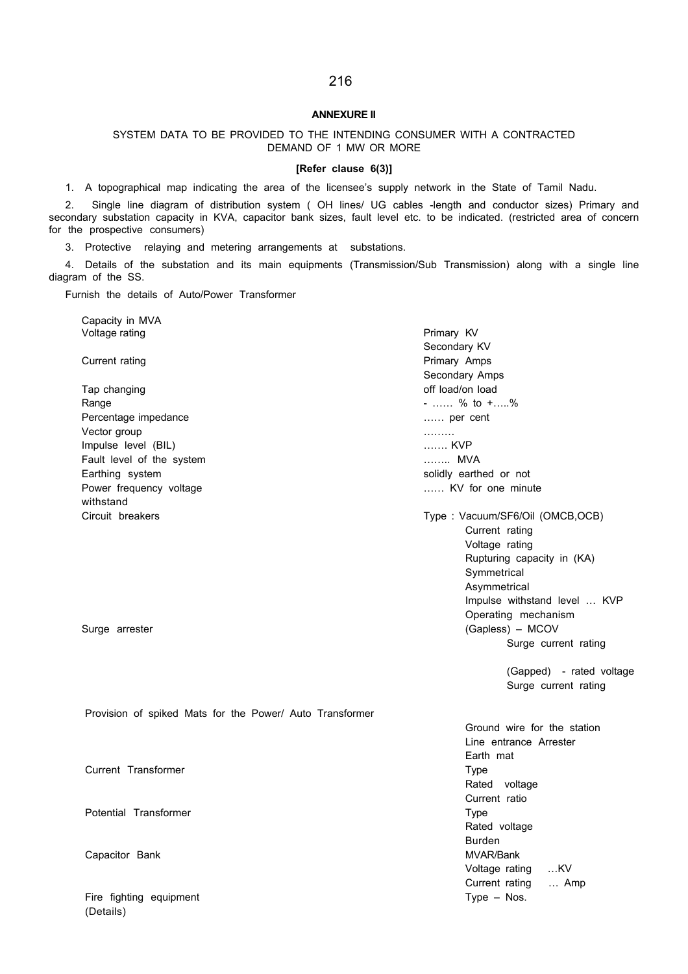#### ANNEXURE II

216

### SYSTEM DATA TO BE PROVIDED TO THE INTENDING CONSUMER WITH A CONTRACTED DEMAND OF 1 MW OR MORE

#### [Refer clause 6(3)]

1. A topographical map indicating the area of the licensee's supply network in the State of Tamil Nadu.

2. Single line diagram of distribution system ( OH lines/ UG cables -length and conductor sizes) Primary and secondary substation capacity in KVA, capacitor bank sizes, fault level etc. to be indicated. (restricted area of concern for the prospective consumers)

3. Protective relaying and metering arrangements at substations.

4. Details of the substation and its main equipments (Transmission/Sub Transmission) along with a single line diagram of the SS.

Furnish the details of Auto/Power Transformer

(Details)

| Capacity in MVA                                          |                                 |
|----------------------------------------------------------|---------------------------------|
| Voltage rating                                           | Primary KV                      |
|                                                          | Secondary KV                    |
| Current rating                                           | Primary Amps                    |
|                                                          | Secondary Amps                  |
| Tap changing                                             | off load/on load                |
| Range                                                    | $-$ % to $+$ %                  |
| Percentage impedance                                     | per cent                        |
| Vector group                                             | .                               |
| Impulse level (BIL)                                      | KVP                             |
| Fault level of the system                                | MVA                             |
| Earthing system                                          | solidly earthed or not          |
| Power frequency voltage                                  | KV for one minute               |
| withstand                                                |                                 |
| Circuit breakers                                         | Type: Vacuum/SF6/Oil (OMCB,OCB) |
|                                                          | Current rating                  |
|                                                          | Voltage rating                  |
|                                                          | Rupturing capacity in (KA)      |
|                                                          | Symmetrical                     |
|                                                          | Asymmetrical                    |
|                                                          | Impulse withstand level  KVP    |
|                                                          | Operating mechanism             |
| Surge arrester                                           | (Gapless) - MCOV                |
|                                                          | Surge current rating            |
|                                                          | (Gapped) - rated voltage        |
|                                                          | Surge current rating            |
| Provision of spiked Mats for the Power/ Auto Transformer |                                 |
|                                                          | Ground wire for the station     |
|                                                          | Line entrance Arrester          |
|                                                          | Earth mat                       |
| Current Transformer                                      | <b>Type</b>                     |
|                                                          | Rated voltage                   |
|                                                          | Current ratio                   |
| Potential Transformer                                    | <b>Type</b>                     |
|                                                          | Rated voltage                   |
|                                                          | <b>Burden</b>                   |
| Capacitor Bank                                           | MVAR/Bank                       |
|                                                          | Voltage rating KV               |
|                                                          | Current rating<br>Amp           |

Fire fighting equipment Type – Nos.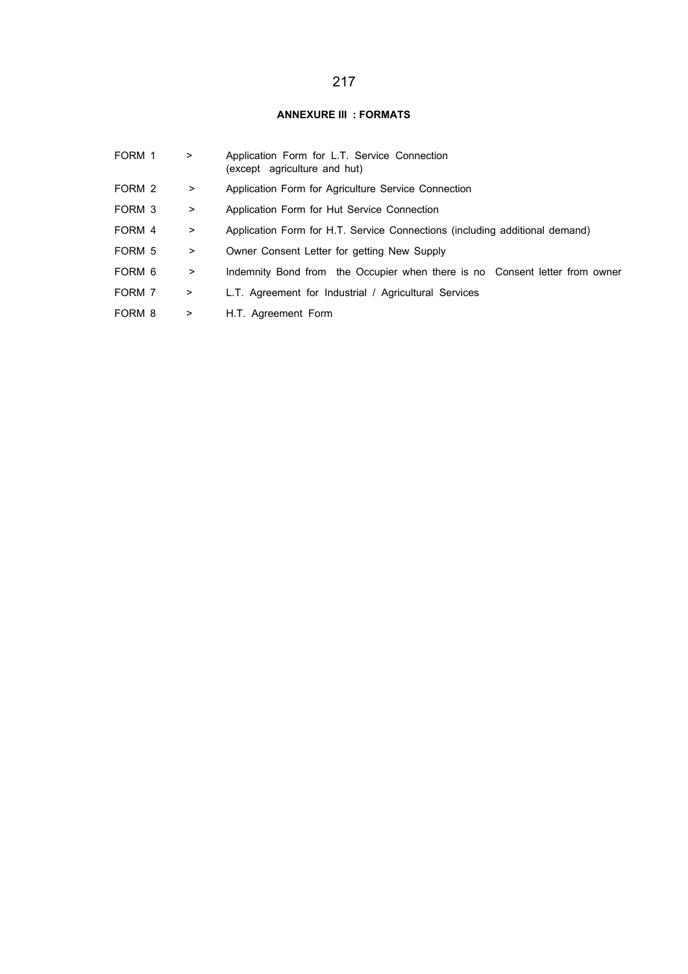### ANNEXURE III : FORMATS

| FORM 1 | >         | Application Form for L.T. Service Connection<br>(except agriculture and hut) |  |  |  |  |  |
|--------|-----------|------------------------------------------------------------------------------|--|--|--|--|--|
| FORM 2 | $\geq$    | Application Form for Agriculture Service Connection                          |  |  |  |  |  |
| FORM 3 | >         | Application Form for Hut Service Connection                                  |  |  |  |  |  |
| FORM 4 | $\geq$    | Application Form for H.T. Service Connections (including additional demand)  |  |  |  |  |  |
| FORM 5 | $\geq$    | Owner Consent Letter for getting New Supply                                  |  |  |  |  |  |
| FORM 6 | >         | Indemnity Bond from the Occupier when there is no Consent letter from owner  |  |  |  |  |  |
| FORM 7 | $\, > \,$ | L.T. Agreement for Industrial / Agricultural Services                        |  |  |  |  |  |
| FORM 8 | $\, > \,$ | H.T. Agreement Form                                                          |  |  |  |  |  |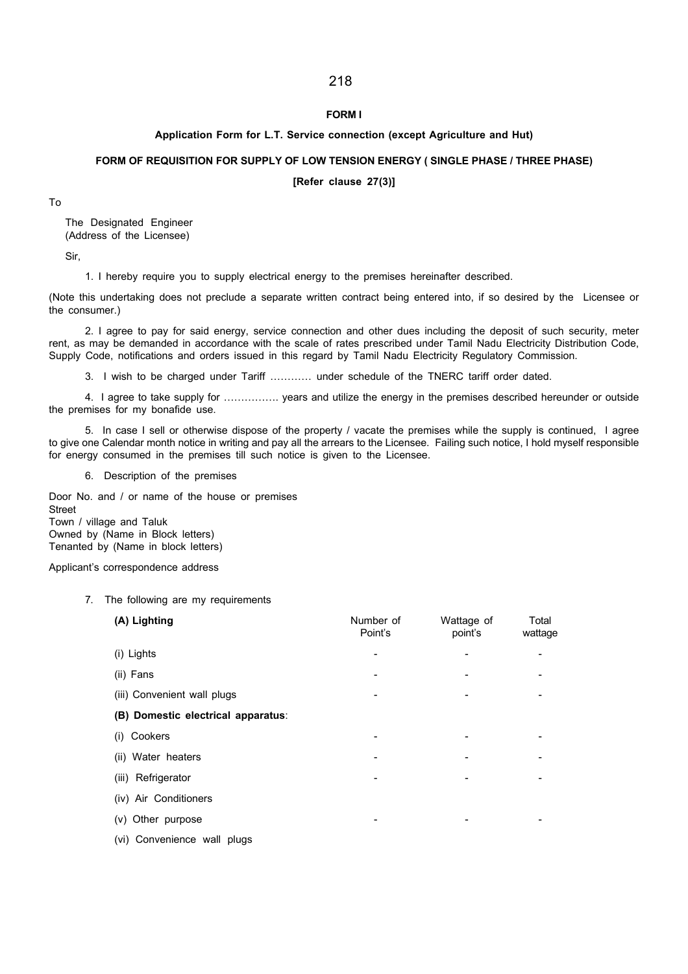### FORM I

### Application Form for L.T. Service connection (except Agriculture and Hut)

### FORM OF REQUISITION FOR SUPPLY OF LOW TENSION ENERGY ( SINGLE PHASE / THREE PHASE)

[Refer clause 27(3)]

To

The Designated Engineer (Address of the Licensee)

Sir,

1. I hereby require you to supply electrical energy to the premises hereinafter described.

(Note this undertaking does not preclude a separate written contract being entered into, if so desired by the Licensee or the consumer.)

2. I agree to pay for said energy, service connection and other dues including the deposit of such security, meter rent, as may be demanded in accordance with the scale of rates prescribed under Tamil Nadu Electricity Distribution Code, Supply Code, notifications and orders issued in this regard by Tamil Nadu Electricity Regulatory Commission.

3. I wish to be charged under Tariff ………… under schedule of the TNERC tariff order dated.

4. I agree to take supply for ……………. years and utilize the energy in the premises described hereunder or outside the premises for my bonafide use.

5. In case I sell or otherwise dispose of the property / vacate the premises while the supply is continued, I agree to give one Calendar month notice in writing and pay all the arrears to the Licensee. Failing such notice, I hold myself responsible for energy consumed in the premises till such notice is given to the Licensee.

6. Description of the premises

Door No. and / or name of the house or premises Street Town / village and Taluk Owned by (Name in Block letters) Tenanted by (Name in block letters)

Applicant's correspondence address

### 7. The following are my requirements

| (A) Lighting                       | Number of<br>Point's | Wattage of<br>point's | Total<br>wattage |
|------------------------------------|----------------------|-----------------------|------------------|
| (i) Lights                         |                      |                       |                  |
| (ii) Fans                          |                      |                       |                  |
| (iii) Convenient wall plugs        |                      |                       |                  |
| (B) Domestic electrical apparatus: |                      |                       |                  |
| (i) Cookers                        |                      |                       |                  |
| (ii) Water heaters                 |                      |                       |                  |
| (iii) Refrigerator                 |                      |                       |                  |
| (iv) Air Conditioners              |                      |                       |                  |
| (v) Other purpose                  |                      |                       |                  |
| (vi) Convenience wall plugs        |                      |                       |                  |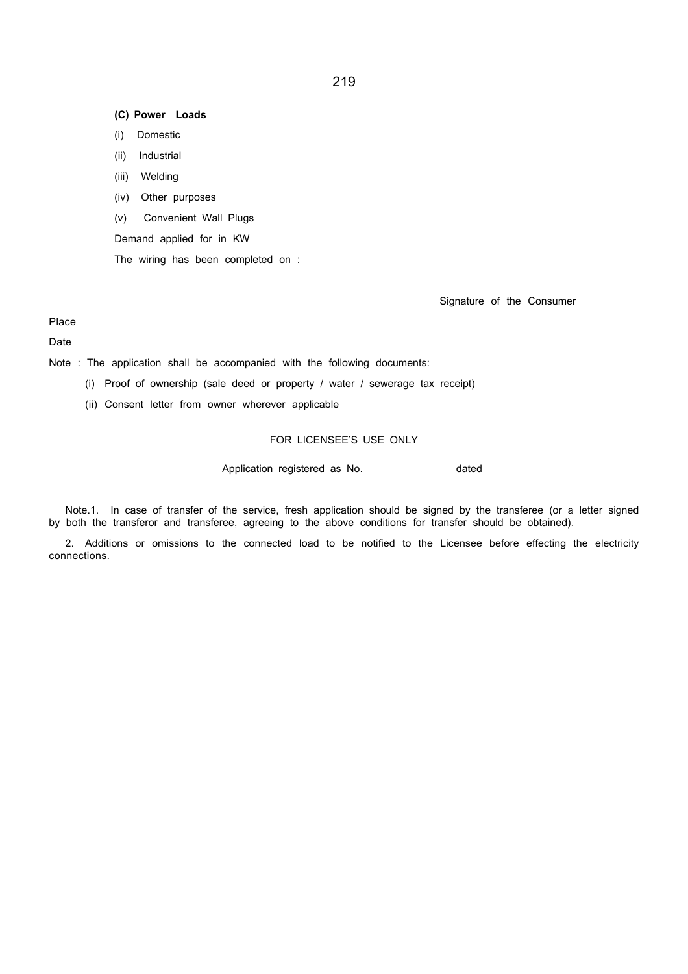### (C) Power Loads

- (i) Domestic
- (ii) Industrial
- (iii) Welding
- (iv) Other purposes
- (v) Convenient Wall Plugs
- Demand applied for in KW

The wiring has been completed on :

Signature of the Consumer

Place

### Date

Note : The application shall be accompanied with the following documents:

- (i) Proof of ownership (sale deed or property / water / sewerage tax receipt)
- (ii) Consent letter from owner wherever applicable

### FOR LICENSEE'S USE ONLY

Application registered as No. The matted as  $\lambda$ 

Note.1. In case of transfer of the service, fresh application should be signed by the transferee (or a letter signed by both the transferor and transferee, agreeing to the above conditions for transfer should be obtained).

2. Additions or omissions to the connected load to be notified to the Licensee before effecting the electricity connections.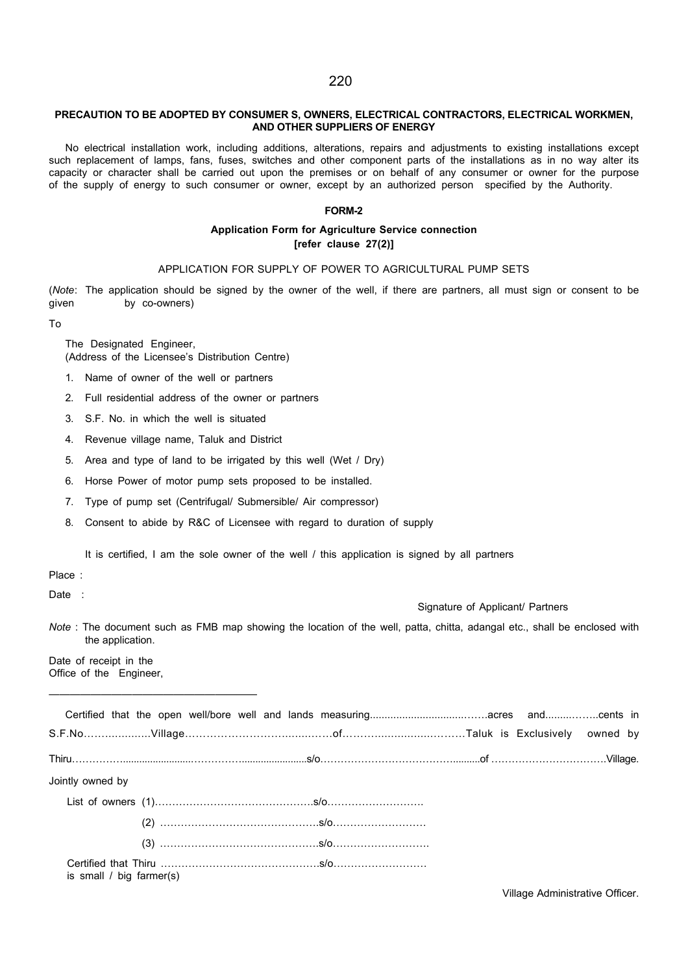### PRECAUTION TO BE ADOPTED BY CONSUMER S, OWNERS, ELECTRICAL CONTRACTORS, ELECTRICAL WORKMEN, AND OTHER SUPPLIERS OF ENERGY

No electrical installation work, including additions, alterations, repairs and adjustments to existing installations except such replacement of lamps, fans, fuses, switches and other component parts of the installations as in no way alter its capacity or character shall be carried out upon the premises or on behalf of any consumer or owner for the purpose of the supply of energy to such consumer or owner, except by an authorized person specified by the Authority.

#### FORM-2

### Application Form for Agriculture Service connection [refer clause 27(2)]

#### APPLICATION FOR SUPPLY OF POWER TO AGRICULTURAL PUMP SETS

(Note: The application should be signed by the owner of the well, if there are partners, all must sign or consent to be given by co-owners)

To

The Designated Engineer, (Address of the Licensee's Distribution Centre)

- 1. Name of owner of the well or partners
- 2. Full residential address of the owner or partners
- 3. S.F. No. in which the well is situated
- 4. Revenue village name, Taluk and District
- 5. Area and type of land to be irrigated by this well (Wet / Dry)
- 6. Horse Power of motor pump sets proposed to be installed.
- 7. Type of pump set (Centrifugal/ Submersible/ Air compressor)
- 8. Consent to abide by R&C of Licensee with regard to duration of supply

It is certified, I am the sole owner of the well / this application is signed by all partners

Place :

Date :

Signature of Applicant/ Partners

Note : The document such as FMB map showing the location of the well, patta, chitta, adangal etc., shall be enclosed with the application.

Date of receipt in the Office of the Engineer,

————————————————————

| Jointly owned by              |  |  |  |  |  |
|-------------------------------|--|--|--|--|--|
|                               |  |  |  |  |  |
|                               |  |  |  |  |  |
|                               |  |  |  |  |  |
| is small $\ell$ big farmer(s) |  |  |  |  |  |

Village Administrative Officer.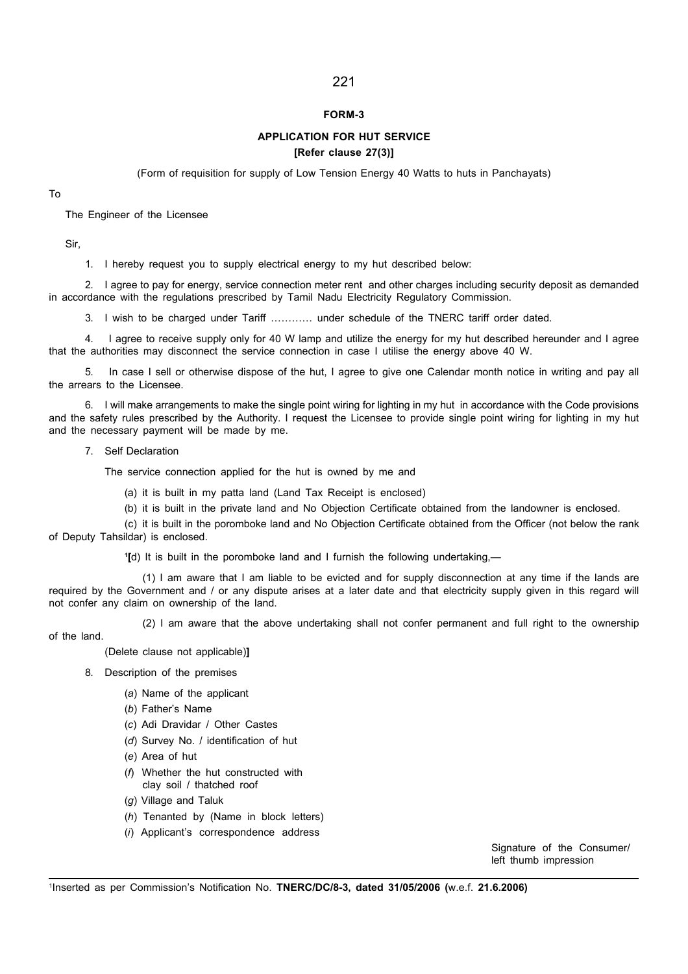### FORM-3

### APPLICATION FOR HUT SERVICE [Refer clause 27(3)]

(Form of requisition for supply of Low Tension Energy 40 Watts to huts in Panchayats)

To

The Engineer of the Licensee

Sir,

1. I hereby request you to supply electrical energy to my hut described below:

2. I agree to pay for energy, service connection meter rent and other charges including security deposit as demanded in accordance with the regulations prescribed by Tamil Nadu Electricity Regulatory Commission.

3. I wish to be charged under Tariff ………… under schedule of the TNERC tariff order dated.

4. I agree to receive supply only for 40 W lamp and utilize the energy for my hut described hereunder and I agree that the authorities may disconnect the service connection in case I utilise the energy above 40 W.

5. In case I sell or otherwise dispose of the hut, I agree to give one Calendar month notice in writing and pay all the arrears to the Licensee.

6. I will make arrangements to make the single point wiring for lighting in my hut in accordance with the Code provisions and the safety rules prescribed by the Authority. I request the Licensee to provide single point wiring for lighting in my hut and the necessary payment will be made by me.

7. Self Declaration

The service connection applied for the hut is owned by me and

(a) it is built in my patta land (Land Tax Receipt is enclosed)

(b) it is built in the private land and No Objection Certificate obtained from the landowner is enclosed.

(c) it is built in the poromboke land and No Objection Certificate obtained from the Officer (not below the rank of Deputy Tahsildar) is enclosed.

1 [d) It is built in the poromboke land and I furnish the following undertaking,—

(1) I am aware that I am liable to be evicted and for supply disconnection at any time if the lands are required by the Government and / or any dispute arises at a later date and that electricity supply given in this regard will not confer any claim on ownership of the land.

(2) I am aware that the above undertaking shall not confer permanent and full right to the ownership

of the land.

(Delete clause not applicable)]

- 8. Description of the premises
	- (a) Name of the applicant
	- (b) Father's Name
	- (c) Adi Dravidar / Other Castes
	- (d) Survey No. / identification of hut
	- (e) Area of hut
	- (f) Whether the hut constructed with clay soil / thatched roof
	- (g) Village and Taluk
	- (h) Tenanted by (Name in block letters)
	- (i) Applicant's correspondence address

Signature of the Consumer/ left thumb impression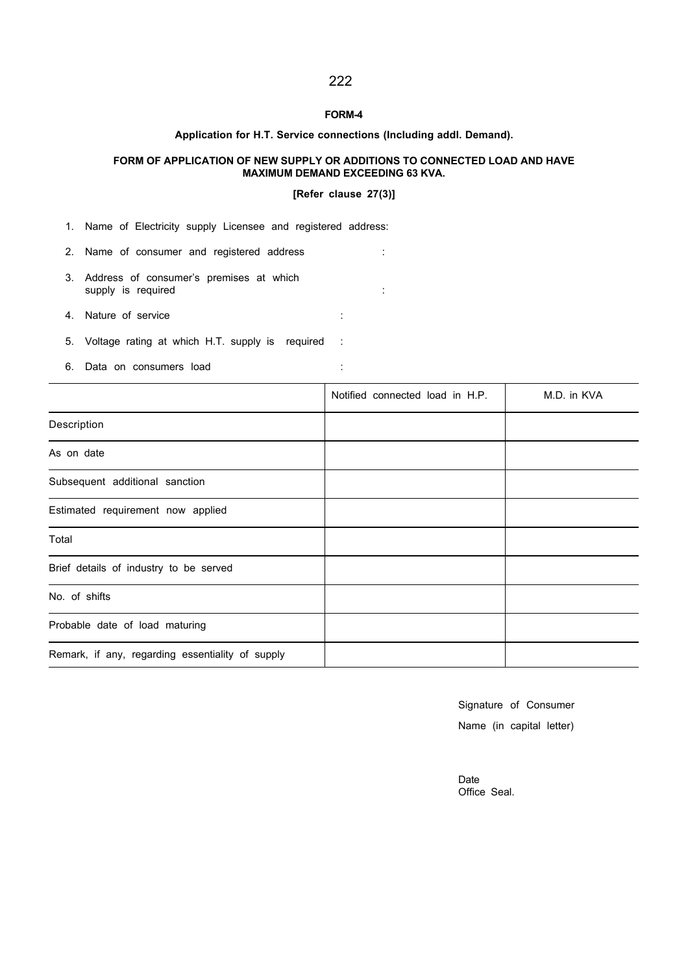### FORM-4

### Application for H.T. Service connections (Including addl. Demand).

### FORM OF APPLICATION OF NEW SUPPLY OR ADDITIONS TO CONNECTED LOAD AND HAVE MAXIMUM DEMAND EXCEEDING 63 KVA.

#### [Refer clause 27(3)]

1. Name of Electricity supply Licensee and registered address:

- 2. Name of consumer and registered address :
- 3. Address of consumer's premises at which supply is required : the state of the state of the state of the state of the state of the state of the state of the state of the state of the state of the state of the state of the state of the state of the state of the st

4. Nature of service :

- 5. Voltage rating at which H.T. supply is required :
- 6. Data on consumers load :

|                                                  | Notified connected load in H.P. | M.D. in KVA |
|--------------------------------------------------|---------------------------------|-------------|
| Description                                      |                                 |             |
| As on date                                       |                                 |             |
| Subsequent additional sanction                   |                                 |             |
| Estimated requirement now applied                |                                 |             |
| Total                                            |                                 |             |
| Brief details of industry to be served           |                                 |             |
| No. of shifts                                    |                                 |             |
| Probable date of load maturing                   |                                 |             |
| Remark, if any, regarding essentiality of supply |                                 |             |

Signature of Consumer Name (in capital letter)

Date Office Seal.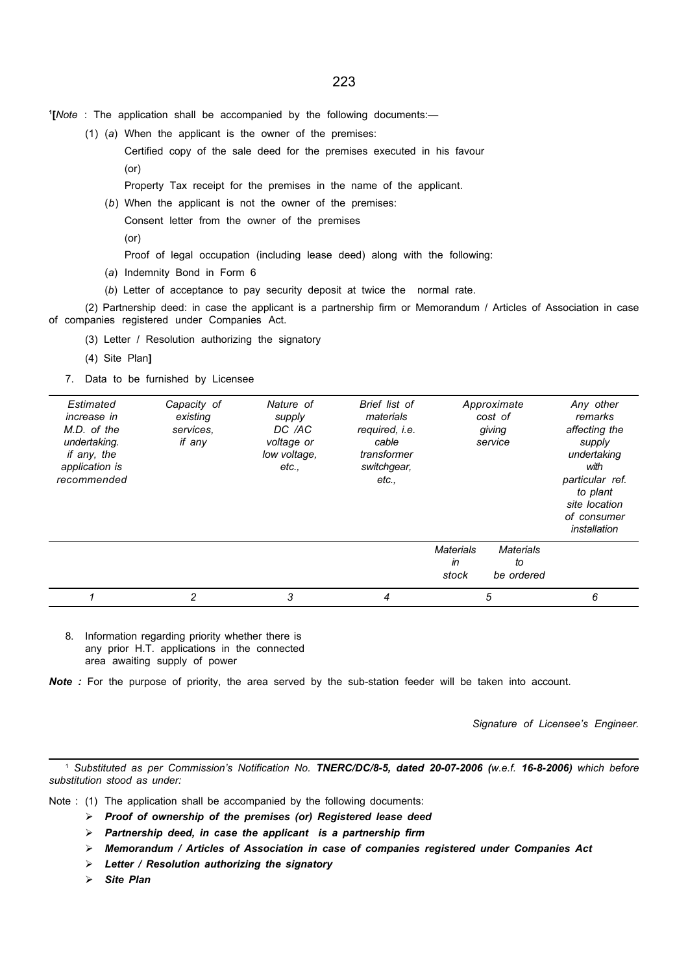- 1 [Note : The application shall be accompanied by the following documents:—
	- (1) (a) When the applicant is the owner of the premises:
		- Certified copy of the sale deed for the premises executed in his favour (or)

Property Tax receipt for the premises in the name of the applicant.

(b) When the applicant is not the owner of the premises:

Consent letter from the owner of the premises

- (or)
	- Proof of legal occupation (including lease deed) along with the following:
- (a) Indemnity Bond in Form 6
- (b) Letter of acceptance to pay security deposit at twice the normal rate.

(2) Partnership deed: in case the applicant is a partnership firm or Memorandum / Articles of Association in case of companies registered under Companies Act.

- (3) Letter / Resolution authorizing the signatory
- (4) Site Plan]
- 7. Data to be furnished by Licensee

| Estimated<br>increase in<br>M.D. of the<br>undertaking.<br>if any, the<br>application is<br>recommended | Capacity of<br>existing<br>services.<br>if any | Nature of<br>supply<br>DC /AC<br>voltage or<br>low voltage,<br>etc., | Brief list of<br>materials<br>required, i.e.<br>cable<br>transformer<br>switchgear,<br>etc., | Approximate<br>cost of<br>giving<br>service                      | Any other<br>remarks<br>affecting the<br>supply<br>undertaking<br>with<br>particular ref.<br>to plant<br>site location<br>of consumer<br>installation |
|---------------------------------------------------------------------------------------------------------|------------------------------------------------|----------------------------------------------------------------------|----------------------------------------------------------------------------------------------|------------------------------------------------------------------|-------------------------------------------------------------------------------------------------------------------------------------------------------|
|                                                                                                         |                                                |                                                                      |                                                                                              | <b>Materials</b><br>Materials<br>in<br>to<br>stock<br>be ordered |                                                                                                                                                       |
|                                                                                                         | $\overline{c}$                                 | 3                                                                    | 4                                                                                            | 5                                                                | 6                                                                                                                                                     |

8. Information regarding priority whether there is any prior H.T. applications in the connected area awaiting supply of power

Note : For the purpose of priority, the area served by the sub-station feeder will be taken into account.

Signature of Licensee's Engineer.

<sup>1</sup> Substituted as per Commission's Notification No. TNERC/DC/8-5, dated 20-07-2006 (w.e.f. 16-8-2006) which before substitution stood as under:

- Note : (1) The application shall be accompanied by the following documents:
	- $\triangleright$  Proof of ownership of the premises (or) Registered lease deed
	- $\triangleright$  Partnership deed, in case the applicant is a partnership firm
	- $\triangleright$  Memorandum / Articles of Association in case of companies registered under Companies Act
	- $\triangleright$  Letter / Resolution authorizing the signatory
	- $\triangleright$  Site Plan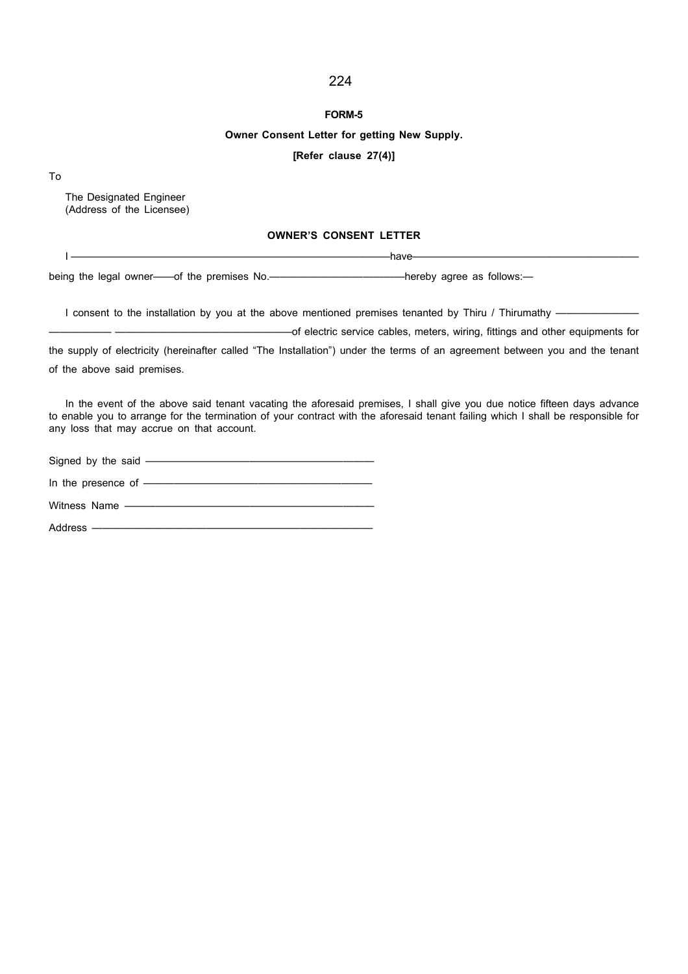#### FORM-5

### Owner Consent Letter for getting New Supply.

#### [Refer clause 27(4)]

To

The Designated Engineer (Address of the Licensee)

### OWNER'S CONSENT LETTER

I ———————————————————————————————have——————————————————————

being the legal owner——of the premises No.—————————————————hereby agree as follows:

I consent to the installation by you at the above mentioned premises tenanted by Thiru / Thirumathy ——

—————— —————————————————of electric service cables, meters, wiring, fittings and other equipments for the supply of electricity (hereinafter called "The Installation") under the terms of an agreement between you and the tenant

of the above said premises.

In the event of the above said tenant vacating the aforesaid premises, I shall give you due notice fifteen days advance to enable you to arrange for the termination of your contract with the aforesaid tenant failing which I shall be responsible for any loss that may accrue on that account.

Signed by the said —————— In the presence of ———————————————————— Witness Name —————— Address ————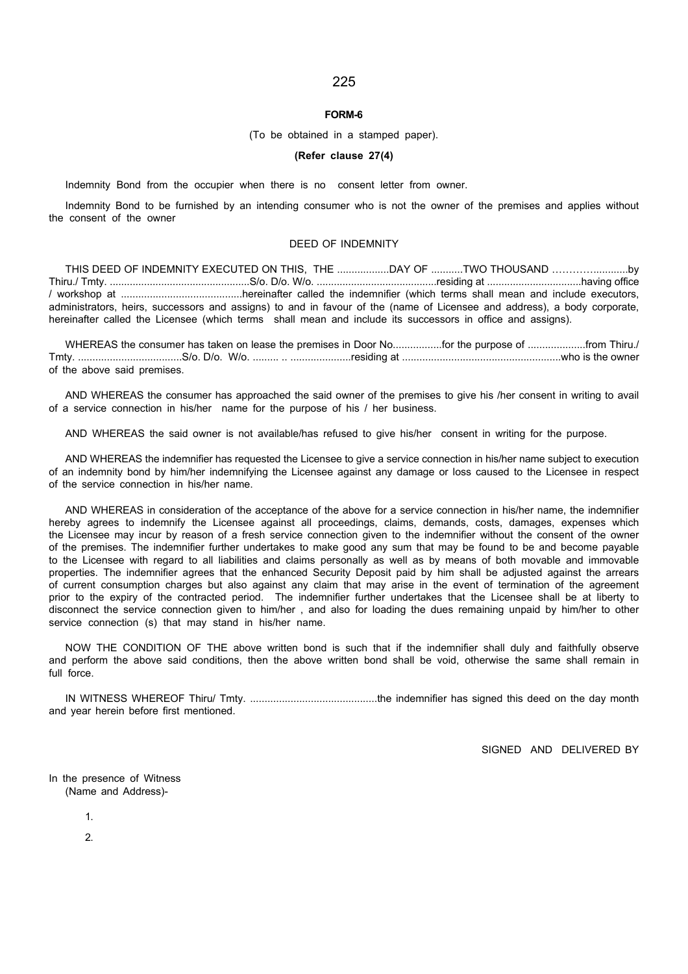#### FORM-6

#### (To be obtained in a stamped paper).

#### (Refer clause 27(4)

Indemnity Bond from the occupier when there is no consent letter from owner.

Indemnity Bond to be furnished by an intending consumer who is not the owner of the premises and applies without the consent of the owner

#### DEED OF INDEMNITY

THIS DEED OF INDEMNITY EXECUTED ON THIS, THE ..................DAY OF ...........TWO THOUSAND …………............by Thiru./ Tmty. .................................................S/o. D/o. W/o. ..........................................residing at .................................having office / workshop at ..........................................hereinafter called the indemnifier (which terms shall mean and include executors, administrators, heirs, successors and assigns) to and in favour of the (name of Licensee and address), a body corporate, hereinafter called the Licensee (which terms shall mean and include its successors in office and assigns).

WHEREAS the consumer has taken on lease the premises in Door No..................for the purpose of ....................from Thiru./ Tmty. ....................................S/o. D/o. W/o. ......... .. .....................residing at .......................................................who is the owner of the above said premises.

AND WHEREAS the consumer has approached the said owner of the premises to give his /her consent in writing to avail of a service connection in his/her name for the purpose of his / her business.

AND WHEREAS the said owner is not available/has refused to give his/her consent in writing for the purpose.

AND WHEREAS the indemnifier has requested the Licensee to give a service connection in his/her name subject to execution of an indemnity bond by him/her indemnifying the Licensee against any damage or loss caused to the Licensee in respect of the service connection in his/her name.

AND WHEREAS in consideration of the acceptance of the above for a service connection in his/her name, the indemnifier hereby agrees to indemnify the Licensee against all proceedings, claims, demands, costs, damages, expenses which the Licensee may incur by reason of a fresh service connection given to the indemnifier without the consent of the owner of the premises. The indemnifier further undertakes to make good any sum that may be found to be and become payable to the Licensee with regard to all liabilities and claims personally as well as by means of both movable and immovable properties. The indemnifier agrees that the enhanced Security Deposit paid by him shall be adjusted against the arrears of current consumption charges but also against any claim that may arise in the event of termination of the agreement prior to the expiry of the contracted period. The indemnifier further undertakes that the Licensee shall be at liberty to disconnect the service connection given to him/her , and also for loading the dues remaining unpaid by him/her to other service connection (s) that may stand in his/her name.

NOW THE CONDITION OF THE above written bond is such that if the indemnifier shall duly and faithfully observe and perform the above said conditions, then the above written bond shall be void, otherwise the same shall remain in full force.

IN WITNESS WHEREOF Thiru/ Tmty. ............................................the indemnifier has signed this deed on the day month and year herein before first mentioned.

SIGNED AND DELIVERED BY

In the presence of Witness (Name and Address)-

1.

2.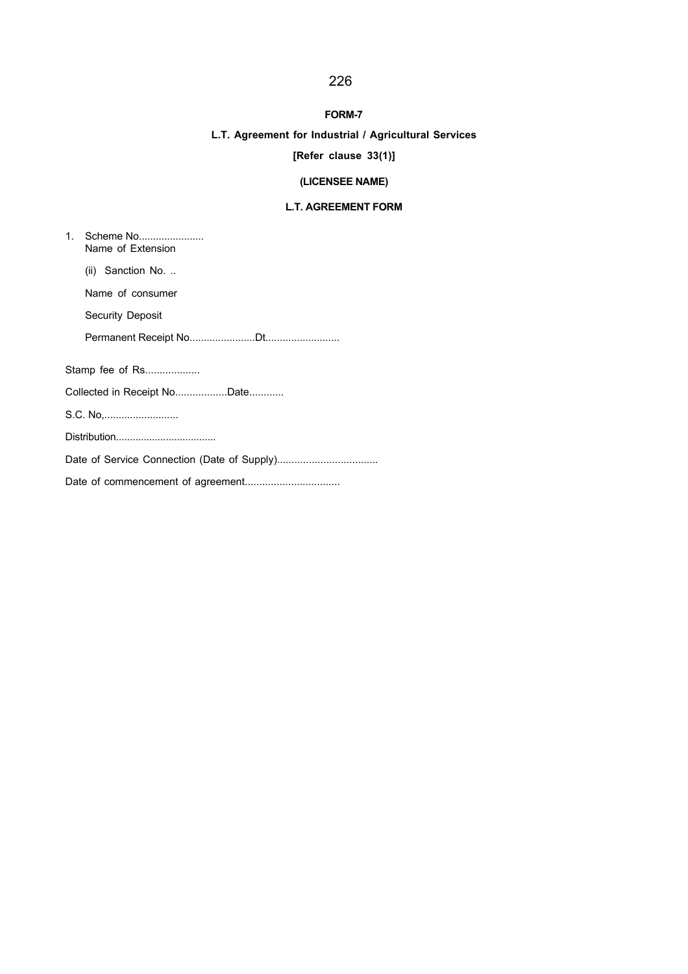### FORM-7

## L.T. Agreement for Industrial / Agricultural Services

# [Refer clause 33(1)]

## (LICENSEE NAME)

### L.T. AGREEMENT FORM

| $\mathbf{1}$ .              | Scheme No<br>Name of Extension |  |  |  |
|-----------------------------|--------------------------------|--|--|--|
|                             | $(ii)$ Sanction No             |  |  |  |
|                             | Name of consumer               |  |  |  |
|                             | <b>Security Deposit</b>        |  |  |  |
|                             |                                |  |  |  |
|                             | Stamp fee of Rs                |  |  |  |
| Collected in Receipt NoDate |                                |  |  |  |
| S.C. No                     |                                |  |  |  |
|                             |                                |  |  |  |
|                             |                                |  |  |  |
|                             |                                |  |  |  |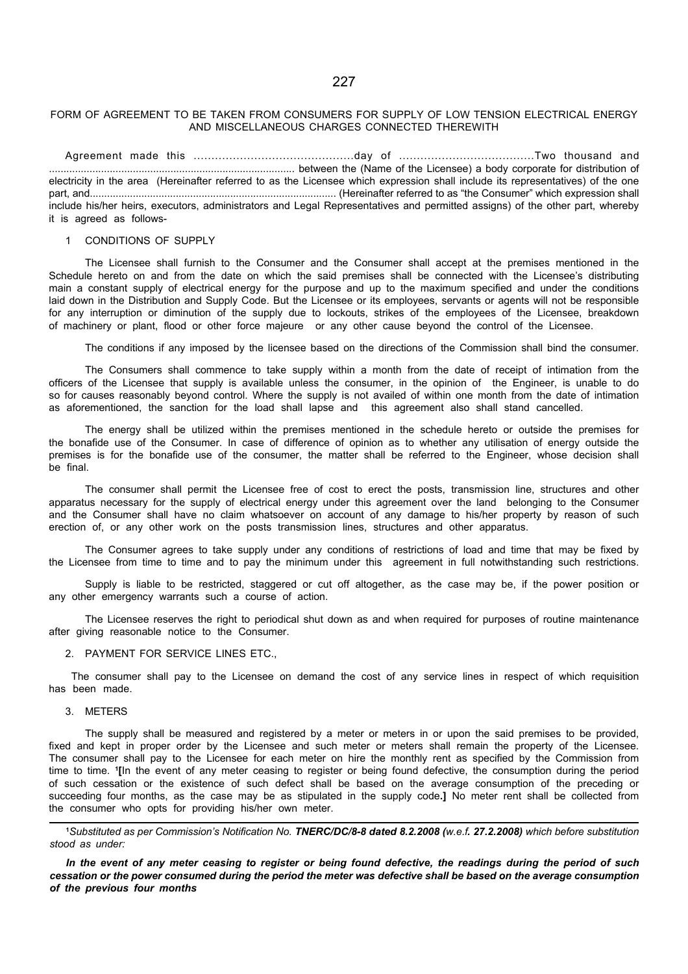### FORM OF AGREEMENT TO BE TAKEN FROM CONSUMERS FOR SUPPLY OF LOW TENSION ELECTRICAL ENERGY AND MISCELLANEOUS CHARGES CONNECTED THEREWITH

Agreement made this .............................................day of ......................................Two thousand and ..................................................................................... between the (Name of the Licensee) a body corporate for distribution of electricity in the area (Hereinafter referred to as the Licensee which expression shall include its representatives) of the one part, and...................................................................................... (Hereinafter referred to as "the Consumer" which expression shall include his/her heirs, executors, administrators and Legal Representatives and permitted assigns) of the other part, whereby it is agreed as follows-

#### 1 CONDITIONS OF SUPPLY

The Licensee shall furnish to the Consumer and the Consumer shall accept at the premises mentioned in the Schedule hereto on and from the date on which the said premises shall be connected with the Licensee's distributing main a constant supply of electrical energy for the purpose and up to the maximum specified and under the conditions laid down in the Distribution and Supply Code. But the Licensee or its employees, servants or agents will not be responsible for any interruption or diminution of the supply due to lockouts, strikes of the employees of the Licensee, breakdown of machinery or plant, flood or other force majeure or any other cause beyond the control of the Licensee.

The conditions if any imposed by the licensee based on the directions of the Commission shall bind the consumer.

The Consumers shall commence to take supply within a month from the date of receipt of intimation from the officers of the Licensee that supply is available unless the consumer, in the opinion of the Engineer, is unable to do so for causes reasonably beyond control. Where the supply is not availed of within one month from the date of intimation as aforementioned, the sanction for the load shall lapse and this agreement also shall stand cancelled.

The energy shall be utilized within the premises mentioned in the schedule hereto or outside the premises for the bonafide use of the Consumer. In case of difference of opinion as to whether any utilisation of energy outside the premises is for the bonafide use of the consumer, the matter shall be referred to the Engineer, whose decision shall be final.

The consumer shall permit the Licensee free of cost to erect the posts, transmission line, structures and other apparatus necessary for the supply of electrical energy under this agreement over the land belonging to the Consumer and the Consumer shall have no claim whatsoever on account of any damage to his/her property by reason of such erection of, or any other work on the posts transmission lines, structures and other apparatus.

The Consumer agrees to take supply under any conditions of restrictions of load and time that may be fixed by the Licensee from time to time and to pay the minimum under this agreement in full notwithstanding such restrictions.

Supply is liable to be restricted, staggered or cut off altogether, as the case may be, if the power position or any other emergency warrants such a course of action.

The Licensee reserves the right to periodical shut down as and when required for purposes of routine maintenance after giving reasonable notice to the Consumer.

#### 2. PAYMENT FOR SERVICE LINES FTC.

 The consumer shall pay to the Licensee on demand the cost of any service lines in respect of which requisition has been made.

3. METERS

The supply shall be measured and registered by a meter or meters in or upon the said premises to be provided, fixed and kept in proper order by the Licensee and such meter or meters shall remain the property of the Licensee. The consumer shall pay to the Licensee for each meter on hire the monthly rent as specified by the Commission from time to time. <sup>1</sup> [In the event of any meter ceasing to register or being found defective, the consumption during the period of such cessation or the existence of such defect shall be based on the average consumption of the preceding or succeeding four months, as the case may be as stipulated in the supply code.] No meter rent shall be collected from the consumer who opts for providing his/her own meter.

1Substituted as per Commission's Notification No. TNERC/DC/8-8 dated 8.2.2008 (w.e.f. 27.2.2008) which before substitution stood as under:

In the event of any meter ceasing to register or being found defective, the readings during the period of such cessation or the power consumed during the period the meter was defective shall be based on the average consumption of the previous four months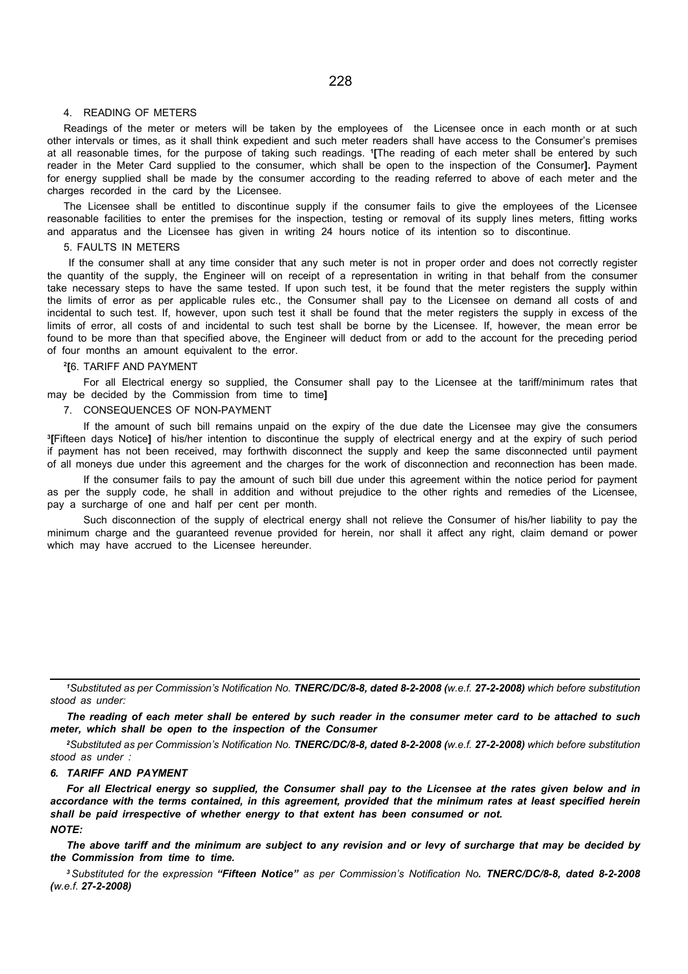### 4. READING OF METERS

Readings of the meter or meters will be taken by the employees of the Licensee once in each month or at such other intervals or times, as it shall think expedient and such meter readers shall have access to the Consumer's premises at all reasonable times, for the purpose of taking such readings. <sup>1</sup> [The reading of each meter shall be entered by such reader in the Meter Card supplied to the consumer, which shall be open to the inspection of the Consumer]. Payment for energy supplied shall be made by the consumer according to the reading referred to above of each meter and the charges recorded in the card by the Licensee.

The Licensee shall be entitled to discontinue supply if the consumer fails to give the employees of the Licensee reasonable facilities to enter the premises for the inspection, testing or removal of its supply lines meters, fitting works and apparatus and the Licensee has given in writing 24 hours notice of its intention so to discontinue.

### 5. FAULTS IN METERS

 If the consumer shall at any time consider that any such meter is not in proper order and does not correctly register the quantity of the supply, the Engineer will on receipt of a representation in writing in that behalf from the consumer take necessary steps to have the same tested. If upon such test, it be found that the meter registers the supply within the limits of error as per applicable rules etc., the Consumer shall pay to the Licensee on demand all costs of and incidental to such test. If, however, upon such test it shall be found that the meter registers the supply in excess of the limits of error, all costs of and incidental to such test shall be borne by the Licensee. If, however, the mean error be found to be more than that specified above, the Engineer will deduct from or add to the account for the preceding period of four months an amount equivalent to the error.

#### 2 [6. TARIFF AND PAYMENT

For all Electrical energy so supplied, the Consumer shall pay to the Licensee at the tariff/minimum rates that may be decided by the Commission from time to time]

#### 7. CONSEQUENCES OF NON-PAYMENT

If the amount of such bill remains unpaid on the expiry of the due date the Licensee may give the consumers 3 [Fifteen days Notice] of his/her intention to discontinue the supply of electrical energy and at the expiry of such period if payment has not been received, may forthwith disconnect the supply and keep the same disconnected until payment of all moneys due under this agreement and the charges for the work of disconnection and reconnection has been made.

If the consumer fails to pay the amount of such bill due under this agreement within the notice period for payment as per the supply code, he shall in addition and without prejudice to the other rights and remedies of the Licensee, pay a surcharge of one and half per cent per month.

Such disconnection of the supply of electrical energy shall not relieve the Consumer of his/her liability to pay the minimum charge and the guaranteed revenue provided for herein, nor shall it affect any right, claim demand or power which may have accrued to the Licensee hereunder.

The reading of each meter shall be entered by such reader in the consumer meter card to be attached to such meter, which shall be open to the inspection of the Consumer

<sup>2</sup>Substituted as per Commission's Notification No. TNERC/DC/8-8, dated 8-2-2008 (w.e.f. 27-2-2008) which before substitution stood as under :

#### 6. TARIFF AND PAYMENT

For all Electrical energy so supplied, the Consumer shall pay to the Licensee at the rates given below and in accordance with the terms contained, in this agreement, provided that the minimum rates at least specified herein shall be paid irrespective of whether energy to that extent has been consumed or not.  $NOTF$ 

The above tariff and the minimum are subject to any revision and or levy of surcharge that may be decided by the Commission from time to time.

<sup>3</sup>Substituted for the expression "Fifteen Notice" as per Commission's Notification No. TNERC/DC/8-8, dated 8-2-2008 (w.e.f. 27-2-2008)

<sup>1</sup>Substituted as per Commission's Notification No. TNERC/DC/8-8, dated 8-2-2008 (w.e.f. 27-2-2008) which before substitution stood as under: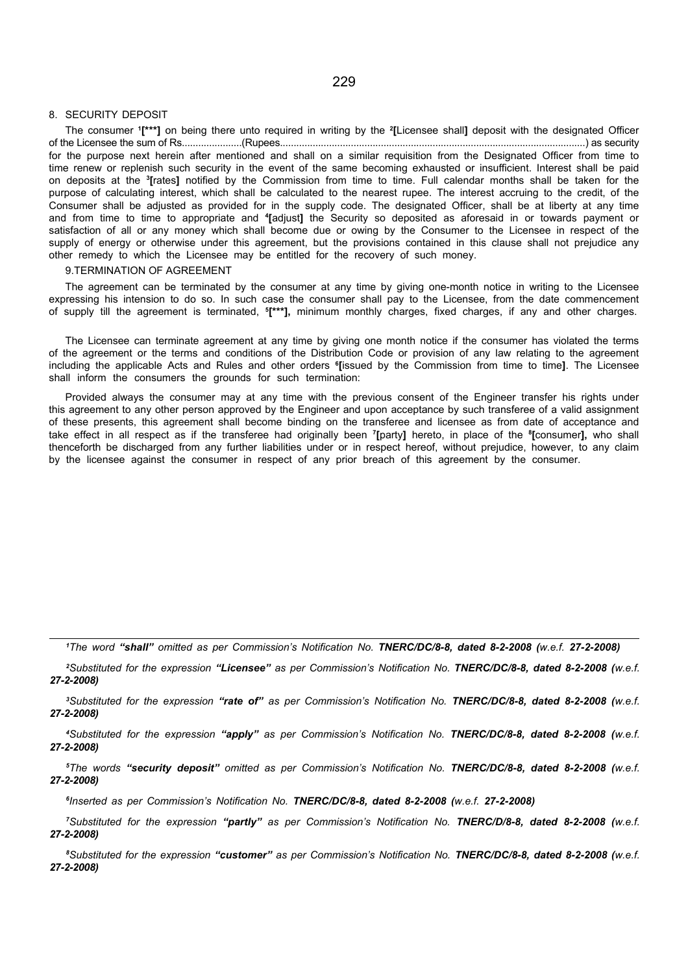#### 8. SECURITY DEPOSIT

The consumer <sup>1</sup> [\*\*\*] on being there unto required in writing by the <sup>2</sup> [Licensee shall] deposit with the designated Officer of the Licensee the sum of Rs......................(Rupees................................................................................................................) as security for the purpose next herein after mentioned and shall on a similar requisition from the Designated Officer from time to time renew or replenish such security in the event of the same becoming exhausted or insufficient. Interest shall be paid on deposits at the <sup>3</sup>[rates] notified by the Commission from time to time. Full calendar months shall be taken for the purpose of calculating interest, which shall be calculated to the nearest rupee. The interest accruing to the credit, of the Consumer shall be adjusted as provided for in the supply code. The designated Officer, shall be at liberty at any time and from time to time to appropriate and "[adjust] the Security so deposited as aforesaid in or towards payment or satisfaction of all or any money which shall become due or owing by the Consumer to the Licensee in respect of the supply of energy or otherwise under this agreement, but the provisions contained in this clause shall not prejudice any other remedy to which the Licensee may be entitled for the recovery of such money.

#### 9.TERMINATION OF AGREEMENT

The agreement can be terminated by the consumer at any time by giving one-month notice in writing to the Licensee expressing his intension to do so. In such case the consumer shall pay to the Licensee, from the date commencement of supply till the agreement is terminated, <sup>5</sup> [\*\*\*], minimum monthly charges, fixed charges, if any and other charges.

The Licensee can terminate agreement at any time by giving one month notice if the consumer has violated the terms of the agreement or the terms and conditions of the Distribution Code or provision of any law relating to the agreement including the applicable Acts and Rules and other orders <sup>e</sup>[issued by the Commission from time to time]. The Licensee shall inform the consumers the grounds for such termination:

Provided always the consumer may at any time with the previous consent of the Engineer transfer his rights under this agreement to any other person approved by the Engineer and upon acceptance by such transferee of a valid assignment of these presents, this agreement shall become binding on the transferee and licensee as from date of acceptance and take effect in all respect as if the transferee had originally been <sup>7</sup>[party] hereto, in place of the <sup>8</sup>[consumer], who shall thenceforth be discharged from any further liabilities under or in respect hereof, without prejudice, however, to any claim by the licensee against the consumer in respect of any prior breach of this agreement by the consumer.

<sup>1</sup>The word "shall" omitted as per Commission's Notification No. TNERC/DC/8-8, dated 8-2-2008 (w.e.f. 27-2-2008)

<sup>2</sup>Substituted for the expression "Licensee" as per Commission's Notification No. TNERC/DC/8-8, dated 8-2-2008 (w.e.f. 27-2-2008)

<sup>3</sup>Substituted for the expression "rate of" as per Commission's Notification No. TNERC/DC/8-8, dated 8-2-2008 (w.e.f. 27-2-2008)

<sup>4</sup>Substituted for the expression "apply" as per Commission's Notification No. TNERC/DC/8-8, dated 8-2-2008 (w.e.f. 27-2-2008)

<sup>5</sup>The words "security deposit" omitted as per Commission's Notification No. TNERC/DC/8-8, dated 8-2-2008 (w.e.f. 27-2-2008)

6 Inserted as per Commission's Notification No. TNERC/DC/8-8, dated 8-2-2008 (w.e.f. 27-2-2008)

<sup>7</sup>Substituted for the expression "partly" as per Commission's Notification No. TNERC/D/8-8, dated 8-2-2008 (w.e.f. 27-2-2008)

<sup>8</sup>Substituted for the expression "customer" as per Commission's Notification No. TNERC/DC/8-8, dated 8-2-2008 (w.e.f. 27-2-2008)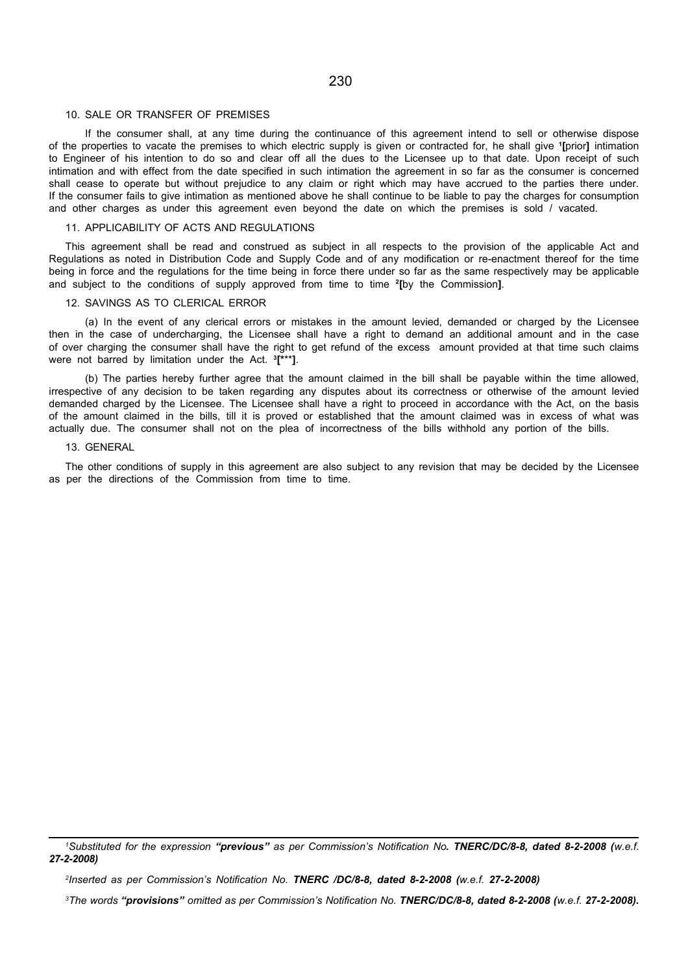#### 10. SALE OR TRANSFER OF PREMISES

If the consumer shall, at any time during the continuance of this agreement intend to sell or otherwise dispose of the properties to vacate the premises to which electric supply is given or contracted for, he shall give '[prior] intimation to Engineer of his intention to do so and clear off all the dues to the Licensee up to that date. Upon receipt of such intimation and with effect from the date specified in such intimation the agreement in so far as the consumer is concerned shall cease to operate but without prejudice to any claim or right which may have accrued to the parties there under. If the consumer fails to give intimation as mentioned above he shall continue to be liable to pay the charges for consumption and other charges as under this agreement even beyond the date on which the premises is sold / vacated.

#### 11. APPLICABILITY OF ACTS AND REGULATIONS

This agreement shall be read and construed as subject in all respects to the provision of the applicable Act and Regulations as noted in Distribution Code and Supply Code and of any modification or re-enactment thereof for the time being in force and the regulations for the time being in force there under so far as the same respectively may be applicable and subject to the conditions of supply approved from time to time <sup>2</sup> [by the Commission].

#### 12. SAVINGS AS TO CLERICAL ERROR

(a) In the event of any clerical errors or mistakes in the amount levied, demanded or charged by the Licensee then in the case of undercharging, the Licensee shall have a right to demand an additional amount and in the case of over charging the consumer shall have the right to get refund of the excess amount provided at that time such claims were not barred by limitation under the Act. <sup>3</sup><sup>[\*\*\*</sup>].

(b) The parties hereby further agree that the amount claimed in the bill shall be payable within the time allowed, irrespective of any decision to be taken regarding any disputes about its correctness or otherwise of the amount levied demanded charged by the Licensee. The Licensee shall have a right to proceed in accordance with the Act, on the basis of the amount claimed in the bills, till it is proved or established that the amount claimed was in excess of what was actually due. The consumer shall not on the plea of incorrectness of the bills withhold any portion of the bills.

#### 13. GENERAL

The other conditions of supply in this agreement are also subject to any revision that may be decided by the Licensee as per the directions of the Commission from time to time.

<sup>&</sup>lt;sup>1</sup>Substituted for the expression "previous" as per Commission's Notification No. TNERC/DC/8-8, dated 8-2-2008 (w.e.f. 27-2-2008)

<sup>2</sup> Inserted as per Commission's Notification No. TNERC /DC/8-8, dated 8-2-2008 (w.e.f. 27-2-2008)

<sup>&</sup>lt;sup>3</sup>The words "provisions" omitted as per Commission's Notification No. TNERC/DC/8-8, dated 8-2-2008 (w.e.f. 27-2-2008).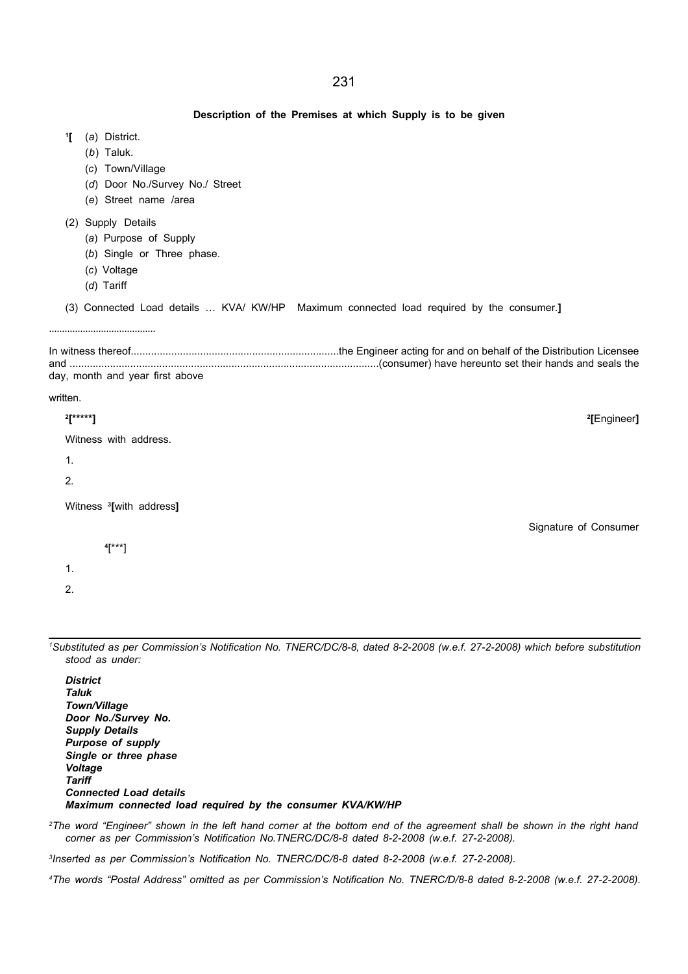#### Description of the Premises at which Supply is to be given

- 1 [ (a) District.
	- (b) Taluk.
	- (c) Town/Village
	- (d) Door No./Survey No./ Street
	- (e) Street name /area
- (2) Supply Details
	- (a) Purpose of Supply
	- (b) Single or Three phase.
	- (c) Voltage
	- (d) Tariff

.........................................

(3) Connected Load details … KVA/ KW/HP Maximum connected load required by the consumer.]

In witness thereof........................................................................the Engineer acting for and on behalf of the Distribution Licensee and ...........................................................................................................(consumer) have hereunto set their hands and seals the day, month and year first above

[Engineer]

Signature of Consumer

#### written.

#### $2$ [\*\*\*\*\*] [\*\*\*\*\*] <sup>2</sup>

| Witness with address. |  |  |
|-----------------------|--|--|
|-----------------------|--|--|

- 1.
- 

2.

Witness <sup>3</sup>[with address]

4 [\*\*\*]

1.

2.

<sup>1</sup>Substituted as per Commission's Notification No. TNERC/DC/8-8, dated 8-2-2008 (w.e.f. 27-2-2008) which before substitution stood as under:

**District** Taluk Town/Village Door No./Survey No. Supply Details Purpose of supply Single or three phase Voltage **Tariff** Connected Load details Maximum connected load required by the consumer KVA/KW/HP

<sup>2</sup>The word "Engineer" shown in the left hand corner at the bottom end of the agreement shall be shown in the right hand corner as per Commission's Notification No.TNERC/DC/8-8 dated 8-2-2008 (w.e.f. 27-2-2008).

3 Inserted as per Commission's Notification No. TNERC/DC/8-8 dated 8-2-2008 (w.e.f. 27-2-2008).

4The words "Postal Address" omitted as per Commission's Notification No. TNERC/D/8-8 dated 8-2-2008 (w.e.f. 27-2-2008).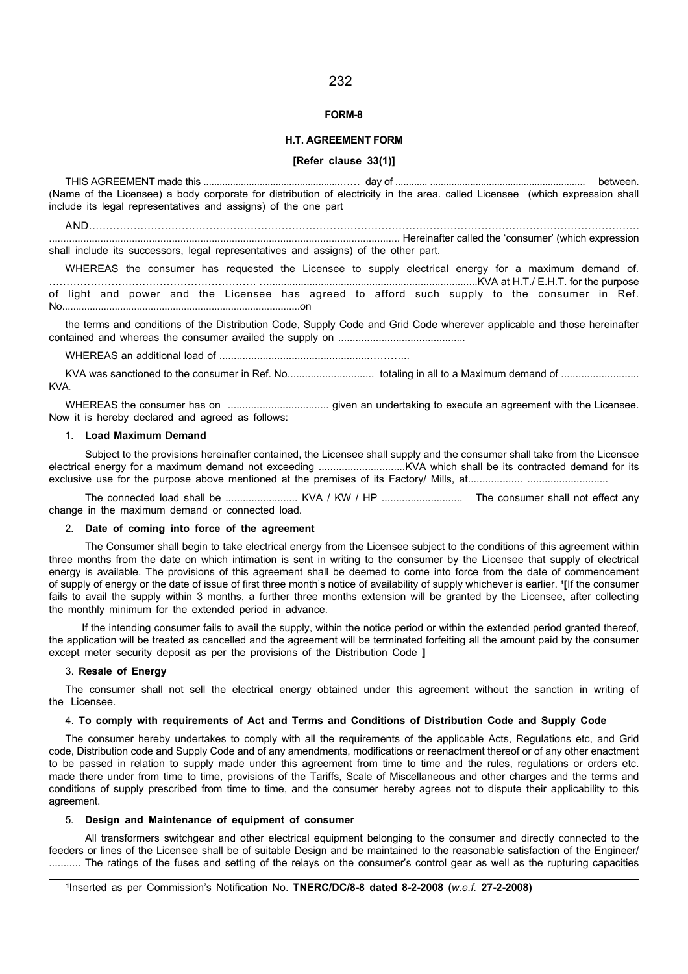#### FORM-8

### H.T. AGREEMENT FORM

#### [Refer clause 33(1)]

THIS AGREEMENT made this ...................................................…… day of ............ .......................................................... between. (Name of the Licensee) a body corporate for distribution of electricity in the area. called Licensee (which expression shall include its legal representatives and assigns) of the one part

AND................................................................................................................................................................ ........................................................................................................................... Hereinafter called the 'consumer' (which expression shall include its successors, legal representatives and assigns) of the other part.

WHEREAS the consumer has requested the Licensee to supply electrical energy for a maximum demand of. …………………………………………………… ….........................................................................KVA at H.T./ E.H.T. for the purpose of light and power and the Licensee has agreed to afford such supply to the consumer in Ref. No......................................................................................on

the terms and conditions of the Distribution Code, Supply Code and Grid Code wherever applicable and those hereinafter contained and whereas the consumer availed the supply on ............................................

WHEREAS an additional load of ....................................................………...

KVA was sanctioned to the consumer in Ref. No.............................. totaling in all to a Maximum demand of ........................... KVA.

WHEREAS the consumer has on ................................... given an undertaking to execute an agreement with the Licensee. Now it is hereby declared and agreed as follows:

#### 1. Load Maximum Demand

Subject to the provisions hereinafter contained, the Licensee shall supply and the consumer shall take from the Licensee electrical energy for a maximum demand not exceeding ..............................KVA which shall be its contracted demand for its exclusive use for the purpose above mentioned at the premises of its Factory/ Mills, at................... ............................

The connected load shall be ......................... KVA / KW / HP ............................ The consumer shall not effect any change in the maximum demand or connected load.

#### 2. Date of coming into force of the agreement

The Consumer shall begin to take electrical energy from the Licensee subject to the conditions of this agreement within three months from the date on which intimation is sent in writing to the consumer by the Licensee that supply of electrical energy is available. The provisions of this agreement shall be deemed to come into force from the date of commencement of supply of energy or the date of issue of first three month's notice of availability of supply whichever is earlier. <sup>1</sup> [If the consumer fails to avail the supply within 3 months, a further three months extension will be granted by the Licensee, after collecting the monthly minimum for the extended period in advance.

If the intending consumer fails to avail the supply, within the notice period or within the extended period granted thereof. the application will be treated as cancelled and the agreement will be terminated forfeiting all the amount paid by the consumer except meter security deposit as per the provisions of the Distribution Code ]

#### 3. Resale of Energy

The consumer shall not sell the electrical energy obtained under this agreement without the sanction in writing of the Licensee.

#### 4. To comply with requirements of Act and Terms and Conditions of Distribution Code and Supply Code

The consumer hereby undertakes to comply with all the requirements of the applicable Acts, Regulations etc, and Grid code, Distribution code and Supply Code and of any amendments, modifications or reenactment thereof or of any other enactment to be passed in relation to supply made under this agreement from time to time and the rules, regulations or orders etc. made there under from time to time, provisions of the Tariffs, Scale of Miscellaneous and other charges and the terms and conditions of supply prescribed from time to time, and the consumer hereby agrees not to dispute their applicability to this agreement.

#### 5. Design and Maintenance of equipment of consumer

All transformers switchgear and other electrical equipment belonging to the consumer and directly connected to the feeders or lines of the Licensee shall be of suitable Design and be maintained to the reasonable satisfaction of the Engineer/ ........... The ratings of the fuses and setting of the relays on the consumer's control gear as well as the rupturing capacities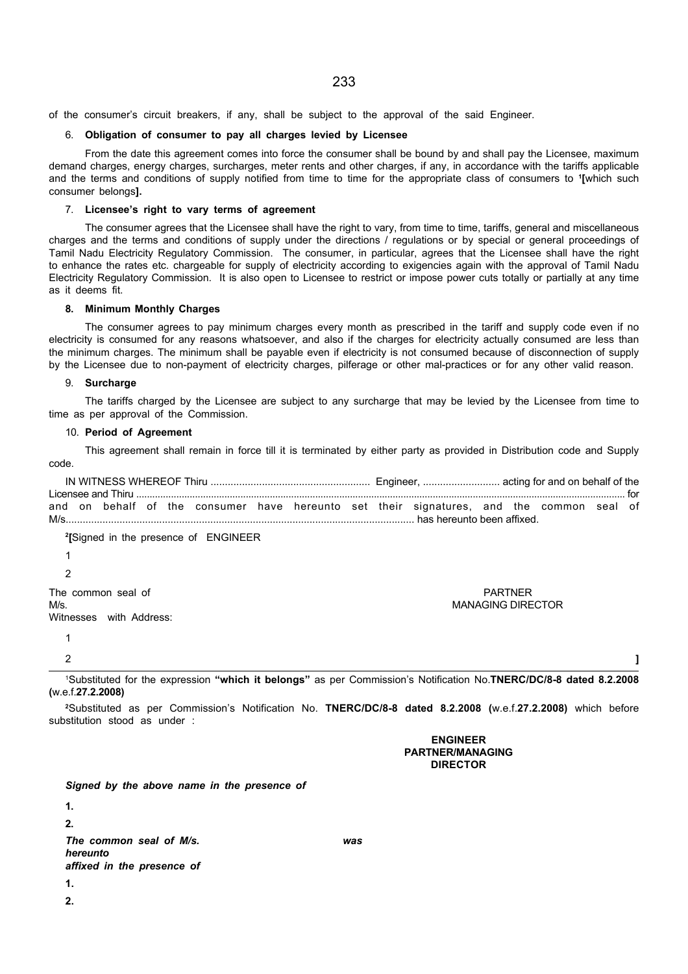of the consumer's circuit breakers, if any, shall be subject to the approval of the said Engineer.

#### 6. Obligation of consumer to pay all charges levied by Licensee

From the date this agreement comes into force the consumer shall be bound by and shall pay the Licensee, maximum demand charges, energy charges, surcharges, meter rents and other charges, if any, in accordance with the tariffs applicable and the terms and conditions of supply notified from time to time for the appropriate class of consumers to <sup>1</sup> [which such consumer belongs].

#### 7. Licensee's right to vary terms of agreement

The consumer agrees that the Licensee shall have the right to vary, from time to time, tariffs, general and miscellaneous charges and the terms and conditions of supply under the directions / regulations or by special or general proceedings of Tamil Nadu Electricity Regulatory Commission. The consumer, in particular, agrees that the Licensee shall have the right to enhance the rates etc. chargeable for supply of electricity according to exigencies again with the approval of Tamil Nadu Electricity Regulatory Commission. It is also open to Licensee to restrict or impose power cuts totally or partially at any time as it deems fit.

#### **Minimum Monthly Charges**

The consumer agrees to pay minimum charges every month as prescribed in the tariff and supply code even if no electricity is consumed for any reasons whatsoever, and also if the charges for electricity actually consumed are less than the minimum charges. The minimum shall be payable even if electricity is not consumed because of disconnection of supply by the Licensee due to non-payment of electricity charges, pilferage or other mal-practices or for any other valid reason.

#### 9. Surcharge

The tariffs charged by the Licensee are subject to any surcharge that may be levied by the Licensee from time to time as per approval of the Commission.

#### 10. Period of Agreement

This agreement shall remain in force till it is terminated by either party as provided in Distribution code and Supply code.

IN WITNESS WHEREOF Thiru ........................................................ Engineer, ........................... acting for and on behalf of the Licensee and Thiru ....................................................................................................................................................................................... for and on behalf of the consumer have hereunto set their signatures, and the common seal of M/s........................................................................................................................... has hereunto been affixed.

2 [Signed in the presence of ENGINEER 1 2 The common seal of PARTNER COMMON SEAL OF PARTNER SEAL OF PARTNER SEAL OF PARTNER SEAL OF PARTNER SEAL OF PARTNER M/s. MANAGING DIRECTOR Witnesses with Address: 1  $2$   $\overline{\phantom{a}}$  ]

<sup>1</sup>Substituted for the expression "which it belongs" as per Commission's Notification No.TNERC/DC/8-8 dated 8.2.2008 (w.e.f.27.2.2008)

<sup>2</sup>Substituted as per Commission's Notification No. TNERC/DC/8-8 dated 8.2.2008 (w.e.f.27.2.2008) which before substitution stood as under :

### ENGINEER PARTNER/MANAGING DIRECTOR

Signed by the above name in the presence of

1.  $\overline{2}$ The common seal of M/s. was hereunto affixed in the presence of 1. 2.